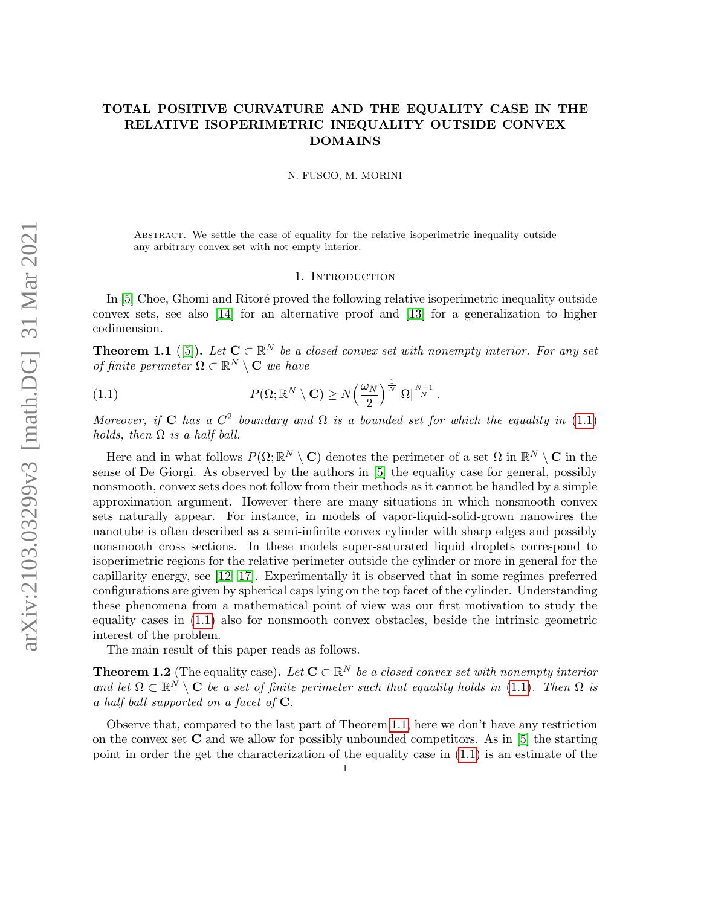# TOTAL POSITIVE CURVATURE AND THE EQUALITY CASE IN THE RELATIVE ISOPERIMETRIC INEQUALITY OUTSIDE CONVEX DOMAINS

N. FUSCO, M. MORINI

Abstract. We settle the case of equality for the relative isoperimetric inequality outside any arbitrary convex set with not empty interior.

### <span id="page-0-0"></span>1. Introduction

In [\[5\]](#page-29-0) Choe, Ghomi and Ritoré proved the following relative isoperimetric inequality outside convex sets, see also [\[14\]](#page-29-1) for an alternative proof and [\[13\]](#page-29-2) for a generalization to higher codimension.

<span id="page-0-1"></span>**Theorem 1.1** ([\[5\]](#page-29-0)). Let  $C \subset \mathbb{R}^N$  be a closed convex set with nonempty interior. For any set of finite perimeter  $\Omega \subset \mathbb{R}^N \setminus \mathbf{C}$  we have

(1.1) 
$$
P(\Omega; \mathbb{R}^N \setminus \mathbf{C}) \ge N \left(\frac{\omega_N}{2}\right)^{\frac{1}{N}} |\Omega|^{\frac{N-1}{N}}.
$$

Moreover, if C has a  $C^2$  boundary and  $\Omega$  is a bounded set for which the equality in [\(1.1\)](#page-0-0) holds, then  $\Omega$  is a half ball.

Here and in what follows  $P(\Omega;\mathbb{R}^N\setminus\mathbf{C})$  denotes the perimeter of a set  $\Omega$  in  $\mathbb{R}^N\setminus\mathbf{C}$  in the sense of De Giorgi. As observed by the authors in [\[5\]](#page-29-0) the equality case for general, possibly nonsmooth, convex sets does not follow from their methods as it cannot be handled by a simple approximation argument. However there are many situations in which nonsmooth convex sets naturally appear. For instance, in models of vapor-liquid-solid-grown nanowires the nanotube is often described as a semi-infinite convex cylinder with sharp edges and possibly nonsmooth cross sections. In these models super-saturated liquid droplets correspond to isoperimetric regions for the relative perimeter outside the cylinder or more in general for the capillarity energy, see [\[12,](#page-29-3) [17\]](#page-29-4). Experimentally it is observed that in some regimes preferred configurations are given by spherical caps lying on the top facet of the cylinder. Understanding these phenomena from a mathematical point of view was our first motivation to study the equality cases in [\(1.1\)](#page-0-0) also for nonsmooth convex obstacles, beside the intrinsic geometric interest of the problem.

The main result of this paper reads as follows.

<span id="page-0-2"></span>**Theorem 1.2** (The equality case). Let  $C \subset \mathbb{R}^N$  be a closed convex set with nonempty interior and let  $\Omega \subset \mathbb{R}^N \setminus \mathbf{C}$  be a set of finite perimeter such that equality holds in [\(1.1\)](#page-0-0). Then  $\Omega$  is a half ball supported on a facet of  $C$ .

Observe that, compared to the last part of Theorem [1.1,](#page-0-1) here we don't have any restriction on the convex set  $C$  and we allow for possibly unbounded competitors. As in [\[5\]](#page-29-0) the starting point in order the get the characterization of the equality case in [\(1.1\)](#page-0-0) is an estimate of the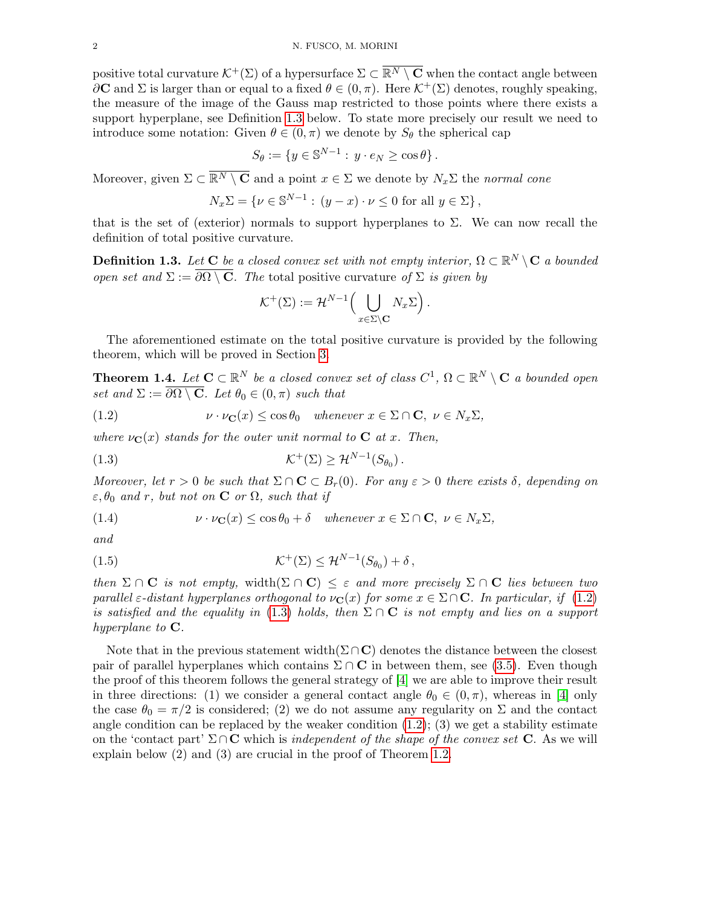positive total curvature  $\mathcal{K}^+(\Sigma)$  of a hypersurface  $\Sigma \subset \overline{\mathbb{R}^N \setminus \mathbf{C}}$  when the contact angle between  $\partial$ **C** and  $\Sigma$  is larger than or equal to a fixed  $\theta \in (0, \pi)$ . Here  $\mathcal{K}^+(\Sigma)$  denotes, roughly speaking, the measure of the image of the Gauss map restricted to those points where there exists a support hyperplane, see Definition [1.3](#page-1-0) below. To state more precisely our result we need to introduce some notation: Given  $\theta \in (0, \pi)$  we denote by  $S_{\theta}$  the spherical cap

$$
S_{\theta} := \{ y \in \mathbb{S}^{N-1} : y \cdot e_N \ge \cos \theta \}.
$$

Moreover, given  $\Sigma \subset \overline{\mathbb{R}^N \setminus \mathbf{C}}$  and a point  $x \in \Sigma$  we denote by  $N_x\Sigma$  the normal cone

$$
N_x \Sigma = \{ \nu \in \mathbb{S}^{N-1} : (y - x) \cdot \nu \le 0 \text{ for all } y \in \Sigma \},
$$

that is the set of (exterior) normals to support hyperplanes to  $\Sigma$ . We can now recall the definition of total positive curvature.

<span id="page-1-0"></span>**Definition 1.3.** Let  $C$  be a closed convex set with not empty interior,  $\Omega \subset \mathbb{R}^N \setminus C$  a bounded open set and  $\Sigma := \overline{\partial \Omega \setminus \mathbf{C}}$ . The total positive curvature of  $\Sigma$  is given by

<span id="page-1-2"></span>
$$
\mathcal{K}^+(\Sigma) := \mathcal{H}^{N-1}\Big(\bigcup_{x \in \Sigma \setminus \mathbf{C}} N_x \Sigma\Big).
$$

The aforementioned estimate on the total positive curvature is provided by the following theorem, which will be proved in Section [3.](#page-6-0)

<span id="page-1-3"></span>**Theorem 1.4.** Let  $C \subset \mathbb{R}^N$  be a closed convex set of class  $C^1$ ,  $\Omega \subset \mathbb{R}^N \setminus C$  a bounded open set and  $\Sigma := \overline{\partial \Omega \setminus \mathbf{C}}$ . Let  $\theta_0 \in (0, \pi)$  such that

<span id="page-1-1"></span>(1.2) 
$$
\nu \cdot \nu_{\mathbf{C}}(x) \le \cos \theta_0 \quad \text{whenever } x \in \Sigma \cap \mathbf{C}, \ \nu \in N_x \Sigma,
$$

where  $\nu_{\mathbf{C}}(x)$  stands for the outer unit normal to **C** at x. Then,

$$
(1.3) \t\t\t\t\mathcal{K}^+(\Sigma) \geq \mathcal{H}^{N-1}(S_{\theta_0}).
$$

Moreover, let  $r > 0$  be such that  $\Sigma \cap \mathbf{C} \subset B_r(0)$ . For any  $\varepsilon > 0$  there exists  $\delta$ , depending on  $\varepsilon, \theta_0$  and r, but not on **C** or  $\Omega$ , such that if

<span id="page-1-4"></span>(1.4) 
$$
\nu \cdot \nu_{\mathbf{C}}(x) \leq \cos \theta_0 + \delta \quad \text{whenever } x \in \Sigma \cap \mathbf{C}, \ \nu \in N_x \Sigma,
$$

and

<span id="page-1-5"></span>(1.5) 
$$
\mathcal{K}^+(\Sigma) \leq \mathcal{H}^{N-1}(S_{\theta_0}) + \delta \,,
$$

then  $\Sigma \cap \mathbf{C}$  is not empty, width $(\Sigma \cap \mathbf{C}) \leq \varepsilon$  and more precisely  $\Sigma \cap \mathbf{C}$  lies between two parallel  $\varepsilon$ -distant hyperplanes orthogonal to  $\nu_{\mathbf{C}}(x)$  for some  $x \in \Sigma \cap \mathbf{C}$ . In particular, if [\(1.2\)](#page-1-1) is satisfied and the equality in [\(1.3\)](#page-1-2) holds, then  $\Sigma \cap \mathbf{C}$  is not empty and lies on a support hyperplane to  $C$ .

Note that in the previous statement width( $\Sigma \cap C$ ) denotes the distance between the closest pair of parallel hyperplanes which contains  $\Sigma \cap \mathbf{C}$  in between them, see [\(3.5\)](#page-8-0). Even though the proof of this theorem follows the general strategy of [\[4\]](#page-29-5) we are able to improve their result in three directions: (1) we consider a general contact angle  $\theta_0 \in (0, \pi)$ , whereas in [\[4\]](#page-29-5) only the case  $\theta_0 = \pi/2$  is considered; (2) we do not assume any regularity on  $\Sigma$  and the contact angle condition can be replaced by the weaker condition  $(1.2)$ ;  $(3)$  we get a stability estimate on the 'contact part'  $\Sigma \cap \mathbf{C}$  which is independent of the shape of the convex set  $\mathbf{C}$ . As we will explain below (2) and (3) are crucial in the proof of Theorem [1.2.](#page-0-2)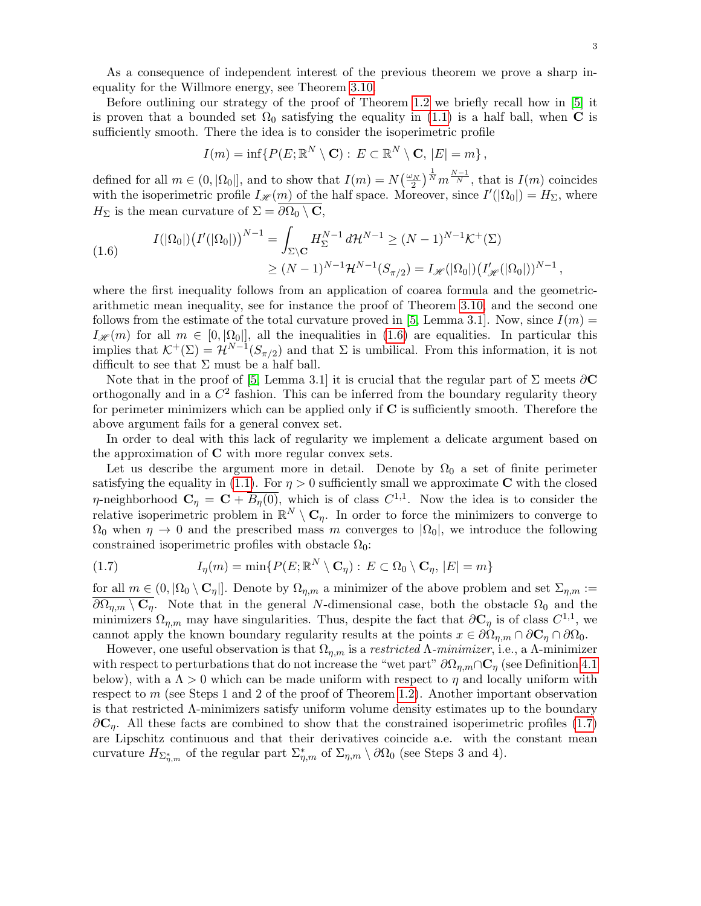As a consequence of independent interest of the previous theorem we prove a sharp inequality for the Willmore energy, see Theorem [3.10.](#page-12-0)

Before outlining our strategy of the proof of Theorem [1.2](#page-0-2) we briefly recall how in [\[5\]](#page-29-0) it is proven that a bounded set  $\Omega_0$  satisfying the equality in [\(1.1\)](#page-0-0) is a half ball, when C is sufficiently smooth. There the idea is to consider the isoperimetric profile

$$
I(m) = \inf \{ P(E; \mathbb{R}^N \setminus \mathbf{C}) : E \subset \mathbb{R}^N \setminus \mathbf{C}, |E| = m \},\
$$

defined for all  $m \in (0, |\Omega_0|]$ , and to show that  $I(m) = N(\frac{\omega_N}{2})^{\frac{1}{N}} m^{\frac{N-1}{N}}$ , that is  $I(m)$  coincides with the isoperimetric profile  $I_{\mathscr{H}}(m)$  of the half space. Moreover, since  $I'(|\Omega_0|) = H_{\Sigma}$ , where  $H_{\Sigma}$  is the mean curvature of  $\Sigma = \partial \Omega_0 \setminus \mathbf{C},$ 

<span id="page-2-0"></span>(1.6) 
$$
I(|\Omega_0|) (I'(|\Omega_0|))^{N-1} = \int_{\Sigma \backslash \mathbf{C}} H_{\Sigma}^{N-1} d\mathcal{H}^{N-1} \geq (N-1)^{N-1} \mathcal{K}^+(\Sigma) \geq (N-1)^{N-1} \mathcal{H}^{N-1} (S_{\pi/2}) = I_{\mathscr{H}}(|\Omega_0|) (I'_{\mathscr{H}}(|\Omega_0|))^{N-1},
$$

where the first inequality follows from an application of coarea formula and the geometricarithmetic mean inequality, see for instance the proof of Theorem [3.10,](#page-12-0) and the second one follows from the estimate of the total curvature proved in [\[5,](#page-29-0) Lemma 3.1]. Now, since  $I(m)$  =  $I_{\mathscr{H}}(m)$  for all  $m \in [0, |\Omega_0|]$ , all the inequalities in [\(1.6\)](#page-2-0) are equalities. In particular this implies that  $\mathcal{K}^+(\Sigma) = \mathcal{H}^{N-1}(S_{\pi/2})$  and that  $\Sigma$  is umbilical. From this information, it is not difficult to see that  $\Sigma$  must be a half ball.

Note that in the proof of [\[5,](#page-29-0) Lemma 3.1] it is crucial that the regular part of  $\Sigma$  meets  $\partial \mathbf{C}$ orthogonally and in a  $C^2$  fashion. This can be inferred from the boundary regularity theory for perimeter minimizers which can be applied only if  $C$  is sufficiently smooth. Therefore the above argument fails for a general convex set.

In order to deal with this lack of regularity we implement a delicate argument based on the approximation of  $C$  with more regular convex sets.

Let us describe the argument more in detail. Denote by  $\Omega_0$  a set of finite perimeter satisfying the equality in [\(1.1\)](#page-0-0). For  $\eta > 0$  sufficiently small we approximate C with the closed *η*-neighborhood  $C_\eta = C + \overline{B_\eta(0)}$ , which is of class  $C^{1,1}$ . Now the idea is to consider the relative isoperimetric problem in  $\mathbb{R}^N \setminus \mathbf{C}_\eta$ . In order to force the minimizers to converge to  $\Omega_0$  when  $\eta \to 0$  and the prescribed mass m converges to  $|\Omega_0|$ , we introduce the following constrained isoperimetric profiles with obstacle  $\Omega_0$ :

<span id="page-2-1"></span>(1.7) 
$$
I_{\eta}(m) = \min\{P(E; \mathbb{R}^{N} \setminus \mathbf{C}_{\eta}) : E \subset \Omega_{0} \setminus \mathbf{C}_{\eta}, |E| = m\}
$$

for all  $m \in (0, |\Omega_0 \setminus \mathbf{C}_\eta|]$ . Denote by  $\Omega_{\eta,m}$  a minimizer of the above problem and set  $\Sigma_{\eta,m} :=$  $\partial\Omega_{\eta,m}\setminus\mathbf{C}_\eta$ . Note that in the general N-dimensional case, both the obstacle  $\Omega_0$  and the minimizers  $\Omega_{\eta,m}$  may have singularities. Thus, despite the fact that  $\partial \mathbf{C}_{\eta}$  is of class  $C^{1,1}$ , we cannot apply the known boundary regularity results at the points  $x \in \partial\Omega_{\eta,m} \cap \partial\mathbf{C}_{\eta} \cap \partial\Omega_{0}$ .

However, one useful observation is that  $\Omega_{n,m}$  is a restricted  $\Lambda$ -minimizer, i.e., a  $\Lambda$ -minimizer with respect to perturbations that do not increase the "wet part"  $\partial\Omega_{\eta,m}\cap\mathbf{C}_\eta$  (see Definition [4.1](#page-14-0)) below), with a  $\Lambda > 0$  which can be made uniform with respect to  $\eta$  and locally uniform with respect to m (see Steps 1 and 2 of the proof of Theorem [1.2\)](#page-0-2). Another important observation is that restricted Λ-minimizers satisfy uniform volume density estimates up to the boundary  $\partial\mathbf{C}_n$ . All these facts are combined to show that the constrained isoperimetric profiles [\(1.7\)](#page-2-1) are Lipschitz continuous and that their derivatives coincide a.e. with the constant mean curvature  $H_{\Sigma_{\eta,m}^*}$  of the regular part  $\Sigma_{\eta,m}^*$  of  $\Sigma_{\eta,m} \setminus \partial\Omega_0$  (see Steps 3 and 4).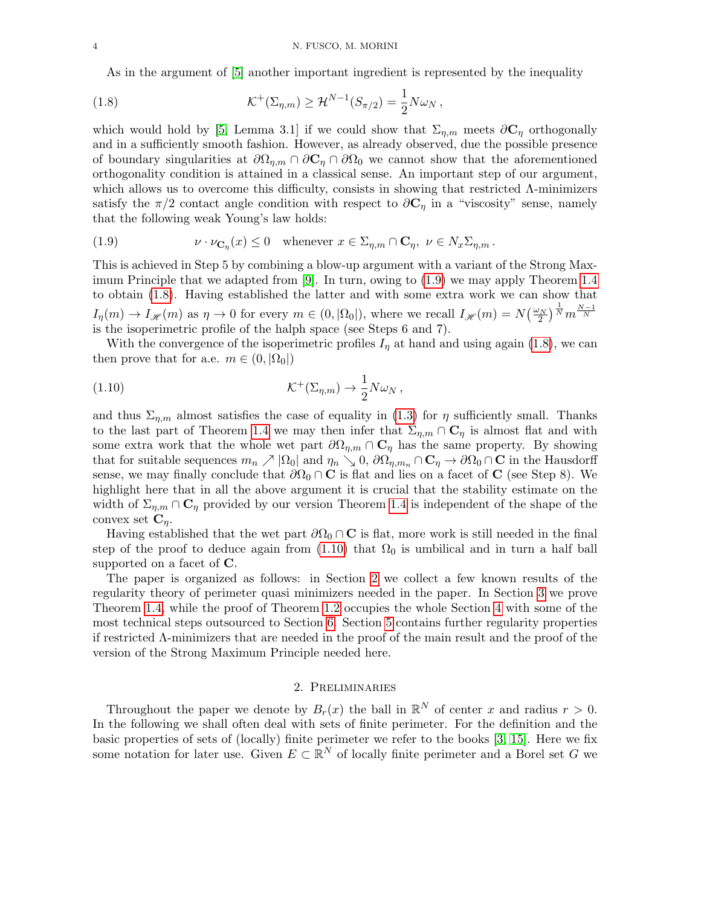<span id="page-3-1"></span>As in the argument of [\[5\]](#page-29-0) another important ingredient is represented by the inequality

(1.8) 
$$
\mathcal{K}^+(\Sigma_{\eta,m}) \geq \mathcal{H}^{N-1}(S_{\pi/2}) = \frac{1}{2} N \omega_N ,
$$

which would hold by [\[5,](#page-29-0) Lemma 3.1] if we could show that  $\Sigma_{\eta,m}$  meets  $\partial \mathbf{C}_{\eta}$  orthogonally and in a sufficiently smooth fashion. However, as already observed, due the possible presence of boundary singularities at  $\partial\Omega_{n,m} \cap \partial\mathbf{C}_n \cap \partial\Omega_0$  we cannot show that the aforementioned orthogonality condition is attained in a classical sense. An important step of our argument, which allows us to overcome this difficulty, consists in showing that restricted Λ-minimizers satisfy the  $\pi/2$  contact angle condition with respect to  $\partial \mathbf{C}_{\eta}$  in a "viscosity" sense, namely that the following weak Young's law holds:

<span id="page-3-0"></span>(1.9) 
$$
\nu \cdot \nu_{\mathbf{C}_{\eta}}(x) \leq 0 \quad \text{whenever } x \in \Sigma_{\eta,m} \cap \mathbf{C}_{\eta}, \ \nu \in N_x \Sigma_{\eta,m}.
$$

This is achieved in Step 5 by combining a blow-up argument with a variant of the Strong Maximum Principle that we adapted from [\[9\]](#page-29-6). In turn, owing to [\(1.9\)](#page-3-0) we may apply Theorem [1.4](#page-1-3) to obtain [\(1.8\)](#page-3-1). Having established the latter and with some extra work we can show that  $I_{\eta}(m) \to I_{\mathscr{H}}(m)$  as  $\eta \to 0$  for every  $m \in (0, |\Omega_0|)$ , where we recall  $I_{\mathscr{H}}(m) = N(\frac{\omega_N}{2})^{\frac{1}{N}} m^{\frac{N-1}{N}}$ is the isoperimetric profile of the halph space (see Steps 6 and 7).

With the convergence of the isoperimetric profiles  $I<sub>\eta</sub>$  at hand and using again [\(1.8\)](#page-3-1), we can then prove that for a.e.  $m \in (0, |\Omega_0|)$ 

<span id="page-3-2"></span>(1.10) 
$$
\mathcal{K}^+(\Sigma_{\eta,m}) \to \frac{1}{2} N \omega_N ,
$$

and thus  $\Sigma_{\eta,m}$  almost satisfies the case of equality in [\(1.3\)](#page-1-2) for  $\eta$  sufficiently small. Thanks to the last part of Theorem [1.4](#page-1-3) we may then infer that  $\Sigma_{\eta,m} \cap \mathbf{C}_{\eta}$  is almost flat and with some extra work that the whole wet part  $\partial\Omega_{\eta,m}\cap\mathbf{C}_\eta$  has the same property. By showing that for suitable sequences  $m_n \nearrow |\Omega_0|$  and  $\eta_n \searrow 0$ ,  $\partial \Omega_{\eta,m_n} \cap \mathbf{C}_\eta \to \partial \Omega_0 \cap \mathbf{C}$  in the Hausdorff sense, we may finally conclude that  $\partial\Omega_0 \cap \mathbf{C}$  is flat and lies on a facet of  $\mathbf{C}$  (see Step 8). We highlight here that in all the above argument it is crucial that the stability estimate on the width of  $\Sigma_{\eta,m} \cap \mathbf{C}_{\eta}$  provided by our version Theorem [1.4](#page-1-3) is independent of the shape of the convex set  $\mathbf{C}_\eta$ .

Having established that the wet part  $\partial\Omega_0 \cap \mathbf{C}$  is flat, more work is still needed in the final step of the proof to deduce again from  $(1.10)$  that  $\Omega_0$  is umbilical and in turn a half ball supported on a facet of  $C$ .

The paper is organized as follows: in Section [2](#page-3-3) we collect a few known results of the regularity theory of perimeter quasi minimizers needed in the paper. In Section [3](#page-6-0) we prove Theorem [1.4,](#page-1-3) while the proof of Theorem [1.2](#page-0-2) occupies the whole Section [4](#page-14-1) with some of the most technical steps outsourced to Section [6.](#page-26-0) Section [5](#page-22-0) contains further regularity properties if restricted Λ-minimizers that are needed in the proof of the main result and the proof of the version of the Strong Maximum Principle needed here.

### 2. Preliminaries

<span id="page-3-3"></span>Throughout the paper we denote by  $B_r(x)$  the ball in  $\mathbb{R}^N$  of center x and radius  $r > 0$ . In the following we shall often deal with sets of finite perimeter. For the definition and the basic properties of sets of (locally) finite perimeter we refer to the books [\[3,](#page-29-7) [15\]](#page-29-8). Here we fix some notation for later use. Given  $E \subset \mathbb{R}^N$  of locally finite perimeter and a Borel set G we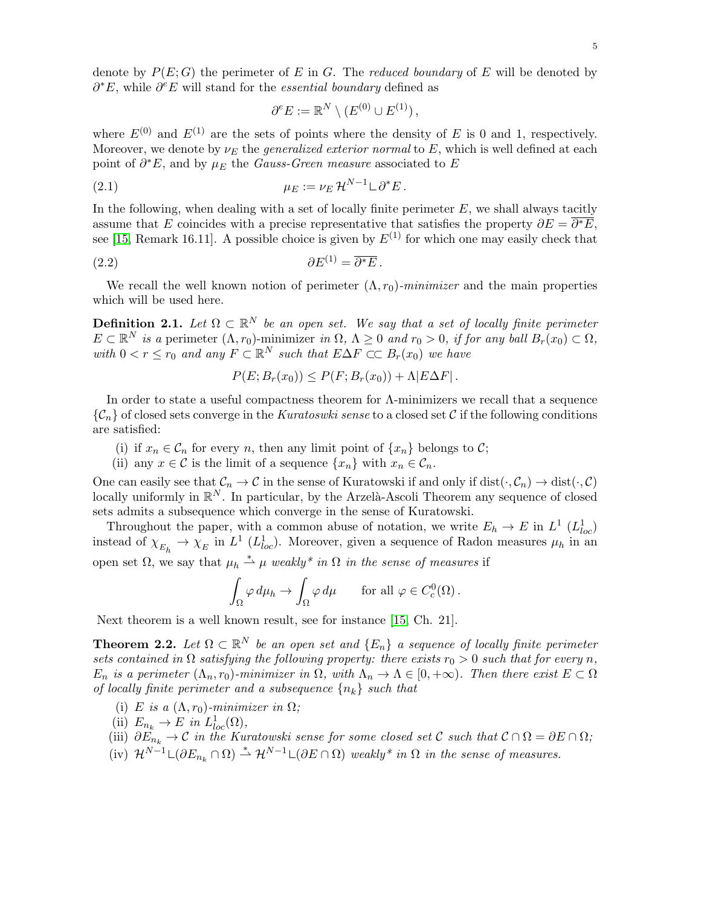denote by  $P(E; G)$  the perimeter of E in G. The reduced boundary of E will be denoted by  $\partial^* E$ , while  $\partial^e E$  will stand for the *essential boundary* defined as

<span id="page-4-2"></span>
$$
\partial^e E := \mathbb{R}^N \setminus (E^{(0)} \cup E^{(1)}),
$$

where  $E^{(0)}$  and  $E^{(1)}$  are the sets of points where the density of E is 0 and 1, respectively. Moreover, we denote by  $\nu_E$  the *generalized exterior normal* to E, which is well defined at each point of  $\partial^* E$ , and by  $\mu_E$  the *Gauss-Green measure* associated to E

$$
\mu_E := \nu_E \, \mathcal{H}^{N-1} \mathcal{L} \, \partial^* E \, .
$$

In the following, when dealing with a set of locally finite perimeter  $E$ , we shall always tacitly assume that E coincides with a precise representative that satisfies the property  $\partial E = \overline{\partial^* E}$ , see [\[15,](#page-29-8) Remark 16.11]. A possible choice is given by  $E^{(1)}$  for which one may easily check that

$$
\partial E^{(1)} = \overline{\partial^* E} \, .
$$

We recall the well known notion of perimeter  $(\Lambda, r_0)$ -minimizer and the main properties which will be used here.

<span id="page-4-1"></span>**Definition 2.1.** Let  $\Omega \subset \mathbb{R}^N$  be an open set. We say that a set of locally finite perimeter  $E \subset \mathbb{R}^N$  is a perimeter  $(\Lambda, r_0)$ -minimizer in  $\Omega, \Lambda \geq 0$  and  $r_0 > 0$ , if for any ball  $B_r(x_0) \subset \Omega$ , with  $0 < r \leq r_0$  and any  $F \subset \mathbb{R}^N$  such that  $E \Delta F \subset C$   $B_r(x_0)$  we have

<span id="page-4-3"></span>
$$
P(E; B_r(x_0)) \le P(F; B_r(x_0)) + \Lambda |E\Delta F|.
$$

In order to state a useful compactness theorem for Λ-minimizers we recall that a sequence  $\{\mathcal{C}_n\}$  of closed sets converge in the Kuratoswki sense to a closed set C if the following conditions are satisfied:

- (i) if  $x_n \in \mathcal{C}_n$  for every n, then any limit point of  $\{x_n\}$  belongs to  $\mathcal{C}$ ;
- (ii) any  $x \in \mathcal{C}$  is the limit of a sequence  $\{x_n\}$  with  $x_n \in \mathcal{C}_n$ .

One can easily see that  $\mathcal{C}_n \to \mathcal{C}$  in the sense of Kuratowski if and only if  $dist(\cdot, \mathcal{C}_n) \to dist(\cdot, \mathcal{C})$ locally uniformly in  $\mathbb{R}^N$ . In particular, by the Arzelà-Ascoli Theorem any sequence of closed sets admits a subsequence which converge in the sense of Kuratowski.

Throughout the paper, with a common abuse of notation, we write  $E_h \to E$  in  $L^1(L_{loc}^1)$ instead of  $\chi_{E_h} \to \chi_E$  in  $L^1(L_{loc}^1)$ . Moreover, given a sequence of Radon measures  $\mu_h$  in an open set  $\Omega$ , we say that  $\mu_h \stackrel{*}{\rightharpoonup} \mu$  weakly<sup>\*</sup> in  $\Omega$  in the sense of measures if

$$
\int_{\Omega} \varphi \, d\mu_h \to \int_{\Omega} \varphi \, d\mu \qquad \text{for all } \varphi \in C_c^0(\Omega) \, .
$$

Next theorem is a well known result, see for instance [\[15,](#page-29-8) Ch. 21].

<span id="page-4-0"></span>**Theorem 2.2.** Let  $\Omega \subset \mathbb{R}^N$  be an open set and  $\{E_n\}$  a sequence of locally finite perimeter sets contained in  $\Omega$  satisfying the following property: there exists  $r_0 > 0$  such that for every n,  $E_n$  is a perimeter  $(\Lambda_n, r_0)$ -minimizer in  $\Omega$ , with  $\Lambda_n \to \Lambda \in [0, +\infty)$ . Then there exist  $E \subset \Omega$ of locally finite perimeter and a subsequence  $\{n_k\}$  such that

- (i) E is a  $(\Lambda, r_0)$ -minimizer in  $\Omega$ ;
- (ii)  $E_{n_k} \to E$  in  $L^1_{loc}(\Omega)$ ,
- (iii)  $\partial E_{n_k} \to \mathcal{C}$  in the Kuratowski sense for some closed set  $\mathcal{C}$  such that  $\mathcal{C} \cap \Omega = \partial E \cap \Omega$ ;
- (iv)  $\mathcal{H}^{N-1} \sqcup (\partial E_{n_k} \cap \Omega) \stackrel{*}{\rightharpoonup} \mathcal{H}^{N-1} \sqcup (\partial E \cap \Omega)$  weakly\* in  $\Omega$  in the sense of measures.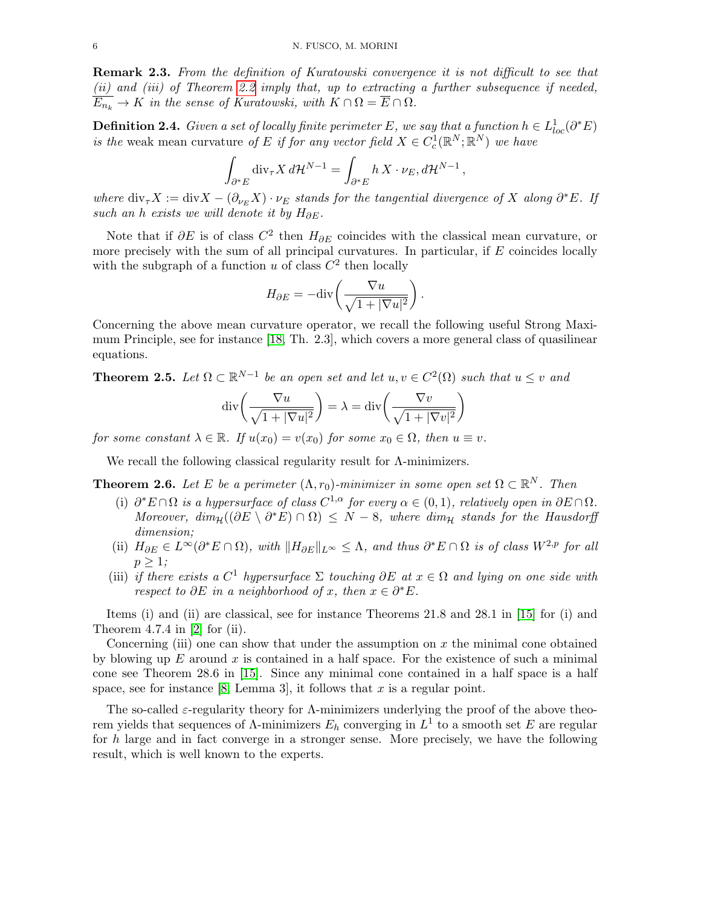<span id="page-5-2"></span>Remark 2.3. From the definition of Kuratowski convergence it is not difficult to see that (ii) and (iii) of Theorem [2.2](#page-4-0) imply that, up to extracting a further subsequence if needed,  $\overline{E_{n_k}} \to K$  in the sense of Kuratowski, with  $K \cap \Omega = \overline{E} \cap \Omega$ .

**Definition 2.4.** Given a set of locally finite perimeter E, we say that a function  $h \in L^{1}_{loc}(\partial^{*}E)$ is the weak mean curvature of E if for any vector field  $X \in C_c^1(\mathbb{R}^N;\mathbb{R}^N)$  we have

$$
\int_{\partial^* E} \operatorname{div}_{\tau} X \, d\mathcal{H}^{N-1} = \int_{\partial^* E} h \, X \cdot \nu_E, d\mathcal{H}^{N-1},
$$

where  $\text{div}_{\tau}X := \text{div}X - (\partial_{\nu_E}X) \cdot \nu_E$  stands for the tangential divergence of X along  $\partial^*E$ . If such an h exists we will denote it by  $H_{\partial E}$ .

Note that if  $\partial E$  is of class  $C^2$  then  $H_{\partial E}$  coincides with the classical mean curvature, or more precisely with the sum of all principal curvatures. In particular, if  $E$  coincides locally with the subgraph of a function u of class  $C^2$  then locally

$$
H_{\partial E} = -\text{div}\left(\frac{\nabla u}{\sqrt{1+|\nabla u|^2}}\right)
$$

.

Concerning the above mean curvature operator, we recall the following useful Strong Maximum Principle, see for instance [\[18,](#page-29-9) Th. 2.3], which covers a more general class of quasilinear equations.

<span id="page-5-1"></span>**Theorem 2.5.** Let  $\Omega \subset \mathbb{R}^{N-1}$  be an open set and let  $u, v \in C^2(\Omega)$  such that  $u \leq v$  and

$$
\operatorname{div}\left(\frac{\nabla u}{\sqrt{1+|\nabla u|^2}}\right) = \lambda = \operatorname{div}\left(\frac{\nabla v}{\sqrt{1+|\nabla v|^2}}\right)
$$

for some constant  $\lambda \in \mathbb{R}$ . If  $u(x_0) = v(x_0)$  for some  $x_0 \in \Omega$ , then  $u \equiv v$ .

We recall the following classical regularity result for Λ-minimizers.

<span id="page-5-0"></span>**Theorem 2.6.** Let E be a perimeter  $(\Lambda, r_0)$ -minimizer in some open set  $\Omega \subset \mathbb{R}^N$ . Then

- (i)  $\partial^* E \cap \Omega$  is a hypersurface of class  $C^{1,\alpha}$  for every  $\alpha \in (0,1)$ , relatively open in  $\partial E \cap \Omega$ . Moreover,  $\dim_{\mathcal{H}}((\partial E \setminus \partial^* E) \cap \Omega) \leq N - 8$ , where  $\dim_{\mathcal{H}}$  stands for the Hausdorff dimension;
- (ii)  $H_{\partial E} \in L^{\infty}(\partial^* E \cap \Omega)$ , with  $\|H_{\partial E}\|_{L^{\infty}} \leq \Lambda$ , and thus  $\partial^* E \cap \Omega$  is of class  $W^{2,p}$  for all  $p \geq 1$ ;
- (iii) if there exists a  $C^1$  hypersurface  $\Sigma$  touching  $\partial E$  at  $x \in \Omega$  and lying on one side with respect to  $\partial E$  in a neighborhood of x, then  $x \in \partial^* E$ .

Items (i) and (ii) are classical, see for instance Theorems 21.8 and 28.1 in [\[15\]](#page-29-8) for (i) and Theorem 4.7.4 in  $[2]$  for (ii).

Concerning (iii) one can show that under the assumption on  $x$  the minimal cone obtained by blowing up  $E$  around  $x$  is contained in a half space. For the existence of such a minimal cone see Theorem 28.6 in [\[15\]](#page-29-8). Since any minimal cone contained in a half space is a half space, see for instance [\[8,](#page-29-11) Lemma 3], it follows that x is a regular point.

The so-called  $\varepsilon$ -regularity theory for A-minimizers underlying the proof of the above theorem yields that sequences of  $\Lambda$ -minimizers  $E_h$  converging in  $L^1$  to a smooth set E are regular for h large and in fact converge in a stronger sense. More precisely, we have the following result, which is well known to the experts.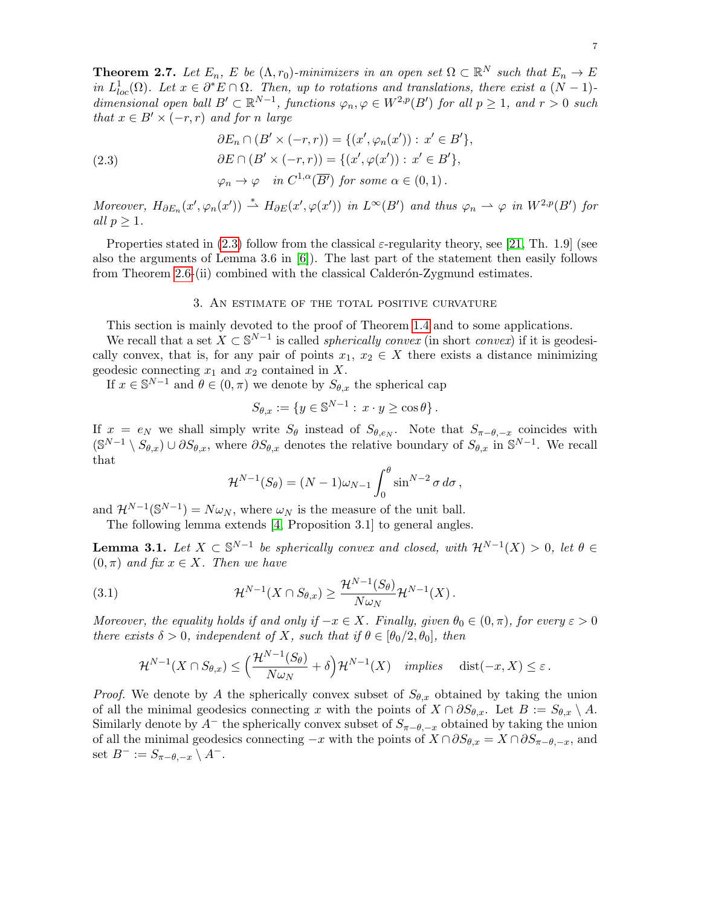<span id="page-6-4"></span>**Theorem 2.7.** Let  $E_n$ , E be  $(\Lambda, r_0)$ -minimizers in an open set  $\Omega \subset \mathbb{R}^N$  such that  $E_n \to E$ in  $L_{loc}^1(\Omega)$ . Let  $x \in \partial^* E \cap \Omega$ . Then, up to rotations and translations, there exist a  $(N-1)$ dimensional open ball  $B' \subset \mathbb{R}^{N-1}$ , functions  $\varphi_n, \varphi \in W^{2,p}(B')$  for all  $p \geq 1$ , and  $r > 0$  such that  $x \in B' \times (-r, r)$  and for n large

<span id="page-6-1"></span>(2.3)  
\n
$$
\partial E_n \cap (B' \times (-r, r)) = \{(x', \varphi_n(x')) : x' \in B'\},
$$
\n
$$
\partial E \cap (B' \times (-r, r)) = \{(x', \varphi(x')) : x' \in B'\},
$$
\n
$$
\varphi_n \to \varphi \quad in \ C^{1,\alpha}(\overline{B'}) \ \text{for some } \alpha \in (0, 1).
$$

Moreover,  $H_{\partial E_n}(x', \varphi_n(x')) \stackrel{*}{\rightharpoonup} H_{\partial E}(x', \varphi(x'))$  in  $L^{\infty}(B')$  and thus  $\varphi_n \rightharpoonup \varphi$  in  $W^{2,p}(B')$  for all  $p \geq 1$ .

Properties stated in [\(2.3\)](#page-6-1) follow from the classical  $\varepsilon$ -regularity theory, see [\[21,](#page-29-12) Th. 1.9] (see also the arguments of Lemma 3.6 in  $[6]$ . The last part of the statement then easily follows from Theorem [2.6-](#page-5-0)(ii) combined with the classical Calderon-Zygmund estimates.

## 3. An estimate of the total positive curvature

<span id="page-6-0"></span>This section is mainly devoted to the proof of Theorem [1.4](#page-1-3) and to some applications.

We recall that a set  $X \subset \mathbb{S}^{N-1}$  is called *spherically convex* (in short *convex*) if it is geodesically convex, that is, for any pair of points  $x_1, x_2 \in X$  there exists a distance minimizing geodesic connecting  $x_1$  and  $x_2$  contained in X.

If  $x \in \mathbb{S}^{N-1}$  and  $\theta \in (0, \pi)$  we denote by  $S_{\theta, x}$  the spherical cap

$$
S_{\theta,x} := \{ y \in \mathbb{S}^{N-1} : x \cdot y \ge \cos \theta \}.
$$

If  $x = e_N$  we shall simply write  $S_{\theta}$  instead of  $S_{\theta,e_N}$ . Note that  $S_{\pi-\theta,-x}$  coincides with  $(\mathbb{S}^{N-1}\setminus S_{\theta,x})\cup \partial S_{\theta,x}$ , where  $\partial S_{\theta,x}$  denotes the relative boundary of  $S_{\theta,x}$  in  $\mathbb{S}^{N-1}$ . We recall that

<span id="page-6-2"></span>
$$
\mathcal{H}^{N-1}(S_{\theta}) = (N-1)\omega_{N-1} \int_0^{\theta} \sin^{N-2} \sigma \, d\sigma,
$$

and  $\mathcal{H}^{N-1}(\mathbb{S}^{N-1}) = N\omega_N$ , where  $\omega_N$  is the measure of the unit ball.

The following lemma extends [\[4,](#page-29-5) Proposition 3.1] to general angles.

<span id="page-6-3"></span>**Lemma 3.1.** Let  $X \subset \mathbb{S}^{N-1}$  be spherically convex and closed, with  $\mathcal{H}^{N-1}(X) > 0$ , let  $\theta \in$  $(0, \pi)$  and fix  $x \in X$ . Then we have

(3.1) 
$$
\mathcal{H}^{N-1}(X \cap S_{\theta,x}) \geq \frac{\mathcal{H}^{N-1}(S_{\theta})}{N \omega_N} \mathcal{H}^{N-1}(X).
$$

Moreover, the equality holds if and only if  $-x \in X$ . Finally, given  $\theta_0 \in (0, \pi)$ , for every  $\varepsilon > 0$ there exists  $\delta > 0$ , independent of X, such that if  $\theta \in [\theta_0/2, \theta_0]$ , then

$$
\mathcal{H}^{N-1}(X \cap S_{\theta,x}) \le \left(\frac{\mathcal{H}^{N-1}(S_{\theta})}{N \omega_N} + \delta\right) \mathcal{H}^{N-1}(X) \quad implies \quad \text{dist}(-x,X) \le \varepsilon \, .
$$

*Proof.* We denote by A the spherically convex subset of  $S_{\theta,x}$  obtained by taking the union of all the minimal geodesics connecting x with the points of  $X \cap \partial S_{\theta,x}$ . Let  $B := S_{\theta,x} \setminus A$ . Similarly denote by  $A^-$  the spherically convex subset of  $S_{\pi-\theta,-x}$  obtained by taking the union of all the minimal geodesics connecting  $-x$  with the points of  $X \cap \partial S_{\theta,x} = X \cap \partial S_{\pi-\theta,-x}$ , and set  $B^- := S_{\pi-\theta,-x} \setminus A^-$ .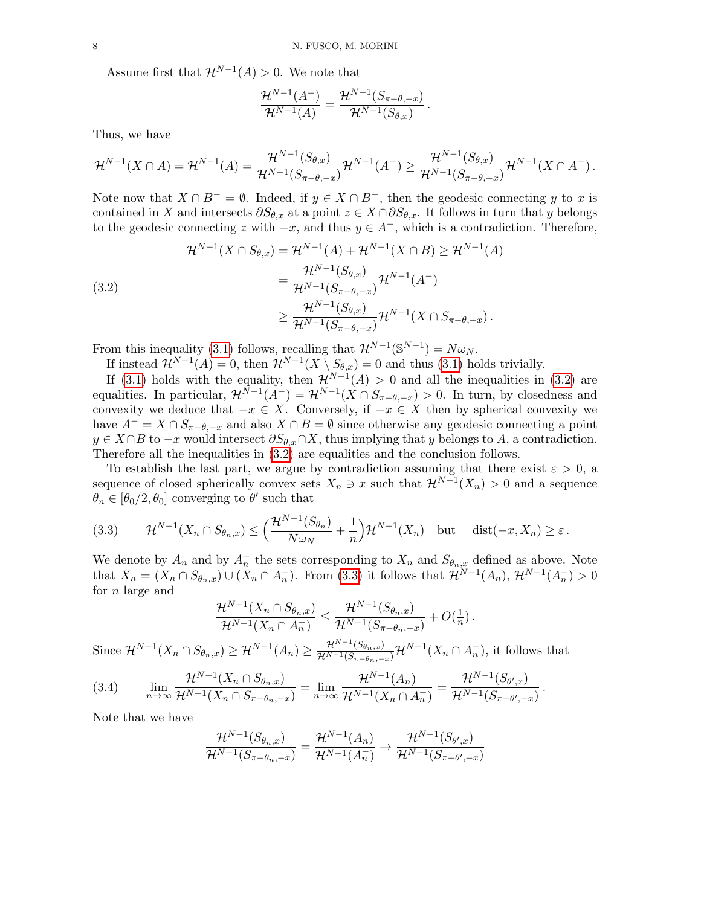Assume first that  $\mathcal{H}^{N-1}(A) > 0$ . We note that

$$
\frac{\mathcal{H}^{N-1}(A^-)}{\mathcal{H}^{N-1}(A)} = \frac{\mathcal{H}^{N-1}(S_{\pi-\theta,-x})}{\mathcal{H}^{N-1}(S_{\theta,x})}.
$$

Thus, we have

$$
\mathcal{H}^{N-1}(X \cap A) = \mathcal{H}^{N-1}(A) = \frac{\mathcal{H}^{N-1}(S_{\theta,x})}{\mathcal{H}^{N-1}(S_{\pi-\theta,-x})} \mathcal{H}^{N-1}(A^{-}) \geq \frac{\mathcal{H}^{N-1}(S_{\theta,x})}{\mathcal{H}^{N-1}(S_{\pi-\theta,-x})} \mathcal{H}^{N-1}(X \cap A^{-}).
$$

Note now that  $X \cap B^- = \emptyset$ . Indeed, if  $y \in X \cap B^-$ , then the geodesic connecting y to x is contained in X and intersects  $\partial S_{\theta,x}$  at a point  $z \in X \cap \partial S_{\theta,x}$ . It follows in turn that y belongs to the geodesic connecting z with  $-x$ , and thus  $y \in A^-$ , which is a contradiction. Therefore,

<span id="page-7-0"></span>(3.2)  
\n
$$
\mathcal{H}^{N-1}(X \cap S_{\theta,x}) = \mathcal{H}^{N-1}(A) + \mathcal{H}^{N-1}(X \cap B) \ge \mathcal{H}^{N-1}(A)
$$
\n
$$
= \frac{\mathcal{H}^{N-1}(S_{\theta,x})}{\mathcal{H}^{N-1}(S_{\pi-\theta,-x})} \mathcal{H}^{N-1}(A^{-})
$$
\n
$$
\ge \frac{\mathcal{H}^{N-1}(S_{\theta,x})}{\mathcal{H}^{N-1}(S_{\pi-\theta,-x})} \mathcal{H}^{N-1}(X \cap S_{\pi-\theta,-x}).
$$

From this inequality [\(3.1\)](#page-6-2) follows, recalling that  $\mathcal{H}^{N-1}(\mathbb{S}^{N-1}) = N\omega_N$ .

If instead  $\mathcal{H}^{N-1}(A) = 0$ , then  $\mathcal{H}^{N-1}(X \setminus S_{\theta,x}) = 0$  and thus [\(3.1\)](#page-6-2) holds trivially.

If [\(3.1\)](#page-6-2) holds with the equality, then  $\mathcal{H}^{N-1}(A) > 0$  and all the inequalities in [\(3.2\)](#page-7-0) are equalities. In particular,  $\mathcal{H}^{N-1}(A^-) = \mathcal{H}^{N-1}(X \cap S_{\pi-\theta,-x}) > 0$ . In turn, by closedness and convexity we deduce that  $-x \in X$ . Conversely, if  $-x \in X$  then by spherical convexity we have  $A^- = X \cap S_{\pi-\theta,-x}$  and also  $X \cap B = \emptyset$  since otherwise any geodesic connecting a point  $y \in X \cap B$  to  $-x$  would intersect  $\partial S_{\theta,x} \cap X$ , thus implying that y belongs to A, a contradiction. Therefore all the inequalities in [\(3.2\)](#page-7-0) are equalities and the conclusion follows.

To establish the last part, we argue by contradiction assuming that there exist  $\varepsilon > 0$ , a sequence of closed spherically convex sets  $X_n \ni x$  such that  $\mathcal{H}^{N-1}(X_n) > 0$  and a sequence  $\theta_n \in [\theta_0/2, \theta_0]$  converging to  $\theta'$  such that

<span id="page-7-1"></span>(3.3) 
$$
\mathcal{H}^{N-1}(X_n \cap S_{\theta_n,x}) \leq \left(\frac{\mathcal{H}^{N-1}(S_{\theta_n})}{N \omega_N} + \frac{1}{n}\right) \mathcal{H}^{N-1}(X_n) \text{ but } \text{dist}(-x,X_n) \geq \varepsilon.
$$

We denote by  $A_n$  and by  $A_n^-$  the sets corresponding to  $X_n$  and  $S_{\theta_n,x}$  defined as above. Note that  $X_n = (X_n \cap S_{\theta_n,x}) \cup (X_n \cap A_n)$ . From [\(3.3\)](#page-7-1) it follows that  $\mathcal{H}^{N-1}(A_n)$ ,  $\mathcal{H}^{N-1}(A_n) > 0$ for n large and

$$
\frac{\mathcal{H}^{N-1}(X_n \cap S_{\theta_n,x})}{\mathcal{H}^{N-1}(X_n \cap A_n^{-})} \leq \frac{\mathcal{H}^{N-1}(S_{\theta_n,x})}{\mathcal{H}^{N-1}(S_{\pi-\theta_n,-x})} + O(\tfrac{1}{n}).
$$

Since  $\mathcal{H}^{N-1}(X_n \cap S_{\theta_n,x}) \geq \mathcal{H}^{N-1}(A_n) \geq \frac{\mathcal{H}^{N-1}(S_{\theta_n,x})}{\mathcal{H}^{N-1}(S_{\pi-\theta_n,-x})} \mathcal{H}^{N-1}(X_n \cap A_n^{-}),$  it follows that

<span id="page-7-2"></span>(3.4) 
$$
\lim_{n \to \infty} \frac{\mathcal{H}^{N-1}(X_n \cap S_{\theta_n, x})}{\mathcal{H}^{N-1}(X_n \cap S_{\pi - \theta_n, -x})} = \lim_{n \to \infty} \frac{\mathcal{H}^{N-1}(A_n)}{\mathcal{H}^{N-1}(X_n \cap A_n)} = \frac{\mathcal{H}^{N-1}(S_{\theta', x})}{\mathcal{H}^{N-1}(S_{\pi - \theta', -x})}.
$$

Note that we have

$$
\frac{\mathcal{H}^{N-1}(S_{\theta_n,x})}{\mathcal{H}^{N-1}(S_{\pi-\theta_n,-x})} = \frac{\mathcal{H}^{N-1}(A_n)}{\mathcal{H}^{N-1}(A_n^-)} \to \frac{\mathcal{H}^{N-1}(S_{\theta',x})}{\mathcal{H}^{N-1}(S_{\pi-\theta',-x})}
$$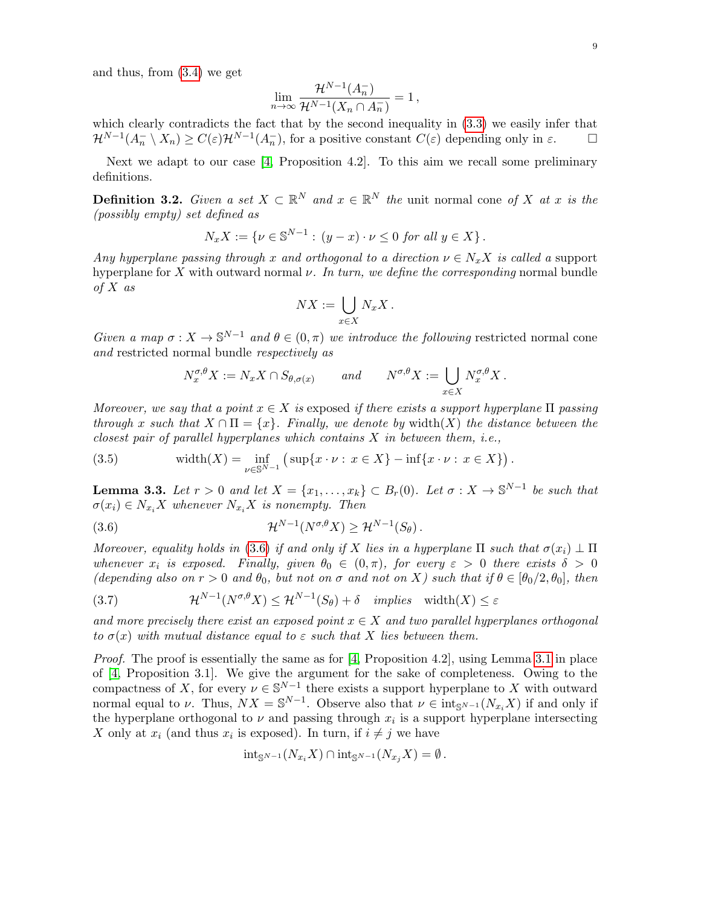and thus, from [\(3.4\)](#page-7-2) we get

$$
\lim_{n \to \infty} \frac{\mathcal{H}^{N-1}(A_n^-)}{\mathcal{H}^{N-1}(X_n \cap A_n^-)} = 1,
$$

which clearly contradicts the fact that by the second inequality in  $(3.3)$  we easily infer that  $\mathcal{H}^{N-1}(A_n^- \setminus X_n) \geq C(\varepsilon) \mathcal{H}^{N-1}(A_n^-)$ , for a positive constant  $C(\varepsilon)$  depending only in  $\varepsilon$ .

Next we adapt to our case [\[4,](#page-29-5) Proposition 4.2]. To this aim we recall some preliminary definitions.

**Definition 3.2.** Given a set  $X \subset \mathbb{R}^N$  and  $x \in \mathbb{R}^N$  the unit normal cone of X at x is the (possibly empty) set defined as

$$
N_x X := \{ \nu \in \mathbb{S}^{N-1} : (y - x) \cdot \nu \le 0 \text{ for all } y \in X \}.
$$

Any hyperplane passing through x and orthogonal to a direction  $\nu \in N_xX$  is called a support hyperplane for X with outward normal  $\nu$ . In turn, we define the corresponding normal bundle of  $X$  as

$$
NX := \bigcup_{x \in X} N_x X.
$$

Given a map  $\sigma: X \to \mathbb{S}^{N-1}$  and  $\theta \in (0, \pi)$  we introduce the following restricted normal cone and restricted normal bundle respectively as

<span id="page-8-1"></span><span id="page-8-0"></span>
$$
N_x^{\sigma,\theta} X := N_x X \cap S_{\theta,\sigma(x)} \quad \text{and} \quad N^{\sigma,\theta} X := \bigcup_{x \in X} N_x^{\sigma,\theta} X.
$$

Moreover, we say that a point  $x \in X$  is exposed if there exists a support hyperplane  $\Pi$  passing through x such that  $X \cap \Pi = \{x\}$ . Finally, we denote by width $(X)$  the distance between the closest pair of parallel hyperplanes which contains  $X$  in between them, i.e.,

(3.5) 
$$
\text{width}(X) = \inf_{\nu \in \mathbb{S}^{N-1}} \left( \sup \{ x \cdot \nu : x \in X \} - \inf \{ x \cdot \nu : x \in X \} \right).
$$

<span id="page-8-3"></span>**Lemma 3.3.** Let  $r > 0$  and let  $X = \{x_1, \ldots, x_k\} \subset B_r(0)$ . Let  $\sigma : X \to \mathbb{S}^{N-1}$  be such that  $\sigma(x_i) \in N_{x_i}X$  whenever  $N_{x_i}X$  is nonempty. Then

(3.6) 
$$
\mathcal{H}^{N-1}(N^{\sigma,\theta}X) \geq \mathcal{H}^{N-1}(S_{\theta}).
$$

Moreover, equality holds in [\(3.6\)](#page-8-1) if and only if X lies in a hyperplane  $\Pi$  such that  $\sigma(x_i) \perp \Pi$ whenever  $x_i$  is exposed. Finally, given  $\theta_0 \in (0, \pi)$ , for every  $\varepsilon > 0$  there exists  $\delta > 0$ (depending also on  $r > 0$  and  $\theta_0$ , but not on  $\sigma$  and not on X) such that if  $\theta \in [\theta_0/2, \theta_0]$ , then

<span id="page-8-2"></span>(3.7) 
$$
\mathcal{H}^{N-1}(N^{\sigma,\theta}X) \leq \mathcal{H}^{N-1}(S_{\theta}) + \delta \quad implies \quad \text{width}(X) \leq \varepsilon
$$

and more precisely there exist an exposed point  $x \in X$  and two parallel hyperplanes orthogonal to  $\sigma(x)$  with mutual distance equal to  $\varepsilon$  such that X lies between them.

*Proof.* The proof is essentially the same as for  $[4,$  Proposition 4.2, using Lemma [3.1](#page-6-3) in place of [\[4,](#page-29-5) Proposition 3.1]. We give the argument for the sake of completeness. Owing to the compactness of X, for every  $\nu \in \mathbb{S}^{N-1}$  there exists a support hyperplane to X with outward normal equal to  $\nu$ . Thus,  $NX = \mathbb{S}^{N-1}$ . Observe also that  $\nu \in \text{int}_{\mathbb{S}^{N-1}}(N_{x_i}X)$  if and only if the hyperplane orthogonal to  $\nu$  and passing through  $x_i$  is a support hyperplane intersecting X only at  $x_i$  (and thus  $x_i$  is exposed). In turn, if  $i \neq j$  we have

$$
int_{\mathbb{S}^{N-1}}(N_{x_i}X)\cap int_{\mathbb{S}^{N-1}}(N_{x_j}X)=\emptyset.
$$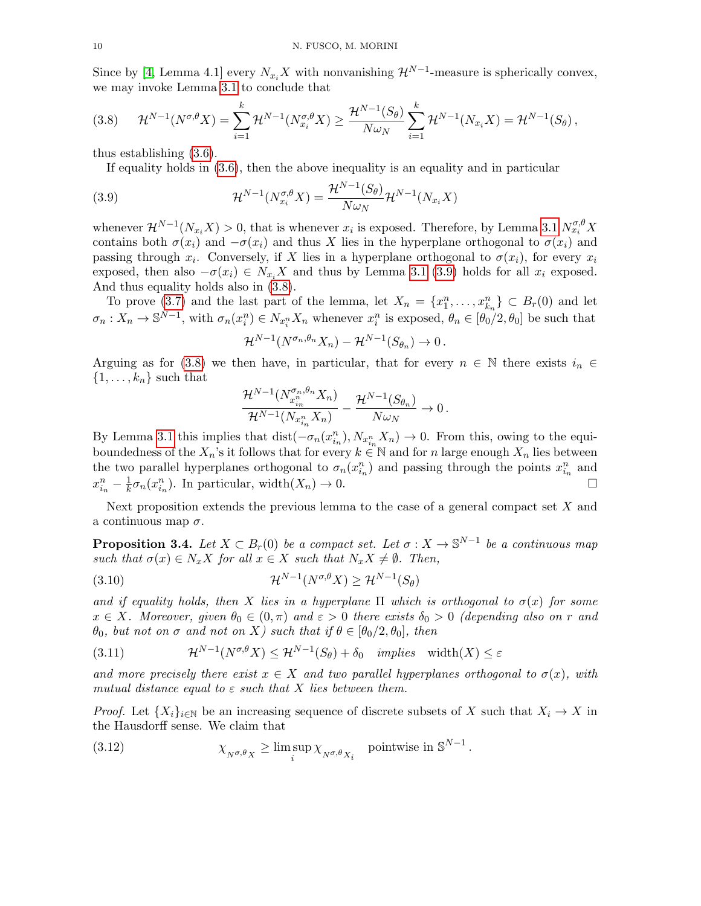Since by [\[4,](#page-29-5) Lemma 4.1] every  $N_{x_i}X$  with nonvanishing  $\mathcal{H}^{N-1}$ -measure is spherically convex, we may invoke Lemma [3.1](#page-6-3) to conclude that

<span id="page-9-1"></span>
$$
(3.8) \qquad \mathcal{H}^{N-1}(N^{\sigma,\theta}X) = \sum_{i=1}^{k} \mathcal{H}^{N-1}(N_{x_i}^{\sigma,\theta}X) \ge \frac{\mathcal{H}^{N-1}(S_{\theta})}{N\omega_N} \sum_{i=1}^{k} \mathcal{H}^{N-1}(N_{x_i}X) = \mathcal{H}^{N-1}(S_{\theta}),
$$

thus establishing [\(3.6\)](#page-8-1).

<span id="page-9-0"></span>If equality holds in [\(3.6\)](#page-8-1), then the above inequality is an equality and in particular

(3.9) 
$$
\mathcal{H}^{N-1}(N_{x_i}^{\sigma,\theta}X) = \frac{\mathcal{H}^{N-1}(S_{\theta})}{N\omega_N}\mathcal{H}^{N-1}(N_{x_i}X)
$$

whenever  $\mathcal{H}^{N-1}(N_{x_i}X) > 0$ , that is whenever  $x_i$  is exposed. Therefore, by Lemma [3.1](#page-6-3)  $N_{x_i}^{\sigma,\theta}X$ contains both  $\sigma(x_i)$  and  $-\sigma(x_i)$  and thus X lies in the hyperplane orthogonal to  $\sigma(x_i)$  and passing through  $x_i$ . Conversely, if X lies in a hyperplane orthogonal to  $\sigma(x_i)$ , for every  $x_i$ exposed, then also  $-\sigma(x_i) \in N_{x_i}X$  and thus by Lemma [3.1](#page-6-3) [\(3.9\)](#page-9-0) holds for all  $x_i$  exposed. And thus equality holds also in [\(3.8\)](#page-9-1).

To prove [\(3.7\)](#page-8-2) and the last part of the lemma, let  $X_n = \{x_1^n, \ldots, x_{k_n}^n\} \subset B_r(0)$  and let  $\sigma_n: X_n \to \mathbb{S}^{N-1}$ , with  $\sigma_n(x_i^n) \in N_{x_i^n} X_n$  whenever  $x_i^n$  is exposed,  $\theta_n \in [\theta_0/2, \theta_0]$  be such that

$$
\mathcal{H}^{N-1}(N^{\sigma_n,\theta_n}X_n)-\mathcal{H}^{N-1}(S_{\theta_n})\to 0.
$$

Arguing as for [\(3.8\)](#page-9-1) we then have, in particular, that for every  $n \in \mathbb{N}$  there exists  $i_n \in$  $\{1, \ldots, k_n\}$  such that

$$
\frac{\mathcal{H}^{N-1}(N_{x_{i_n}^n}^{\sigma_n,\theta_n}X_n)}{\mathcal{H}^{N-1}(N_{x_{i_n}^n}X_n)}-\frac{\mathcal{H}^{N-1}(S_{\theta_n})}{N\omega_N}\to 0\,.
$$

By Lemma [3.1](#page-6-3) this implies that dist( $-\sigma_n(x_{i_n}^n), N_{x_{i_n}^n}X_n$ )  $\to 0$ . From this, owing to the equiboundedness of the  $X_n$ 's it follows that for every  $k \in \mathbb{N}$  and for n large enough  $X_n$  lies between the two parallel hyperplanes orthogonal to  $\sigma_n(x_{i_n}^n)$  and passing through the points  $x_{i_n}^n$  and  $x_{i_n}^n - \frac{1}{k}$  $\frac{1}{k}\sigma_n(x_{i_n}^n)$ . In particular, width $(X_n) \to 0$ .

Next proposition extends the previous lemma to the case of a general compact set  $X$  and a continuous map  $\sigma$ .

<span id="page-9-5"></span>**Proposition 3.4.** Let  $X \subset B_r(0)$  be a compact set. Let  $\sigma : X \to \mathbb{S}^{N-1}$  be a continuous map such that  $\sigma(x) \in N_x X$  for all  $x \in X$  such that  $N_x X \neq \emptyset$ . Then,

<span id="page-9-4"></span>(3.10) 
$$
\mathcal{H}^{N-1}(N^{\sigma,\theta}X) \ge \mathcal{H}^{N-1}(S_{\theta})
$$

and if equality holds, then X lies in a hyperplane  $\Pi$  which is orthogonal to  $\sigma(x)$  for some  $x \in X$ . Moreover, given  $\theta_0 \in (0, \pi)$  and  $\varepsilon > 0$  there exists  $\delta_0 > 0$  (depending also on r and  $\theta_0$ , but not on  $\sigma$  and not on X) such that if  $\theta \in [\theta_0/2, \theta_0]$ , then

<span id="page-9-3"></span>(3.11) 
$$
\mathcal{H}^{N-1}(N^{\sigma,\theta}X) \leq \mathcal{H}^{N-1}(S_{\theta}) + \delta_0 \quad implies \quad \text{width}(X) \leq \varepsilon
$$

and more precisely there exist  $x \in X$  and two parallel hyperplanes orthogonal to  $\sigma(x)$ , with mutual distance equal to  $\varepsilon$  such that X lies between them.

*Proof.* Let  $\{X_i\}_{i\in\mathbb{N}}$  be an increasing sequence of discrete subsets of X such that  $X_i \to X$  in the Hausdorff sense. We claim that

<span id="page-9-2"></span>(3.12) 
$$
\chi_{N^{\sigma,\theta}X} \geq \limsup_{i} \chi_{N^{\sigma,\theta}X_i} \quad \text{pointwise in } \mathbb{S}^{N-1}.
$$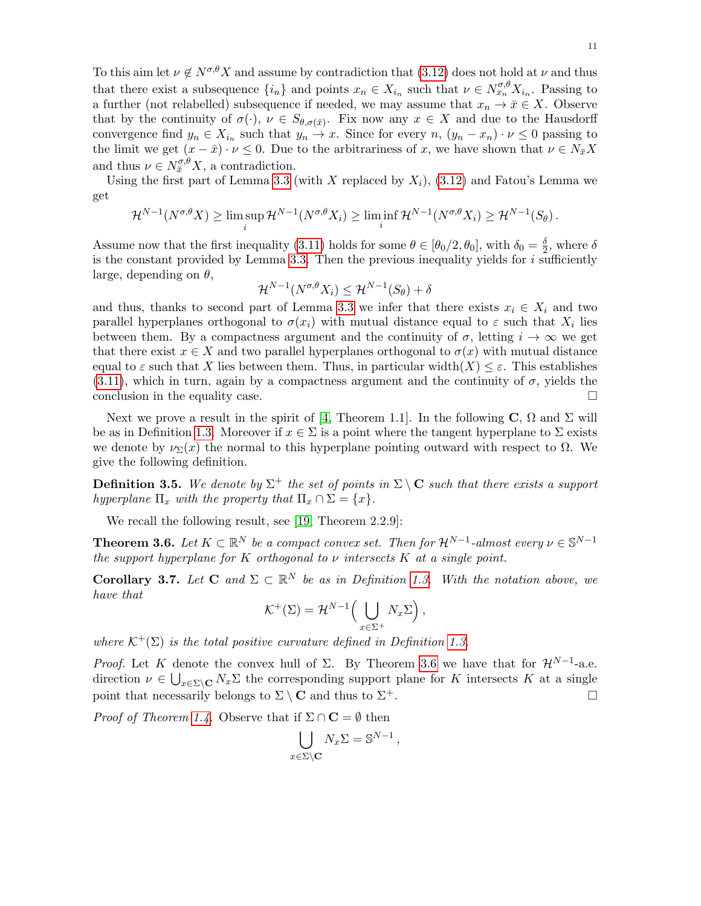To this aim let  $\nu \notin N^{\sigma,\theta}X$  and assume by contradiction that [\(3.12\)](#page-9-2) does not hold at  $\nu$  and thus that there exist a subsequence  $\{i_n\}$  and points  $x_n \in X_{i_n}$  such that  $\nu \in N_{x_n}^{\sigma,\theta} X_{i_n}$ . Passing to a further (not relabelled) subsequence if needed, we may assume that  $x_n \to \bar{x} \in X$ . Observe that by the continuity of  $\sigma(\cdot), \nu \in S_{\theta, \sigma(\bar{x})}$ . Fix now any  $x \in X$  and due to the Hausdorff convergence find  $y_n \in X_{i_n}$  such that  $y_n \to x$ . Since for every  $n, (y_n - x_n) \cdot \nu \leq 0$  passing to the limit we get  $(x - \bar{x}) \cdot \nu \leq 0$ . Due to the arbitrariness of x, we have shown that  $\nu \in N_{\bar{x}}X$ and thus  $\nu \in N_{\bar{x}}^{\sigma,\theta} X$ , a contradiction.

Using the first part of Lemma [3.3](#page-8-3) (with X replaced by  $X_i$ ), [\(3.12\)](#page-9-2) and Fatou's Lemma we get

$$
\mathcal{H}^{N-1}(N^{\sigma,\theta}X) \geq \limsup_{i} \mathcal{H}^{N-1}(N^{\sigma,\theta}X_i) \geq \liminf_{i} \mathcal{H}^{N-1}(N^{\sigma,\theta}X_i) \geq \mathcal{H}^{N-1}(S_{\theta}).
$$

Assume now that the first inequality [\(3.11\)](#page-9-3) holds for some  $\theta \in [\theta_0/2, \theta_0]$ , with  $\delta_0 = \frac{\delta}{2}$  $\frac{\delta}{2}$ , where  $\delta$ is the constant provided by Lemma [3.3.](#page-8-3) Then the previous inequality yields for  $i$  sufficiently large, depending on  $\theta$ ,

$$
\mathcal{H}^{N-1}(N^{\sigma,\theta}X_i) \le \mathcal{H}^{N-1}(S_{\theta}) + \delta
$$

and thus, thanks to second part of Lemma [3.3](#page-8-3) we infer that there exists  $x_i \in X_i$  and two parallel hyperplanes orthogonal to  $\sigma(x_i)$  with mutual distance equal to  $\varepsilon$  such that  $X_i$  lies between them. By a compactness argument and the continuity of  $\sigma$ , letting  $i \to \infty$  we get that there exist  $x \in X$  and two parallel hyperplanes orthogonal to  $\sigma(x)$  with mutual distance equal to  $\varepsilon$  such that X lies between them. Thus, in particular width $(X) \leq \varepsilon$ . This establishes  $(3.11)$ , which in turn, again by a compactness argument and the continuity of  $\sigma$ , yields the conclusion in the equality case.  $\Box$ 

Next we prove a result in the spirit of [\[4,](#page-29-5) Theorem 1.1]. In the following C,  $\Omega$  and  $\Sigma$  will be as in Definition [1.3.](#page-1-0) Moreover if  $x \in \Sigma$  is a point where the tangent hyperplane to  $\Sigma$  exists we denote by  $\nu_{\Sigma}(x)$  the normal to this hyperplane pointing outward with respect to  $\Omega$ . We give the following definition.

<span id="page-10-1"></span>**Definition 3.5.** We denote by  $\Sigma^+$  the set of points in  $\Sigma \setminus \mathbf{C}$  such that there exists a support hyperplane  $\Pi_x$  with the property that  $\Pi_x \cap \Sigma = \{x\}.$ 

We recall the following result, see [\[19,](#page-29-14) Theorem 2.2.9]:

<span id="page-10-0"></span>**Theorem 3.6.** Let  $K \subset \mathbb{R}^N$  be a compact convex set. Then for  $\mathcal{H}^{N-1}$ -almost every  $\nu \in \mathbb{S}^{N-1}$ the support hyperplane for K orthogonal to  $\nu$  intersects K at a single point.

<span id="page-10-2"></span>**Corollary 3.7.** Let **C** and  $\Sigma \subset \mathbb{R}^N$  be as in Definition [1.3.](#page-1-0) With the notation above, we have that

$$
\mathcal{K}^+(\Sigma) = \mathcal{H}^{N-1}\Big(\bigcup_{x \in \Sigma^+} N_x \Sigma\Big),\,
$$

where  $\mathcal{K}^+(\Sigma)$  is the total positive curvature defined in Definition [1.3.](#page-1-0)

*Proof.* Let K denote the convex hull of  $\Sigma$ . By Theorem [3.6](#page-10-0) we have that for  $\mathcal{H}^{N-1}$ -a.e. direction  $\nu \in \bigcup_{x \in \Sigma \backslash \mathbf{C}} N_x \Sigma$  the corresponding support plane for K intersects K at a single point that necessarily belongs to  $\Sigma \setminus \mathbf{C}$  and thus to  $\Sigma^+$ .

*Proof of Theorem [1.4.](#page-1-3)* Observe that if  $\Sigma \cap \mathbf{C} = \emptyset$  then

$$
\bigcup_{x \in \Sigma \backslash \mathbf{C}} N_x \Sigma = \mathbb{S}^{N-1} \,,
$$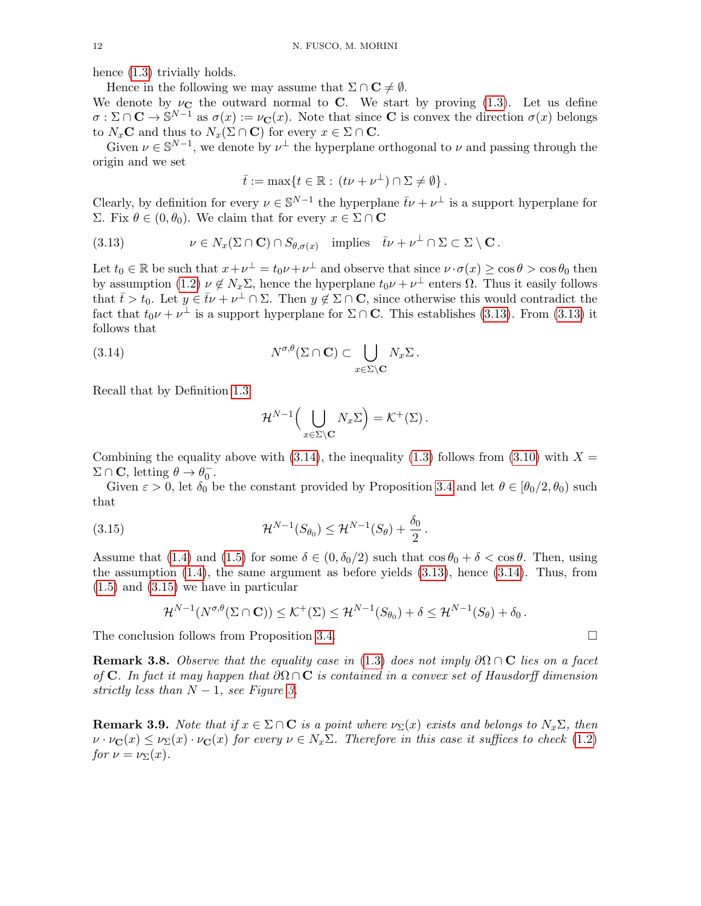hence  $(1.3)$  trivially holds.

Hence in the following we may assume that  $\Sigma \cap C \neq \emptyset$ .

We denote by  $\nu_{\mathbf{C}}$  the outward normal to **C**. We start by proving [\(1.3\)](#page-1-2). Let us define  $\sigma : \Sigma \cap \mathbf{C} \to \mathbb{S}^{N-1}$  as  $\sigma(x) := \nu_{\mathbf{C}}(x)$ . Note that since **C** is convex the direction  $\sigma(x)$  belongs to  $N_x$ **C** and thus to  $N_x(\Sigma \cap \mathbf{C})$  for every  $x \in \Sigma \cap \mathbf{C}$ .

Given  $\nu \in \mathbb{S}^{N-1}$ , we denote by  $\nu^{\perp}$  the hyperplane orthogonal to  $\nu$  and passing through the origin and we set

<span id="page-11-0"></span>
$$
\bar{t} := \max\{t \in \mathbb{R} : (t\nu + \nu^{\perp}) \cap \Sigma \neq \emptyset\}.
$$

Clearly, by definition for every  $\nu \in \mathbb{S}^{N-1}$  the hyperplane  $\bar{t}\nu + \nu^{\perp}$  is a support hyperplane for Σ. Fix  $θ ∈ (0, θ_0)$ . We claim that for every  $x ∈ Σ ∩ C$ 

(3.13) 
$$
\nu \in N_x(\Sigma \cap \mathbf{C}) \cap S_{\theta, \sigma(x)} \text{ implies } \overline{t} \nu + \nu^{\perp} \cap \Sigma \subset \Sigma \setminus \mathbf{C}.
$$

Let  $t_0 \in \mathbb{R}$  be such that  $x + \nu^{\perp} = t_0 \nu + \nu^{\perp}$  and observe that since  $\nu \cdot \sigma(x) \ge \cos \theta > \cos \theta_0$  then by assumption [\(1.2\)](#page-1-1)  $\nu \notin N_x\Sigma$ , hence the hyperplane  $t_0\nu + \nu^{\perp}$  enters  $\Omega$ . Thus it easily follows that  $\bar{t} > t_0$ . Let  $y \in \bar{t} \nu + \nu^{\perp} \cap \Sigma$ . Then  $y \notin \Sigma \cap \mathbf{C}$ , since otherwise this would contradict the fact that  $t_0 \nu + \nu^{\perp}$  is a support hyperplane for  $\Sigma \cap \mathbf{C}$ . This establishes [\(3.13\)](#page-11-0). From (3.13) it follows that

(3.14) 
$$
N^{\sigma,\theta}(\Sigma \cap \mathbf{C}) \subset \bigcup_{x \in \Sigma \setminus \mathbf{C}} N_x \Sigma.
$$

Recall that by Definition [1.3](#page-1-0)

<span id="page-11-2"></span><span id="page-11-1"></span>
$$
\mathcal{H}^{N-1}\Big(\bigcup_{x\in\Sigma\setminus\mathbf{C}}N_x\Sigma\Big)=\mathcal{K}^+(\Sigma).
$$

Combining the equality above with  $(3.14)$ , the inequality  $(1.3)$  follows from  $(3.10)$  with  $X =$  $\Sigma \cap \mathbf{C}$ , letting  $\theta \to \theta_0^-$ .

Given  $\varepsilon > 0$ , let  $\delta_0$  be the constant provided by Proposition [3.4](#page-9-5) and let  $\theta \in [\theta_0/2, \theta_0)$  such that

(3.15) 
$$
\mathcal{H}^{N-1}(S_{\theta_0}) \leq \mathcal{H}^{N-1}(S_{\theta}) + \frac{\delta_0}{2}.
$$

Assume that [\(1.4\)](#page-1-4) and [\(1.5\)](#page-1-5) for some  $\delta \in (0, \delta_0/2)$  such that  $\cos \theta_0 + \delta < \cos \theta$ . Then, using the assumption  $(1.4)$ , the same argument as before yields  $(3.13)$ , hence  $(3.14)$ . Thus, from [\(1.5\)](#page-1-5) and [\(3.15\)](#page-11-2) we have in particular

$$
\mathcal{H}^{N-1}(N^{\sigma,\theta}(\Sigma \cap \mathbf{C})) \leq \mathcal{K}^{+}(\Sigma) \leq \mathcal{H}^{N-1}(S_{\theta_0}) + \delta \leq \mathcal{H}^{N-1}(S_{\theta}) + \delta_0.
$$

The conclusion follows from Proposition [3.4.](#page-9-5)

<span id="page-11-3"></span>**Remark 3.8.** Observe that the equality case in [\(1.3\)](#page-1-2) does not imply  $\partial\Omega \cap C$  lies on a facet of C. In fact it may happen that  $\partial\Omega\cap\mathbf{C}$  is contained in a convex set of Hausdorff dimension strictly less than  $N-1$ , see Figure [3.](#page-11-3)

**Remark 3.9.** Note that if  $x \in \Sigma \cap \mathbf{C}$  is a point where  $\nu_{\Sigma}(x)$  exists and belongs to  $N_{x}\Sigma$ , then  $\nu \cdot \nu_{\mathbf{C}}(x) \leq \nu_{\Sigma}(x) \cdot \nu_{\mathbf{C}}(x)$  for every  $\nu \in N_x \Sigma$ . Therefore in this case it suffices to check [\(1.2\)](#page-1-1) for  $\nu = \nu_{\Sigma}(x)$ .

$$
\qquad \qquad \Box
$$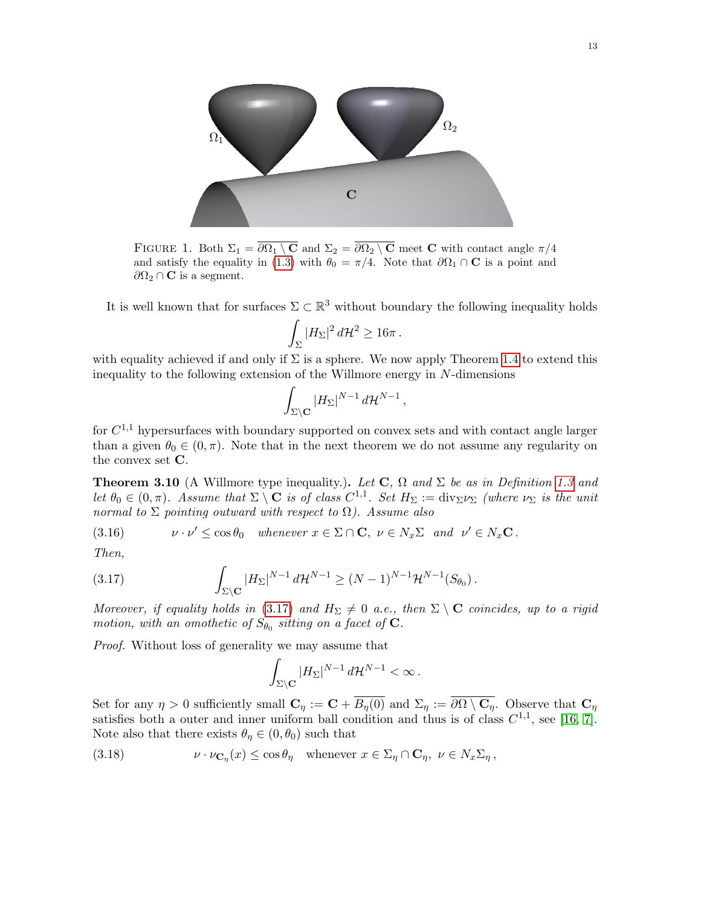

FIGURE 1. Both  $\Sigma_1 = \overline{\partial \Omega_1 \setminus \mathbf{C}}$  and  $\Sigma_2 = \overline{\partial \Omega_2 \setminus \mathbf{C}}$  meet **C** with contact angle  $\pi/4$ and satisfy the equality in [\(1.3\)](#page-1-2) with  $\theta_0 = \pi/4$ . Note that  $\partial\Omega_1 \cap \mathbf{C}$  is a point and  $\partial \Omega_2 \cap {\bf C}$  is a segment.

It is well known that for surfaces  $\Sigma \subset \mathbb{R}^3$  without boundary the following inequality holds

$$
\int_{\Sigma} |H_{\Sigma}|^2 d\mathcal{H}^2 \geq 16\pi.
$$

with equality achieved if and only if  $\Sigma$  is a sphere. We now apply Theorem [1.4](#page-1-3) to extend this inequality to the following extension of the Willmore energy in  $N$ -dimensions

$$
\int_{\Sigma\setminus\mathbf{C}}|H_{\Sigma}|^{N-1} d\mathcal{H}^{N-1},
$$

for  $C^{1,1}$  hypersurfaces with boundary supported on convex sets and with contact angle larger than a given  $\theta_0 \in (0, \pi)$ . Note that in the next theorem we do not assume any regularity on the convex set C.

<span id="page-12-0"></span>**Theorem 3.10** (A Willmore type inequality.). Let  $C$ ,  $\Omega$  and  $\Sigma$  be as in Definition [1.3](#page-1-0) and let  $\theta_0 \in (0, \pi)$ . Assume that  $\Sigma \setminus \mathbf{C}$  is of class  $C^{1,1}$ . Set  $H_{\Sigma} := \text{div}_{\Sigma} \nu_{\Sigma}$  (where  $\nu_{\Sigma}$  is the unit normal to  $\Sigma$  pointing outward with respect to  $\Omega$ ). Assume also

<span id="page-12-2"></span>(3.16) 
$$
\nu \cdot \nu' \leq \cos \theta_0 \quad \text{whenever } x \in \Sigma \cap \mathbf{C}, \ \nu \in N_x \Sigma \quad \text{and} \quad \nu' \in N_x \mathbf{C}.
$$

Then,

(3.17) 
$$
\int_{\Sigma\setminus\mathbf{C}} |H_{\Sigma}|^{N-1} d\mathcal{H}^{N-1} \geq (N-1)^{N-1} \mathcal{H}^{N-1}(S_{\theta_0}).
$$

Moreover, if equality holds in [\(3.17\)](#page-12-1) and  $H_{\Sigma} \neq 0$  a.e., then  $\Sigma \setminus \mathbf{C}$  coincides, up to a rigid motion, with an omothetic of  $S_{\theta_0}$  sitting on a facet of **C**.

Proof. Without loss of generality we may assume that

<span id="page-12-1"></span>
$$
\int_{\Sigma\setminus\mathbf{C}} |H_{\Sigma}|^{N-1} d\mathcal{H}^{N-1} < \infty.
$$

Set for any  $\eta > 0$  sufficiently small  $\mathbf{C}_\eta := \mathbf{C} + \overline{B_n(0)}$  and  $\Sigma_\eta := \overline{\partial \Omega \setminus \mathbf{C}_\eta}$ . Observe that  $\mathbf{C}_\eta$ satisfies both a outer and inner uniform ball condition and thus is of class  $C^{1,1}$ , see [\[16,](#page-29-15) [7\]](#page-29-16). Note also that there exists  $\theta_{\eta} \in (0, \theta_0)$  such that

<span id="page-12-3"></span>(3.18) 
$$
\nu \cdot \nu_{\mathbf{C}_{\eta}}(x) \leq \cos \theta_{\eta} \quad \text{whenever } x \in \Sigma_{\eta} \cap \mathbf{C}_{\eta}, \ \nu \in N_{x} \Sigma_{\eta},
$$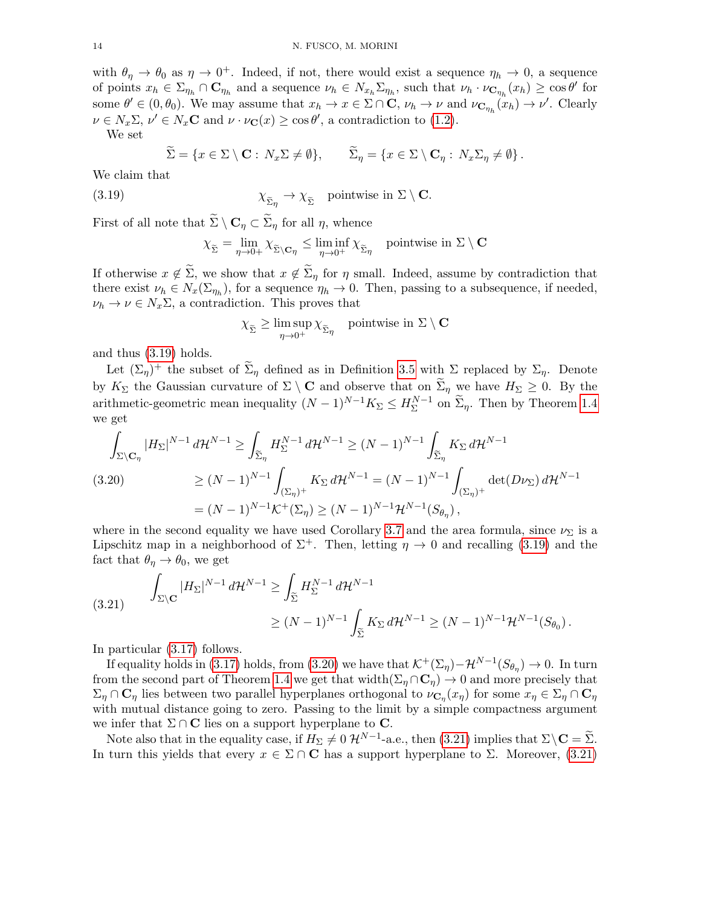with  $\theta_{\eta} \to \theta_0$  as  $\eta \to 0^+$ . Indeed, if not, there would exist a sequence  $\eta_h \to 0$ , a sequence of points  $x_h \in \Sigma_{\eta_h} \cap \mathbf{C}_{\eta_h}$  and a sequence  $\nu_h \in N_{x_h} \Sigma_{\eta_h}$ , such that  $\nu_h \cdot \nu_{\mathbf{C}_{\eta_h}}(x_h) \geq \cos \theta'$  for some  $\theta' \in (0, \theta_0)$ . We may assume that  $x_h \to x \in \Sigma \cap \mathbf{C}$ ,  $\nu_h \to \nu$  and  $\nu_{\mathbf{C}_{\eta_h}}(x_h) \to \nu'$ . Clearly  $\nu \in N_x \Sigma, \nu' \in N_x \mathbf{C}$  and  $\nu \cdot \nu_{\mathbf{C}}(x) \ge \cos \theta'$ , a contradiction to [\(1.2\)](#page-1-1).

We set

$$
\widetilde{\Sigma} = \{x \in \Sigma \setminus \mathbf{C} : N_x \Sigma \neq \emptyset\}, \qquad \widetilde{\Sigma}_{\eta} = \{x \in \Sigma \setminus \mathbf{C}_{\eta} : N_x \Sigma_{\eta} \neq \emptyset\}.
$$

We claim that

(3.19) 
$$
\chi_{\widetilde{\Sigma}_{\eta}} \to \chi_{\widetilde{\Sigma}} \quad \text{pointwise in } \Sigma \setminus \mathbf{C}.
$$

First of all note that  $\widetilde{\Sigma} \setminus \mathbf{C}_\eta \subset \widetilde{\Sigma}_\eta$  for all  $\eta$ , whence

<span id="page-13-0"></span>
$$
\chi_{\widetilde{\Sigma}} = \lim_{\eta \to 0+} \chi_{\widetilde{\Sigma} \setminus \mathbf{C}\eta} \le \liminf_{\eta \to 0^+} \chi_{\widetilde{\Sigma}\eta} \quad \text{pointwise in } \Sigma \setminus \mathbf{C}
$$

If otherwise  $x \notin \Sigma$ , we show that  $x \notin \Sigma_n$  for  $\eta$  small. Indeed, assume by contradiction that there exist  $\nu_h \in N_x(\Sigma_{\eta_h})$ , for a sequence  $\eta_h \to 0$ . Then, passing to a subsequence, if needed,  $\nu_h \to \nu \in N_x \Sigma$ , a contradiction. This proves that

$$
\chi_{\widetilde{\Sigma}} \geq \limsup_{\eta \to 0^+} \chi_{\widetilde{\Sigma}_{\eta}} \quad \text{pointwise in } \Sigma \setminus \mathbf{C}
$$

and thus [\(3.19\)](#page-13-0) holds.

Let  $(\Sigma_{\eta})^+$  the subset of  $\widetilde{\Sigma}_{\eta}$  defined as in Definition [3.5](#page-10-1) with  $\Sigma$  replaced by  $\Sigma_{\eta}$ . Denote by  $K_{\Sigma}$  the Gaussian curvature of  $\Sigma \setminus \mathbf{C}$  and observe that on  $\widetilde{\Sigma}_{\eta}$  we have  $H_{\Sigma} \geq 0$ . By the arithmetic-geometric mean inequality  $(N-1)^{N-1}K_{\Sigma}\leq H_{\Sigma}^{N-1}$  $\Sigma^{\text{N}-1}$  on  $\Sigma_{\eta}$ . Then by Theorem [1.4](#page-1-3) we get

<span id="page-13-1"></span>
$$
\int_{\Sigma \backslash \mathbf{C}_{\eta}} |H_{\Sigma}|^{N-1} d\mathcal{H}^{N-1} \ge \int_{\widetilde{\Sigma}_{\eta}} H_{\Sigma}^{N-1} d\mathcal{H}^{N-1} \ge (N-1)^{N-1} \int_{\widetilde{\Sigma}_{\eta}} K_{\Sigma} d\mathcal{H}^{N-1}
$$
\n
$$
(3.20) \qquad \ge (N-1)^{N-1} \int_{(\Sigma_{\eta})^{+}} K_{\Sigma} d\mathcal{H}^{N-1} = (N-1)^{N-1} \int_{(\Sigma_{\eta})^{+}} \det(D\nu_{\Sigma}) d\mathcal{H}^{N-1}
$$
\n
$$
= (N-1)^{N-1} \mathcal{K}^{+}(\Sigma_{\eta}) \ge (N-1)^{N-1} \mathcal{H}^{N-1}(S_{\theta_{\eta}}),
$$

where in the second equality we have used Corollary [3.7](#page-10-2) and the area formula, since  $\nu_{\Sigma}$  is a Lipschitz map in a neighborhood of  $\Sigma^+$ . Then, letting  $\eta \to 0$  and recalling [\(3.19\)](#page-13-0) and the fact that  $\theta_{\eta} \rightarrow \theta_0$ , we get

<span id="page-13-2"></span>
$$
(3.21) \qquad \int_{\Sigma \backslash \mathbf{C}} |H_{\Sigma}|^{N-1} d\mathcal{H}^{N-1} \ge \int_{\widetilde{\Sigma}} H_{\Sigma}^{N-1} d\mathcal{H}^{N-1} \le (N-1)^{N-1} \mathcal{H}^{N-1}(S_{\theta_0}).
$$
\n
$$
\ge (N-1)^{N-1} \int_{\widetilde{\Sigma}} K_{\Sigma} d\mathcal{H}^{N-1} \ge (N-1)^{N-1} \mathcal{H}^{N-1}(S_{\theta_0}).
$$

In particular [\(3.17\)](#page-12-1) follows.

If equality holds in [\(3.17\)](#page-12-1) holds, from [\(3.20\)](#page-13-1) we have that  $\mathcal{K}^+(\Sigma_\eta) - \mathcal{H}^{N-1}(S_{\theta_\eta}) \to 0$ . In turn from the second part of Theorem [1.4](#page-1-3) we get that width $(\Sigma_{\eta} \cap \mathbb{C}_{\eta}) \to 0$  and more precisely that  $\Sigma_\eta\cap{\bf C}_\eta$  lies between two parallel hyperplanes orthogonal to  $\nu_{{\bf C}_\eta}(x_\eta)$  for some  $x_\eta\in\Sigma_\eta\cap{\bf C}_\eta$ with mutual distance going to zero. Passing to the limit by a simple compactness argument we infer that  $\Sigma \cap \mathbf{C}$  lies on a support hyperplane to  $\mathbf{C}$ .

Note also that in the equality case, if  $H_{\Sigma} \neq 0 \; \mathcal{H}^{N-1}$ -a.e., then [\(3.21\)](#page-13-2) implies that  $\Sigma \setminus \mathbf{C} = \widetilde{\Sigma}$ . In turn this yields that every  $x \in \Sigma \cap \mathbf{C}$  has a support hyperplane to  $\Sigma$ . Moreover, [\(3.21\)](#page-13-2)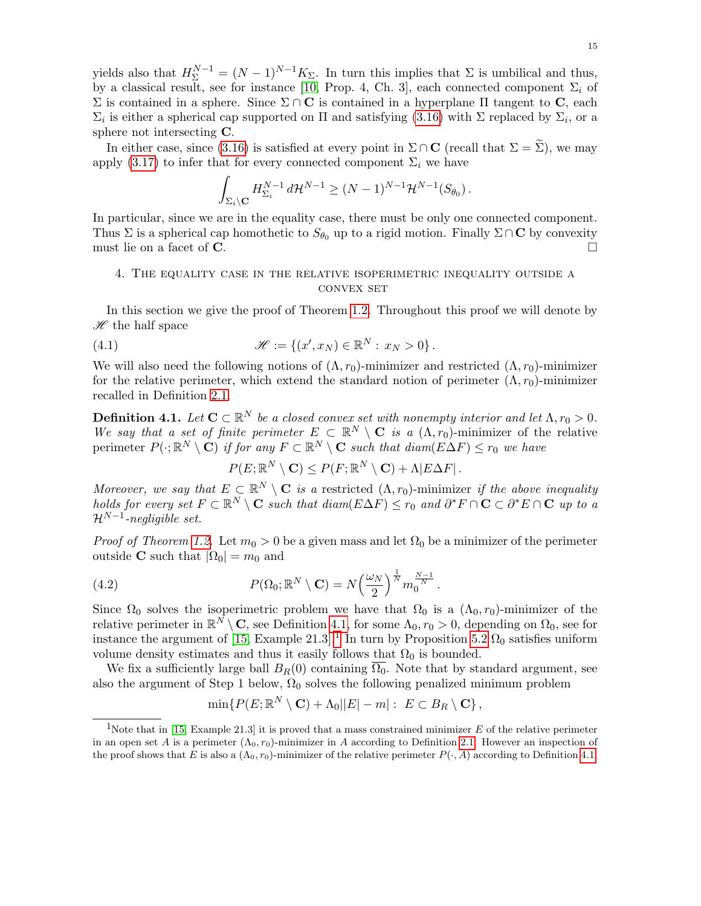yields also that  $H_{\Sigma}^{N-1} = (N-1)^{N-1} K_{\Sigma}$ . In turn this implies that  $\Sigma$  is umbilical and thus, by a classical result, see for instance [\[10,](#page-29-17) Prop. 4, Ch. 3], each connected component  $\Sigma_i$  of  $Σ$  is contained in a sphere. Since  $Σ ∩ C$  is contained in a hyperplane Π tangent to C, each  $\Sigma_i$  is either a spherical cap supported on  $\Pi$  and satisfying [\(3.16\)](#page-12-2) with  $\Sigma$  replaced by  $\Sigma_i$ , or a sphere not intersecting C.

In either case, since [\(3.16\)](#page-12-2) is satisfied at every point in  $\Sigma \cap \mathbf{C}$  (recall that  $\Sigma = \Sigma$ ), we may apply [\(3.17\)](#page-12-1) to infer that for every connected component  $\Sigma_i$  we have

$$
\int_{\Sigma_i\setminus\mathbf{C}} H^{N-1}_{\Sigma_i} d\mathcal{H}^{N-1} \geq (N-1)^{N-1} \mathcal{H}^{N-1}(S_{\theta_0}).
$$

In particular, since we are in the equality case, there must be only one connected component. Thus  $\Sigma$  is a spherical cap homothetic to  $S_{\theta_0}$  up to a rigid motion. Finally  $\Sigma \cap \mathbf{C}$  by convexity must lie on a facet of  $\bf{C}$ .

## <span id="page-14-1"></span>4. The equality case in the relative isoperimetric inequality outside a convex set

In this section we give the proof of Theorem [1.2.](#page-0-2) Throughout this proof we will denote by  $\mathscr H$  the half space

(4.1) 
$$
\mathcal{H} := \{ (x', x_N) \in \mathbb{R}^N : x_N > 0 \}.
$$

We will also need the following notions of  $(\Lambda, r_0)$ -minimizer and restricted  $(\Lambda, r_0)$ -minimizer for the relative perimeter, which extend the standard notion of perimeter  $(\Lambda, r_0)$ -minimizer recalled in Definition [2.1.](#page-4-1)

<span id="page-14-0"></span>**Definition 4.1.** Let  $\mathbf{C} \subset \mathbb{R}^N$  be a closed convex set with nonempty interior and let  $\Lambda, r_0 > 0$ . We say that a set of finite perimeter  $E \subset \mathbb{R}^N \setminus \mathbf{C}$  is a  $(\Lambda, r_0)$ -minimizer of the relative perimeter  $P(\cdot; \mathbb{R}^N \setminus \mathbf{C})$  if for any  $F \subset \mathbb{R}^N \setminus \mathbf{C}$  such that  $diam(E\Delta F) \le r_0$  we have

<span id="page-14-4"></span><span id="page-14-3"></span> $P(E; \mathbb{R}^N \setminus \mathbf{C}) \leq P(F; \mathbb{R}^N \setminus \mathbf{C}) + \Lambda |E\Delta F|.$ 

Moreover, we say that  $E \subset \mathbb{R}^N \setminus \mathbf{C}$  is a restricted  $(\Lambda, r_0)$ -minimizer if the above inequality holds for every set  $F \subset \mathbb{R}^N \setminus \mathbf{C}$  such that  $diam(E\Delta F) \leq r_0$  and  $\partial^* F \cap \mathbf{C} \subset \partial^* E \cap \mathbf{C}$  up to a  $\mathcal{H}^{N-1}$ -negligible set.

*Proof of Theorem [1.2.](#page-0-2)* Let  $m_0 > 0$  be a given mass and let  $\Omega_0$  be a minimizer of the perimeter outside **C** such that  $|\Omega_0| = m_0$  and

(4.2) 
$$
P(\Omega_0; \mathbb{R}^N \setminus \mathbf{C}) = N \left(\frac{\omega_N}{2}\right)^{\frac{1}{N}} m_0^{\frac{N-1}{N}}.
$$

Since  $\Omega_0$  solves the isoperimetric problem we have that  $\Omega_0$  is a  $(\Lambda_0, r_0)$ -minimizer of the relative perimeter in  $\mathbb{R}^N \setminus \mathbf{C}$ , see Definition [4.1,](#page-14-0) for some  $\Lambda_0, r_0 > 0$ , depending on  $\Omega_0$ , see for instance the argument of [\[15,](#page-29-8) Example 2[1](#page-14-2).3].<sup>1</sup> In turn by Proposition [5.2](#page-23-0)  $\Omega_0$  satisfies uniform volume density estimates and thus it easily follows that  $\Omega_0$  is bounded.

We fix a sufficiently large ball  $B_R(0)$  containing  $\overline{\Omega_0}$ . Note that by standard argument, see also the argument of Step 1 below,  $\Omega_0$  solves the following penalized minimum problem

$$
\min\{P(E;\mathbb{R}^N\setminus\mathbf{C})+\Lambda_0||E|-m|:\; E\subset B_R\setminus\mathbf{C}\}\,,
$$

<span id="page-14-2"></span><sup>&</sup>lt;sup>1</sup>Note that in [\[15,](#page-29-8) Example 21.3] it is proved that a mass constrained minimizer  $E$  of the relative perimeter in an open set A is a perimeter  $(\Lambda_0, r_0)$ -minimizer in A according to Definition [2.1.](#page-4-1) However an inspection of the proof shows that E is also a  $(\Lambda_0, r_0)$ -minimizer of the relative perimeter  $P(\cdot, A)$  according to Definition [4.1.](#page-14-0)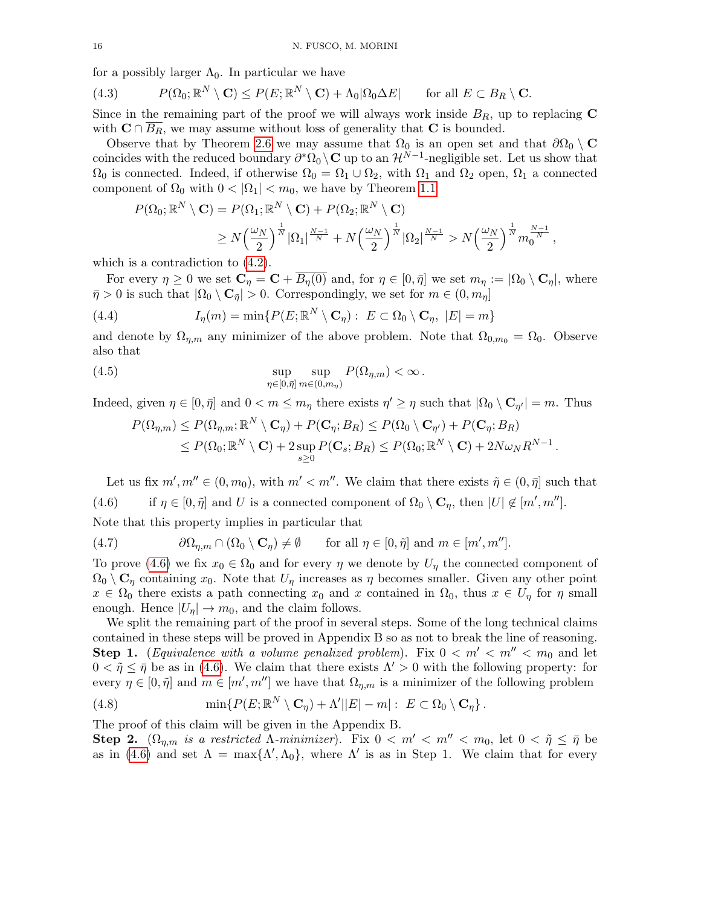for a possibly larger  $\Lambda_0$ . In particular we have

<span id="page-15-1"></span>(4.3) 
$$
P(\Omega_0; \mathbb{R}^N \setminus \mathbf{C}) \leq P(E; \mathbb{R}^N \setminus \mathbf{C}) + \Lambda_0 |\Omega_0 \Delta E| \quad \text{for all } E \subset B_R \setminus \mathbf{C}.
$$

Since in the remaining part of the proof we will always work inside  $B_R$ , up to replacing  $\mathbf C$ with  $C \cap B_R$ , we may assume without loss of generality that C is bounded.

Observe that by Theorem [2.6](#page-5-0) we may assume that  $\Omega_0$  is an open set and that  $\partial\Omega_0 \setminus \mathbf{C}$ coincides with the reduced boundary  $\partial^* \Omega_0 \setminus \mathbf{C}$  up to an  $\mathcal{H}^{N-1}$ -negligible set. Let us show that  $\Omega_0$  is connected. Indeed, if otherwise  $\Omega_0 = \Omega_1 \cup \Omega_2$ , with  $\Omega_1$  and  $\Omega_2$  open,  $\Omega_1$  a connected component of  $\Omega_0$  with  $0 < |\Omega_1| < m_0$ , we have by Theorem [1.1](#page-0-1)

$$
P(\Omega_0; \mathbb{R}^N \setminus \mathbf{C}) = P(\Omega_1; \mathbb{R}^N \setminus \mathbf{C}) + P(\Omega_2; \mathbb{R}^N \setminus \mathbf{C})
$$
  
\$\ge N\left(\frac{\omega\_N}{2}\right)^{\frac{1}{N}}|\Omega\_1|^{\frac{N-1}{N}} + N\left(\frac{\omega\_N}{2}\right)^{\frac{1}{N}}|\Omega\_2|^{\frac{N-1}{N}} > N\left(\frac{\omega\_N}{2}\right)^{\frac{1}{N}}m\_0^{\frac{N-1}{N}},

which is a contradiction to [\(4.2\)](#page-14-3).

For every  $\eta \geq 0$  we set  $\mathbf{C}_{\eta} = \mathbf{C} + \overline{B_{\eta}(0)}$  and, for  $\eta \in [0, \bar{\eta}]$  we set  $m_{\eta} := |\Omega_0 \setminus \mathbf{C}_{\eta}|$ , where  $\bar{\eta} > 0$  is such that  $|\Omega_0 \setminus \mathbf{C}_{\bar{\eta}}| > 0$ . Correspondingly, we set for  $m \in (0, m_{\eta}]$ 

<span id="page-15-2"></span>(4.4) 
$$
I_{\eta}(m) = \min\{P(E; \mathbb{R}^{N} \setminus \mathbf{C}_{\eta}) : E \subset \Omega_{0} \setminus \mathbf{C}_{\eta}, |E| = m\}
$$

and denote by  $\Omega_{n,m}$  any minimizer of the above problem. Note that  $\Omega_{0,m_0} = \Omega_0$ . Observe also that

(4.5) 
$$
\sup_{\eta \in [0,\bar{\eta}]}\sup_{m\in(0,m_{\eta})} P(\Omega_{\eta,m}) < \infty.
$$

Indeed, given  $\eta \in [0, \bar{\eta}]$  and  $0 < m \le m_{\eta}$  there exists  $\eta' \ge \eta$  such that  $|\Omega_0 \setminus \mathbf{C}_{\eta'}| = m$ . Thus

<span id="page-15-4"></span>
$$
P(\Omega_{\eta,m}) \leq P(\Omega_{\eta,m}; \mathbb{R}^N \setminus \mathbf{C}_{\eta}) + P(\mathbf{C}_{\eta}; B_R) \leq P(\Omega_0 \setminus \mathbf{C}_{\eta'}) + P(\mathbf{C}_{\eta}; B_R)
$$
  
\n
$$
\leq P(\Omega_0; \mathbb{R}^N \setminus \mathbf{C}) + 2 \sup_{s \geq 0} P(\mathbf{C}_s; B_R) \leq P(\Omega_0; \mathbb{R}^N \setminus \mathbf{C}) + 2N\omega_N R^{N-1}.
$$

<span id="page-15-0"></span>Let us fix  $m', m'' \in (0, m_0)$ , with  $m' < m''$ . We claim that there exists  $\tilde{\eta} \in (0, \bar{\eta}]$  such that (4.6) if  $\eta \in [0, \tilde{\eta}]$  and U is a connected component of  $\Omega_0 \setminus \mathbf{C}_{\eta}$ , then  $|U| \notin [m', m'']$ .

Note that this property implies in particular that

<span id="page-15-3"></span>(4.7) 
$$
\partial\Omega_{\eta,m}\cap(\Omega_0\setminus\mathbf{C}_{\eta})\neq\emptyset \quad \text{for all } \eta\in[0,\tilde{\eta}] \text{ and } m\in[m',m''].
$$

To prove [\(4.6\)](#page-15-0) we fix  $x_0 \in \Omega_0$  and for every  $\eta$  we denote by  $U_{\eta}$  the connected component of  $\Omega_0 \setminus \mathbf{C}_\eta$  containing  $x_0$ . Note that  $U_\eta$  increases as  $\eta$  becomes smaller. Given any other point  $x \in \Omega_0$  there exists a path connecting  $x_0$  and x contained in  $\Omega_0$ , thus  $x \in U_\eta$  for  $\eta$  small enough. Hence  $|U_n| \to m_0$ , and the claim follows.

We split the remaining part of the proof in several steps. Some of the long technical claims contained in these steps will be proved in Appendix B so as not to break the line of reasoning. **Step 1.** (*Equivalence with a volume penalized problem*). Fix  $0 < m' < m'' < m_0$  and let  $0 < \tilde{\eta} \leq \bar{\eta}$  be as in [\(4.6\)](#page-15-0). We claim that there exists  $\Lambda' > 0$  with the following property: for every  $\eta \in [0, \tilde{\eta}]$  and  $m \in [m', m'']$  we have that  $\Omega_{\eta,m}$  is a minimizer of the following problem

<span id="page-15-5"></span>(4.8) 
$$
\min\{P(E;\mathbb{R}^N\setminus\mathbf{C}_{\eta})+\Lambda'||E|-m|:\ E\subset\Omega_0\setminus\mathbf{C}_{\eta}\}.
$$

The proof of this claim will be given in the Appendix B.

**Step 2.**  $(\Omega_{\eta,m}$  is a restricted  $\Lambda$ -minimizer). Fix  $0 < m' < m'' < m_0$ , let  $0 < \tilde{\eta} \leq \bar{\eta}$  be as in [\(4.6\)](#page-15-0) and set  $\Lambda = \max{\Lambda', \Lambda_0}$ , where  $\Lambda'$  is as in Step 1. We claim that for every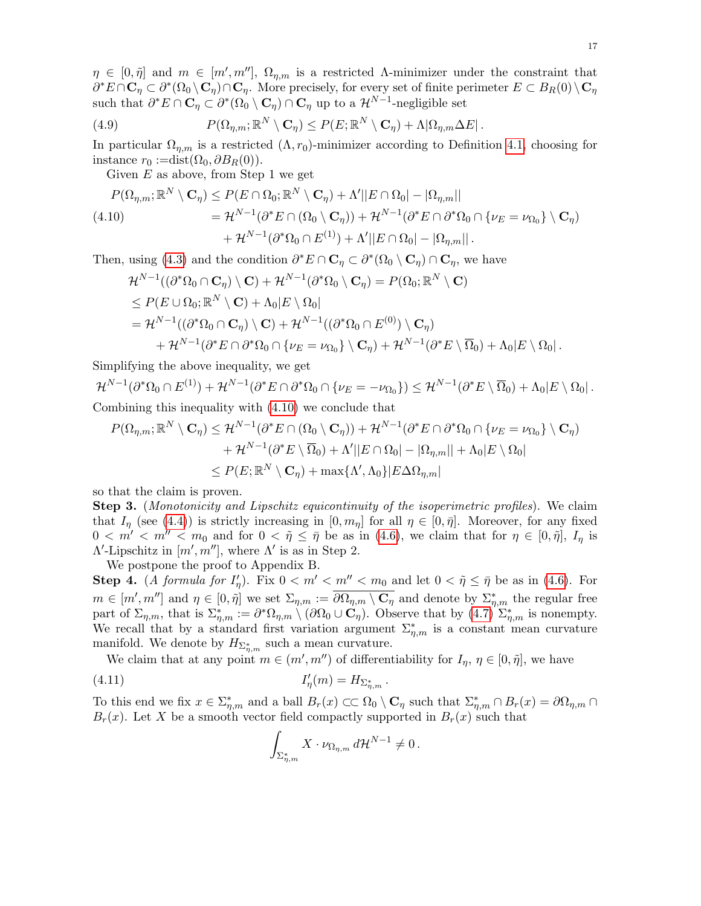$\eta \in [0, \tilde{\eta}]$  and  $m \in [m', m'']$ ,  $\Omega_{\eta,m}$  is a restricted A-minimizer under the constraint that  $\partial^*E \cap \mathbf{C}_\eta \subset \partial^*(\Omega_0 \setminus \mathbf{C}_\eta) \cap \mathbf{C}_\eta$ . More precisely, for every set of finite perimeter  $E \subset B_R(0) \setminus \mathbf{C}_\eta$ such that  $\partial^* E \cap \mathbf{C}_\eta \subset \partial^*(\Omega_0 \setminus \mathbf{C}_\eta) \cap \mathbf{C}_\eta$  up to a  $\mathcal{H}^{N-1}$ -negligible set

<span id="page-16-2"></span>(4.9) 
$$
P(\Omega_{\eta,m}; \mathbb{R}^N \setminus \mathbf{C}_{\eta}) \leq P(E; \mathbb{R}^N \setminus \mathbf{C}_{\eta}) + \Lambda |\Omega_{\eta,m} \Delta E|.
$$

In particular  $\Omega_{n,m}$  is a restricted  $(\Lambda, r_0)$ -minimizer according to Definition [4.1,](#page-14-0) choosing for instance  $r_0 := dist(\Omega_0, \partial B_R(0)).$ 

Given  $E$  as above, from Step 1 we get

<span id="page-16-0"></span>
$$
P(\Omega_{\eta,m};\mathbb{R}^N\setminus\mathbf{C}_{\eta}) \leq P(E \cap \Omega_0;\mathbb{R}^N\setminus\mathbf{C}_{\eta}) + \Lambda'||E \cap \Omega_0| - |\Omega_{\eta,m}||
$$
  
\n
$$
(4.10) \qquad \qquad = \mathcal{H}^{N-1}(\partial^*E \cap (\Omega_0\setminus\mathbf{C}_{\eta})) + \mathcal{H}^{N-1}(\partial^*E \cap \partial^*\Omega_0 \cap \{\nu_E = \nu_{\Omega_0}\}\setminus\mathbf{C}_{\eta})
$$
  
\n
$$
+ \mathcal{H}^{N-1}(\partial^*\Omega_0 \cap E^{(1)}) + \Lambda'||E \cap \Omega_0| - |\Omega_{\eta,m}||.
$$

Then, using [\(4.3\)](#page-15-1) and the condition  $\partial^* E \cap \mathbf{C}_\eta \subset \partial^* (\Omega_0 \setminus \mathbf{C}_\eta) \cap \mathbf{C}_\eta$ , we have

$$
\mathcal{H}^{N-1}((\partial^*\Omega_0 \cap \mathbf{C}_{\eta}) \setminus \mathbf{C}) + \mathcal{H}^{N-1}(\partial^*\Omega_0 \setminus \mathbf{C}_{\eta}) = P(\Omega_0; \mathbb{R}^N \setminus \mathbf{C})
$$
  
\n
$$
\leq P(E \cup \Omega_0; \mathbb{R}^N \setminus \mathbf{C}) + \Lambda_0 |E \setminus \Omega_0|
$$
  
\n
$$
= \mathcal{H}^{N-1}((\partial^*\Omega_0 \cap \mathbf{C}_{\eta}) \setminus \mathbf{C}) + \mathcal{H}^{N-1}((\partial^*\Omega_0 \cap E^{(0)}) \setminus \mathbf{C}_{\eta})
$$
  
\n
$$
+ \mathcal{H}^{N-1}(\partial^*E \cap \partial^*\Omega_0 \cap \{\nu_E = \nu_{\Omega_0}\} \setminus \mathbf{C}_{\eta}) + \mathcal{H}^{N-1}(\partial^*E \setminus \overline{\Omega}_0) + \Lambda_0 |E \setminus \Omega_0|.
$$

Simplifying the above inequality, we get

$$
\mathcal{H}^{N-1}(\partial^*\Omega_0 \cap E^{(1)}) + \mathcal{H}^{N-1}(\partial^*E \cap \partial^*\Omega_0 \cap \{\nu_E = -\nu_{\Omega_0}\}) \leq \mathcal{H}^{N-1}(\partial^*E \setminus \overline{\Omega}_0) + \Lambda_0|E \setminus \Omega_0|.
$$

Combining this inequality with [\(4.10\)](#page-16-0) we conclude that

$$
P(\Omega_{\eta,m};\mathbb{R}^N\setminus\mathbf{C}_{\eta}) \leq \mathcal{H}^{N-1}(\partial^*E \cap (\Omega_0 \setminus \mathbf{C}_{\eta})) + \mathcal{H}^{N-1}(\partial^*E \cap \partial^*\Omega_0 \cap \{\nu_E = \nu_{\Omega_0}\} \setminus \mathbf{C}_{\eta})
$$
  
+ 
$$
+ \mathcal{H}^{N-1}(\partial^*E \setminus \overline{\Omega}_0) + \Lambda'||E \cap \Omega_0| - |\Omega_{\eta,m}|| + \Lambda_0|E \setminus \Omega_0|
$$
  

$$
\leq P(E;\mathbb{R}^N \setminus \mathbf{C}_{\eta}) + \max\{\Lambda',\Lambda_0\}|E\Delta\Omega_{\eta,m}|
$$

so that the claim is proven.

Step 3. (Monotonicity and Lipschitz equicontinuity of the isoperimetric profiles). We claim that  $I_{\eta}$  (see [\(4.4\)](#page-15-2)) is strictly increasing in  $[0, m_{\eta}]$  for all  $\eta \in [0, \bar{\eta}]$ . Moreover, for any fixed  $0 < m' < m'' < m_0$  and for  $0 < \tilde{\eta} \leq \overline{\eta}$  be as in [\(4.6\)](#page-15-0), we claim that for  $\eta \in [0, \tilde{\eta}], I_{\eta}$  is  $\Lambda'$ -Lipschitz in  $[m', m'']$ , where  $\Lambda'$  is as in Step 2.

We postpone the proof to Appendix B.

**Step 4.** (A formula for  $I'_\eta$ ). Fix  $0 < m' < m'' < m_0$  and let  $0 < \tilde{\eta} \leq \bar{\eta}$  be as in [\(4.6\)](#page-15-0). For  $m \in [m', m'']$  and  $\eta \in [0, \tilde{\eta}]$  we set  $\Sigma_{\eta,m} := \overline{\partial \Omega_{\eta,m} \setminus \mathbf{C}_{\eta}}$  and denote by  $\Sigma_{\eta,m}^*$  the regular free part of  $\Sigma_{\eta,m}$ , that is  $\Sigma_{\eta,m}^* := \partial^* \Omega_{\eta,m} \setminus (\partial \Omega_0 \cup \mathbf{C}_{\eta})$ . Observe that by  $(4.7) \Sigma_{\eta,m}^*$  is nonempty. We recall that by a standard first variation argument  $\Sigma_{\eta,m}^*$  is a constant mean curvature manifold. We denote by  $H_{\Sigma_{\eta,m}^*}$  such a mean curvature.

We claim that at any point  $m \in (m', m'')$  of differentiability for  $I_{\eta}, \eta \in [0, \tilde{\eta}]$ , we have

$$
I'_{\eta}(m) = H_{\Sigma_{\eta,m}^*}.
$$

To this end we fix  $x \in \sum_{\eta,m}^*$  and a ball  $B_r(x) \subset\subset \Omega_0 \setminus \mathbf{C}_\eta$  such that  $\sum_{\eta,m}^* \cap B_r(x) = \partial \Omega_{\eta,m} \cap$  $B_r(x)$ . Let X be a smooth vector field compactly supported in  $B_r(x)$  such that

<span id="page-16-1"></span>
$$
\int_{\Sigma_{\eta,m}^*} X \cdot \nu_{\Omega_{\eta,m}} d\mathcal{H}^{N-1} \neq 0.
$$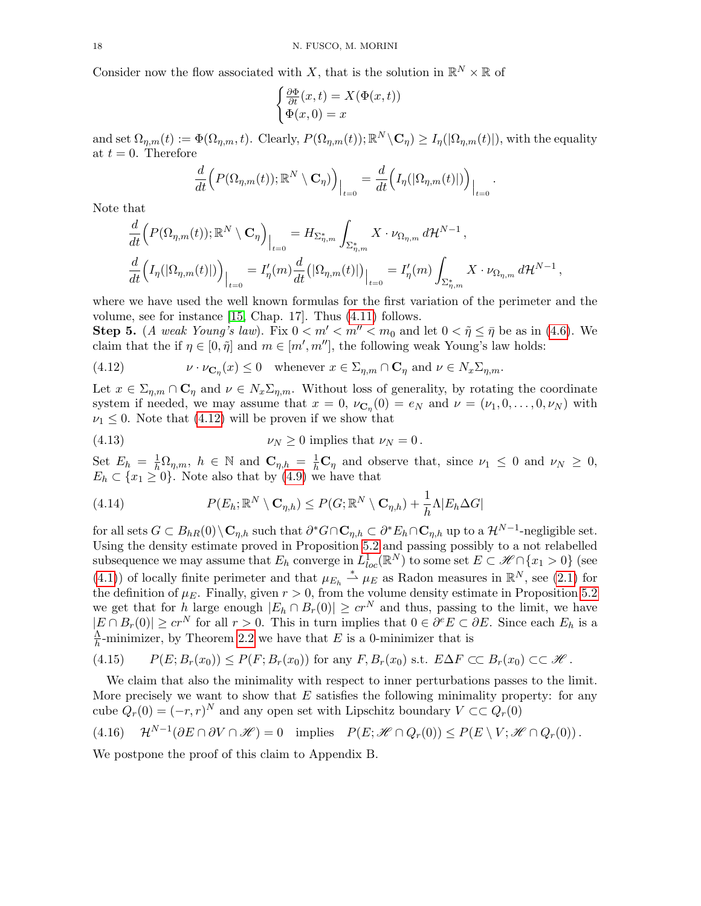Consider now the flow associated with X, that is the solution in  $\mathbb{R}^N \times \mathbb{R}$  of

$$
\begin{cases} \frac{\partial \Phi}{\partial t}(x,t) = X(\Phi(x,t))\\ \Phi(x,0) = x \end{cases}
$$

and set  $\Omega_{\eta,m}(t) := \Phi(\Omega_{\eta,m}, t)$ . Clearly,  $P(\Omega_{\eta,m}(t)); \mathbb{R}^N \setminus \mathbf{C}_{\eta} \geq I_{\eta}(|\Omega_{\eta,m}(t)|)$ , with the equality at  $t = 0$ . Therefore

$$
\frac{d}{dt}\Big(P(\Omega_{\eta,m}(t));\mathbb{R}^N\setminus\mathbf{C}_{\eta}\Big)\Big|_{t=0} = \frac{d}{dt}\Big(I_{\eta}(|\Omega_{\eta,m}(t)|)\Big)\Big|_{t=0}
$$

.

Note that

$$
\frac{d}{dt}\Big(P(\Omega_{\eta,m}(t));\mathbb{R}^N\setminus\mathbf{C}_{\eta}\Big)\Big|_{t=0} = H_{\Sigma_{\eta,m}^*}\int_{\Sigma_{\eta,m}^*} X \cdot \nu_{\Omega_{\eta,m}} d\mathcal{H}^{N-1},
$$
\n
$$
\frac{d}{dt}\Big(I_{\eta}(|\Omega_{\eta,m}(t)|)\Big)\Big|_{t=0} = I'_{\eta}(m)\frac{d}{dt}\big(|\Omega_{\eta,m}(t)|\big)\Big|_{t=0} = I'_{\eta}(m)\int_{\Sigma_{\eta,m}^*} X \cdot \nu_{\Omega_{\eta,m}} d\mathcal{H}^{N-1},
$$

where we have used the well known formulas for the first variation of the perimeter and the volume, see for instance [\[15,](#page-29-8) Chap. 17]. Thus [\(4.11\)](#page-16-1) follows.

**Step 5.** (A weak Young's law). Fix  $0 < m' < m'' < m_0$  and let  $0 < \tilde{\eta} \le \bar{\eta}$  be as in [\(4.6\)](#page-15-0). We claim that the if  $\eta \in [0, \tilde{\eta}]$  and  $m \in [m', m'']$ , the following weak Young's law holds:

<span id="page-17-0"></span>(4.12) 
$$
\nu \cdot \nu_{\mathbf{C}_{\eta}}(x) \leq 0 \quad \text{whenever } x \in \Sigma_{\eta,m} \cap \mathbf{C}_{\eta} \text{ and } \nu \in N_x \Sigma_{\eta,m}.
$$

Let  $x \in \Sigma_{\eta,m} \cap \mathbf{C}_{\eta}$  and  $\nu \in N_x \Sigma_{\eta,m}$ . Without loss of generality, by rotating the coordinate system if needed, we may assume that  $x = 0$ ,  $\nu_{\mathbf{C}_{\eta}}(0) = e_N$  and  $\nu = (\nu_1, 0, \ldots, 0, \nu_N)$  with  $\nu_1 \leq 0$ . Note that [\(4.12\)](#page-17-0) will be proven if we show that

<span id="page-17-2"></span>(4.13) 
$$
\nu_N \geq 0 \text{ implies that } \nu_N = 0.
$$

Set  $E_h = \frac{1}{h} \Omega_{\eta,m}$ ,  $h \in \mathbb{N}$  and  $\mathbf{C}_{\eta,h} = \frac{1}{h} \mathbf{C}_{\eta}$  and observe that, since  $\nu_1 \leq 0$  and  $\nu_N \geq 0$ ,  $E_h \subset \{x_1 \geq 0\}$ . Note also that by [\(4.9\)](#page-16-2) we have that

<span id="page-17-3"></span>(4.14) 
$$
P(E_h; \mathbb{R}^N \setminus \mathbf{C}_{\eta,h}) \leq P(G; \mathbb{R}^N \setminus \mathbf{C}_{\eta,h}) + \frac{1}{h} \Lambda |E_h \Delta G|
$$

for all sets  $G \subset B_{hR}(0) \setminus \mathbf{C}_{\eta,h}$  such that  $\partial^* G \cap \mathbf{C}_{\eta,h} \subset \partial^* E_h \cap \mathbf{C}_{\eta,h}$  up to a  $\mathcal{H}^{N-1}$ -negligible set. Using the density estimate proved in Proposition [5.2](#page-23-0) and passing possibly to a not relabelled subsequence we may assume that  $E_h$  converge in  $L_{loc}^1(\mathbb{R}^N)$  to some set  $E \subset \mathscr{H} \cap \{x_1 > 0\}$  (see [\(4.1\)](#page-14-4)) of locally finite perimeter and that  $\mu_{E_h} \stackrel{*}{\rightharpoonup} \mu_E$  as Radon measures in  $\mathbb{R}^N$ , see [\(2.1\)](#page-4-2) for the definition of  $\mu_E$ . Finally, given  $r > 0$ , from the volume density estimate in Proposition [5.2](#page-23-0) we get that for h large enough  $|E_h \cap B_r(0)| \geq c r^N$  and thus, passing to the limit, we have  $|E \cap B_r(0)| \geq c r^N$  for all  $r > 0$ . This in turn implies that  $0 \in \partial^e E \subset \partial E$ . Since each  $E_h$  is a Λ  $\frac{\Lambda}{h}$ -minimizer, by Theorem [2.2](#page-4-0) we have that E is a 0-minimizer that is

$$
(4.15) \qquad P(E; B_r(x_0)) \le P(F; B_r(x_0)) \text{ for any } F, B_r(x_0) \text{ s.t. } E\Delta F \subset B_r(x_0) \subset \mathcal{H}.
$$

We claim that also the minimality with respect to inner perturbations passes to the limit. More precisely we want to show that  $E$  satisfies the following minimality property: for any cube  $Q_r(0) = (-r, r)^N$  and any open set with Lipschitz boundary  $V \subset \subset Q_r(0)$ 

<span id="page-17-1"></span>
$$
(4.16) \quad \mathcal{H}^{N-1}(\partial E \cap \partial V \cap \mathscr{H}) = 0 \quad \text{implies} \quad P(E; \mathscr{H} \cap Q_r(0)) \le P(E \setminus V; \mathscr{H} \cap Q_r(0)).
$$

We postpone the proof of this claim to Appendix B.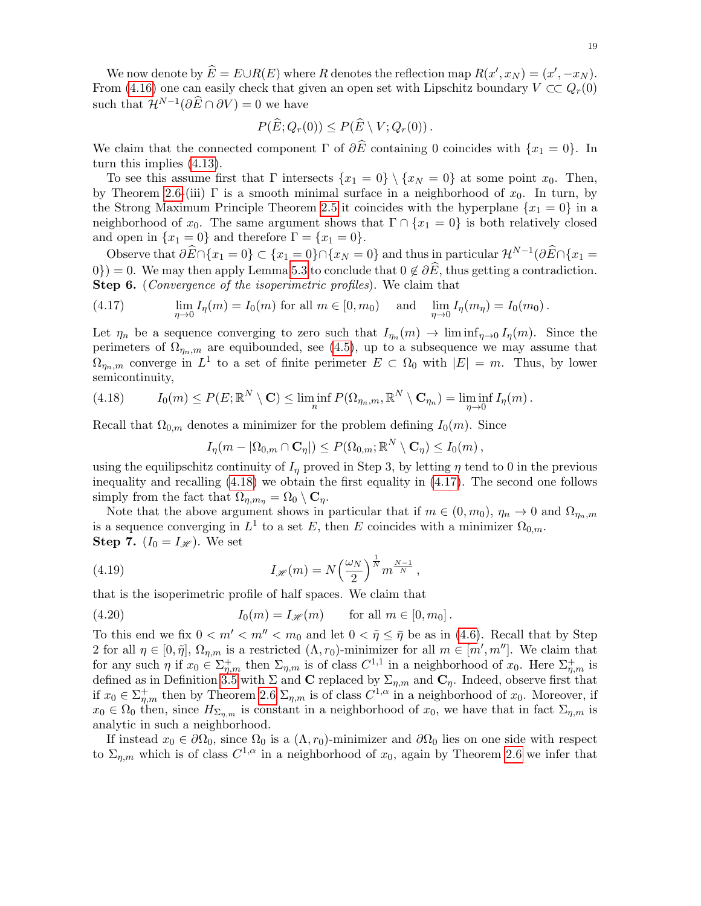We now denote by  $\widehat{E} = E \cup R(E)$  where R denotes the reflection map  $R(x', x_N) = (x', -x_N)$ . From [\(4.16\)](#page-17-1) one can easily check that given an open set with Lipschitz boundary  $V \subset\subset Q_r(0)$ such that  $\mathcal{H}^{N-1}(\partial \widehat{E} \cap \partial V) = 0$  we have

$$
P(\widehat{E}; Q_r(0)) \leq P(\widehat{E} \setminus V; Q_r(0)).
$$

We claim that the connected component  $\Gamma$  of  $\partial \widehat{E}$  containing 0 coincides with  $\{x_1 = 0\}$ . In turn this implies [\(4.13\)](#page-17-2).

To see this assume first that  $\Gamma$  intersects  $\{x_1 = 0\} \setminus \{x_N = 0\}$  at some point  $x_0$ . Then, by Theorem [2.6-](#page-5-0)(iii)  $\Gamma$  is a smooth minimal surface in a neighborhood of  $x_0$ . In turn, by the Strong Maximum Principle Theorem [2.5](#page-5-1) it coincides with the hyperplane  ${x_1 = 0}$  in a neighborhood of  $x_0$ . The same argument shows that  $\Gamma \cap \{x_1 = 0\}$  is both relatively closed and open in  $\{x_1 = 0\}$  and therefore  $\Gamma = \{x_1 = 0\}.$ 

Observe that  $\partial \widehat{E} \cap \{x_1 = 0\} \subset \{x_1 = 0\} \cap \{x_N = 0\}$  and thus in particular  $\mathcal{H}^{N-1}(\partial \widehat{E} \cap \{x_1 = 0\})$  $0$ ) = 0. We may then apply Lemma [5.3](#page-24-0) to conclude that  $0 \notin \partial \overline{E}$ , thus getting a contradiction. Step 6. (Convergence of the isoperimetric profiles). We claim that

<span id="page-18-1"></span>(4.17) 
$$
\lim_{\eta \to 0} I_{\eta}(m) = I_0(m) \text{ for all } m \in [0, m_0) \text{ and } \lim_{\eta \to 0} I_{\eta}(m_{\eta}) = I_0(m_0).
$$

Let  $\eta_n$  be a sequence converging to zero such that  $I_{\eta_n}(m) \to \liminf_{\eta \to 0} I_{\eta}(m)$ . Since the perimeters of  $\Omega_{\eta_n,m}$  are equibounded, see [\(4.5\)](#page-15-4), up to a subsequence we may assume that  $\Omega_{\eta_n,m}$  converge in  $L^1$  to a set of finite perimeter  $E \subset \Omega_0$  with  $|E| = m$ . Thus, by lower semicontinuity,

<span id="page-18-0"></span>(4.18) 
$$
I_0(m) \le P(E; \mathbb{R}^N \setminus \mathbf{C}) \le \liminf_n P(\Omega_{\eta_n,m}, \mathbb{R}^N \setminus \mathbf{C}_{\eta_n}) = \liminf_{\eta \to 0} I_{\eta}(m).
$$

Recall that  $\Omega_{0,m}$  denotes a minimizer for the problem defining  $I_0(m)$ . Since

<span id="page-18-3"></span> $I_{\eta}(m - |\Omega_{0,m} \cap \mathbf{C}_{\eta}|) \leq P(\Omega_{0,m}; \mathbb{R}^N \setminus \mathbf{C}_{\eta}) \leq I_0(m),$ 

using the equilipschitz continuity of  $I_n$  proved in Step 3, by letting  $\eta$  tend to 0 in the previous inequality and recalling  $(4.18)$  we obtain the first equality in  $(4.17)$ . The second one follows simply from the fact that  $\Omega_{\eta,m_{\eta}} = \Omega_0 \setminus \mathbf{C}_{\eta}$ .

Note that the above argument shows in particular that if  $m \in (0, m_0)$ ,  $\eta_n \to 0$  and  $\Omega_{n_n,m}$ is a sequence converging in  $L^1$  to a set E, then E coincides with a minimizer  $\Omega_{0,m}$ . **Step 7.**  $(I_0 = I_{\mathcal{H}})$ . We set

(4.19) 
$$
I_{\mathscr{H}}(m) = N \left(\frac{\omega_N}{2}\right)^{\frac{1}{N}} m^{\frac{N-1}{N}},
$$

that is the isoperimetric profile of half spaces. We claim that

<span id="page-18-2"></span>(4.20) 
$$
I_0(m) = I_{\mathscr{H}}(m) \quad \text{for all } m \in [0, m_0].
$$

To this end we fix  $0 < m' < m'' < m_0$  and let  $0 < \tilde{\eta} \leq \bar{\eta}$  be as in [\(4.6\)](#page-15-0). Recall that by Step 2 for all  $\eta \in [0, \tilde{\eta}], \Omega_{\eta,m}$  is a restricted  $(\Lambda, r_0)$ -minimizer for all  $m \in [m', m'']$ . We claim that for any such  $\eta$  if  $x_0 \in \Sigma_{\eta,m}^+$  then  $\Sigma_{\eta,m}$  is of class  $C^{1,1}$  in a neighborhood of  $x_0$ . Here  $\Sigma_{\eta,m}^+$  is defined as in Definition [3.5](#page-10-1) with  $\Sigma$  and  $\mathbf{C}$  replaced by  $\Sigma_{\eta,m}$  and  $\mathbf{C}_{\eta}$ . Indeed, observe first that if  $x_0 \in \Sigma_{\eta,m}^+$  then by Theorem [2.6](#page-5-0)  $\Sigma_{\eta,m}$  is of class  $C^{1,\alpha}$  in a neighborhood of  $x_0$ . Moreover, if  $x_0 \in \Omega_0$  then, since  $H_{\Sigma_{n,m}}$  is constant in a neighborhood of  $x_0$ , we have that in fact  $\Sigma_{n,m}$  is analytic in such a neighborhood.

If instead  $x_0 \in \partial \Omega_0$ , since  $\Omega_0$  is a  $(\Lambda, r_0)$ -minimizer and  $\partial \Omega_0$  lies on one side with respect to  $\Sigma_{\eta,m}$  which is of class  $C^{1,\alpha}$  in a neighborhood of  $x_0$ , again by Theorem [2.6](#page-5-0) we infer that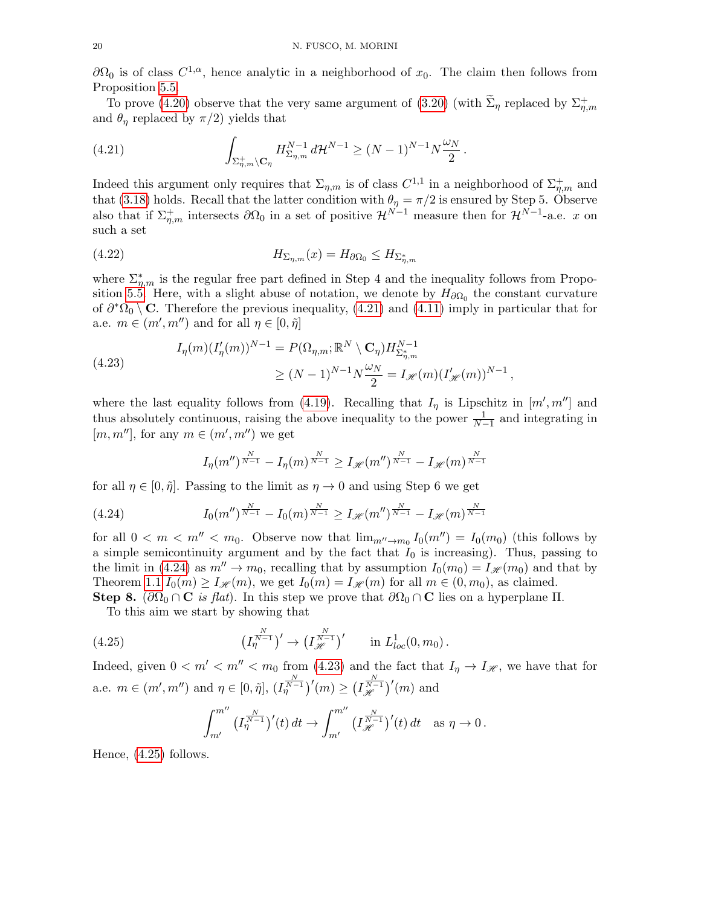$\partial\Omega_0$  is of class  $C^{1,\alpha}$ , hence analytic in a neighborhood of  $x_0$ . The claim then follows from Proposition [5.5.](#page-26-1)

To prove [\(4.20\)](#page-18-2) observe that the very same argument of [\(3.20\)](#page-13-1) (with  $\tilde{\Sigma}_{\eta}$  replaced by  $\Sigma_{\eta,m}^+$ and  $\theta_{\eta}$  replaced by  $\pi/2$ ) yields that

<span id="page-19-0"></span>(4.21) 
$$
\int_{\Sigma_{\eta,m}^+\backslash \mathbf{C}_{\eta}} H_{\Sigma_{\eta,m}}^{N-1} d\mathcal{H}^{N-1} \geq (N-1)^{N-1} N \frac{\omega_N}{2}.
$$

Indeed this argument only requires that  $\Sigma_{\eta,m}$  is of class  $C^{1,1}$  in a neighborhood of  $\Sigma_{\eta,m}^+$  and that [\(3.18\)](#page-12-3) holds. Recall that the latter condition with  $\theta_{\eta} = \pi/2$  is ensured by Step 5. Observe also that if  $\Sigma_{\eta,m}^+$  intersects  $\partial\Omega_0$  in a set of positive  $\mathcal{H}^{N-1}$  measure then for  $\mathcal{H}^{N-1}$ -a.e. x on such a set

<span id="page-19-4"></span>(4.22) 
$$
H_{\Sigma_{\eta,m}}(x) = H_{\partial\Omega_0} \le H_{\Sigma_{\eta,m}^*}
$$

where  $\sum_{n,m}^*$  is the regular free part defined in Step 4 and the inequality follows from Propo-sition [5.5.](#page-26-1) Here, with a slight abuse of notation, we denote by  $H_{\partial\Omega_0}$  the constant curvature of  $\partial^* \Omega_0 \setminus \mathbf{C}$ . Therefore the previous inequality, [\(4.21\)](#page-19-0) and [\(4.11\)](#page-16-1) imply in particular that for a.e.  $m \in (m', m'')$  and for all  $\eta \in [0, \tilde{\eta}]$ 

<span id="page-19-2"></span>(4.23) 
$$
I_{\eta}(m)(I'_{\eta}(m))^{N-1} = P(\Omega_{\eta,m}; \mathbb{R}^N \setminus \mathbf{C}_{\eta}) H_{\Sigma_{\eta,m}^*}^{N-1}
$$

$$
\geq (N-1)^{N-1} N \frac{\omega_N}{2} = I_{\mathscr{H}}(m) (I'_{\mathscr{H}}(m))^{N-1},
$$

where the last equality follows from [\(4.19\)](#page-18-3). Recalling that  $I_{\eta}$  is Lipschitz in  $[m', m'']$  and thus absolutely continuous, raising the above inequality to the power  $\frac{1}{N-1}$  and integrating in  $[m, m'']$ , for any  $m \in (m', m'')$  we get

<span id="page-19-1"></span>
$$
I_{\eta}(m'')^{\frac{N}{N-1}} - I_{\eta}(m)^{\frac{N}{N-1}} \geq I_{\mathscr{H}}(m'')^{\frac{N}{N-1}} - I_{\mathscr{H}}(m)^{\frac{N}{N-1}}
$$

for all  $\eta \in [0, \tilde{\eta}]$ . Passing to the limit as  $\eta \to 0$  and using Step 6 we get

(4.24) 
$$
I_0(m'')^{\frac{N}{N-1}} - I_0(m)^{\frac{N}{N-1}} \geq I_{\mathscr{H}}(m'')^{\frac{N}{N-1}} - I_{\mathscr{H}}(m)^{\frac{N}{N-1}}
$$

for all  $0 < m < m'' < m_0$ . Observe now that  $\lim_{m'' \to m_0} I_0(m'') = I_0(m_0)$  (this follows by a simple semicontinuity argument and by the fact that  $I_0$  is increasing). Thus, passing to the limit in [\(4.24\)](#page-19-1) as  $m'' \to m_0$ , recalling that by assumption  $I_0(m_0) = I_{\mathscr{H}}(m_0)$  and that by Theorem [1.1](#page-0-1)  $I_0(m) \geq I_{\mathscr{H}}(m)$ , we get  $I_0(m) = I_{\mathscr{H}}(m)$  for all  $m \in (0, m_0)$ , as claimed.

Step 8.  $(\partial\Omega_0 \cap \mathbf{C}$  is flat). In this step we prove that  $\partial\Omega_0 \cap \mathbf{C}$  lies on a hyperplane  $\Pi$ .

To this aim we start by showing that

(4.25) 
$$
\left(I_{\eta}^{\frac{N}{N-1}}\right)' \to \left(I_{\mathcal{H}}^{\frac{N}{N-1}}\right)' \quad \text{in } L^1_{loc}(0, m_0) \, .
$$

Indeed, given  $0 < m' < m'' < m_0$  from [\(4.23\)](#page-19-2) and the fact that  $I_{\eta} \to I_{\mathscr{H}}$ , we have that for a.e.  $m \in (m', m'')$  and  $\eta \in [0, \tilde{\eta}], (I_{\eta}^{\frac{N}{N-1}})'(m) \ge (I_{\mathcal{H}}^{\frac{N}{N-1}})'(m)$  and

<span id="page-19-3"></span>
$$
\int_{m'}^{m''} \left( I_{\eta}^{\frac{N}{N-1}} \right)'(t) dt \to \int_{m'}^{m''} \left( I_{\mathcal{H}}^{\frac{N}{N-1}} \right)'(t) dt \text{ as } \eta \to 0 \, .
$$

Hence, [\(4.25\)](#page-19-3) follows.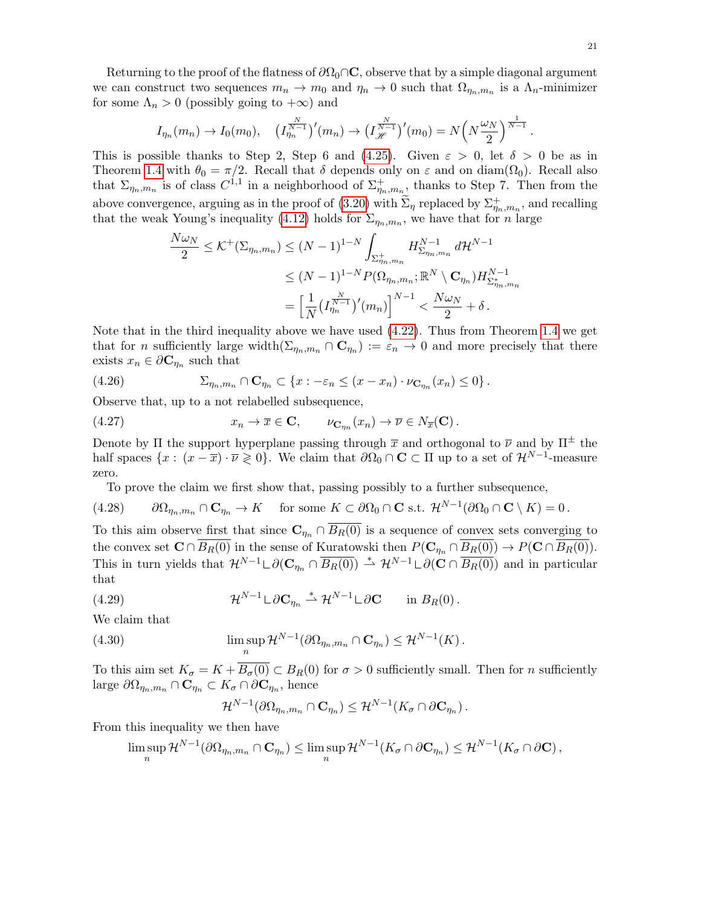Returning to the proof of the flatness of  $\partial\Omega_0\cap\mathbf{C}$ , observe that by a simple diagonal argument we can construct two sequences  $m_n \to m_0$  and  $\eta_n \to 0$  such that  $\Omega_{\eta_n,m_n}$  is a  $\Lambda_n$ -minimizer for some  $\Lambda_n > 0$  (possibly going to  $+\infty$ ) and

$$
I_{\eta_n}(m_n) \to I_0(m_0), \quad (I_{\eta_n}^{\frac{N}{N-1}})'(m_n) \to (I_{\mathcal{H}}^{\frac{N}{N-1}})'(m_0) = N\left(N\frac{\omega_N}{2}\right)^{\frac{1}{N-1}}.
$$

This is possible thanks to Step 2, Step 6 and [\(4.25\)](#page-19-3). Given  $\varepsilon > 0$ , let  $\delta > 0$  be as in Theorem [1.4](#page-1-3) with  $\theta_0 = \pi/2$ . Recall that  $\delta$  depends only on  $\varepsilon$  and on diam( $\Omega_0$ ). Recall also that  $\Sigma_{\eta_n,m_n}$  is of class  $C^{1,1}$  in a neighborhood of  $\Sigma_{\eta_n,m_n}^+$ , thanks to Step 7. Then from the above convergence, arguing as in the proof of  $(3.20)$  with  $\tilde{\Sigma}_{\eta}$  replaced by  $\Sigma_{\eta_n,m_n}^+$ , and recalling that the weak Young's inequality [\(4.12\)](#page-17-0) holds for  $\Sigma_{\eta_n,m_n}$ , we have that for n large

$$
\frac{N\omega_N}{2} \leq K^+(\Sigma_{\eta_n,m_n}) \leq (N-1)^{1-N} \int_{\Sigma_{\eta_n,m_n}^+} H_{\Sigma_{\eta_n,m_n}}^{N-1} d\mathcal{H}^{N-1}
$$
  

$$
\leq (N-1)^{1-N} P(\Omega_{\eta_n,m_n}; \mathbb{R}^N \setminus \mathbf{C}_{\eta_n}) H_{\Sigma_{\eta_n,m_n}^*}^{N-1}
$$
  

$$
= \left[ \frac{1}{N} \left( I_{\eta_n}^{\frac{N}{N-1}} \right)'(m_n) \right]^{N-1} < \frac{N\omega_N}{2} + \delta.
$$

Note that in the third inequality above we have used [\(4.22\)](#page-19-4). Thus from Theorem [1.4](#page-1-3) we get that for *n* sufficiently large width $(\Sigma_{\eta_n,m_n} \cap \mathbf{C}_{\eta_n}) := \varepsilon_n \to 0$  and more precisely that there exists  $x_n \in \partial \mathbf{C}_{\eta_n}$  such that

<span id="page-20-3"></span>(4.26) 
$$
\Sigma_{\eta_n,m_n} \cap \mathbf{C}_{\eta_n} \subset \{x : -\varepsilon_n \leq (x - x_n) \cdot \nu_{\mathbf{C}_{\eta_n}}(x_n) \leq 0\}.
$$

Observe that, up to a not relabelled subsequence,

<span id="page-20-4"></span>(4.27) 
$$
x_n \to \overline{x} \in \mathbf{C}, \qquad \nu_{\mathbf{C}_{\eta_n}}(x_n) \to \overline{\nu} \in N_{\overline{x}}(\mathbf{C}).
$$

Denote by Π the support hyperplane passing through  $\bar{x}$  and orthogonal to  $\bar{\nu}$  and by  $\Pi^{\pm}$  the half spaces  $\{x: (x-\overline{x})\cdot\overline{\nu}\geqslant 0\}$ . We claim that  $\partial\Omega_0 \cap \mathbf{C} \subset \Pi$  up to a set of  $\mathcal{H}^{N-1}$ -measure zero.

<span id="page-20-2"></span>To prove the claim we first show that, passing possibly to a further subsequence,

$$
(4.28) \qquad \partial\Omega_{\eta_n,m_n}\cap\mathbf{C}_{\eta_n}\to K \quad \text{ for some }K\subset\partial\Omega_0\cap\mathbf{C} \text{ s.t. } \mathcal{H}^{N-1}(\partial\Omega_0\cap\mathbf{C}\setminus K)=0\,.
$$

To this aim observe first that since  $\mathbf{C}_{\eta_n} \cap \overline{B_R(0)}$  is a sequence of convex sets converging to the convex set  $\mathbf{C} \cap \overline{B_R(0)}$  in the sense of Kuratowski then  $P(\mathbf{C}_{\eta_n} \cap \overline{B_R(0)}) \to P(\mathbf{C} \cap \overline{B_R(0)})$ . This in turn yields that  $\mathcal{H}^{N-1} \cup \partial(\mathbf{C}_{\eta_n} \cap \overline{B_R(0)}) \stackrel{*}{\rightharpoonup} \mathcal{H}^{N-1} \cup \partial(\mathbf{C} \cap \overline{B_R(0)})$  and in particular that

(4.29) 
$$
\mathcal{H}^{N-1} \sqcup \partial \mathbf{C}_{\eta_n} \stackrel{*}{\rightharpoonup} \mathcal{H}^{N-1} \sqcup \partial \mathbf{C} \quad \text{in } B_R(0) \, .
$$

We claim that

(4.30) 
$$
\limsup_n \mathcal{H}^{N-1}(\partial \Omega_{\eta_n,m_n} \cap \mathbf{C}_{\eta_n}) \leq \mathcal{H}^{N-1}(K).
$$

To this aim set  $K_{\sigma} = K + B_{\sigma}(0) \subset B_R(0)$  for  $\sigma > 0$  sufficiently small. Then for *n* sufficiently large  $\partial\Omega_{\eta_n,m_n}\cap \mathbf{C}_{\eta_n}\subset K_{\sigma}\cap\partial\mathbf{C}_{\eta_n}$ , hence

<span id="page-20-1"></span><span id="page-20-0"></span>
$$
\mathcal{H}^{N-1}(\partial\Omega_{\eta_n,m_n}\cap\mathbf{C}_{\eta_n})\leq \mathcal{H}^{N-1}(K_{\sigma}\cap\partial\mathbf{C}_{\eta_n}).
$$

From this inequality we then have

$$
\limsup_n \mathcal{H}^{N-1}(\partial \Omega_{\eta_n,m_n} \cap \mathbf{C}_{\eta_n}) \leq \limsup_n \mathcal{H}^{N-1}(K_\sigma \cap \partial \mathbf{C}_{\eta_n}) \leq \mathcal{H}^{N-1}(K_\sigma \cap \partial \mathbf{C}),
$$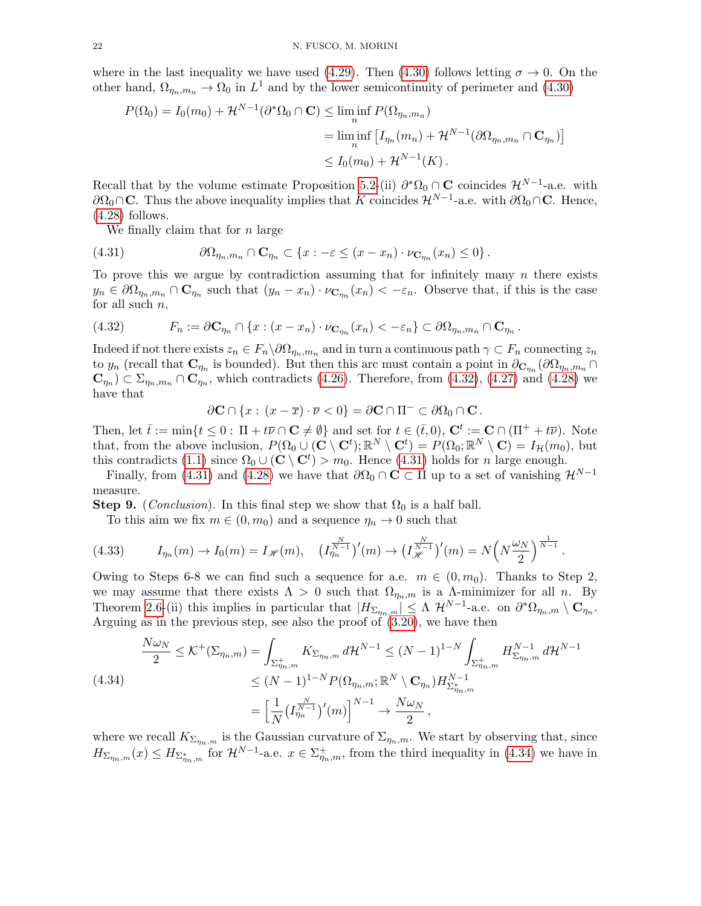where in the last inequality we have used [\(4.29\)](#page-20-0). Then [\(4.30\)](#page-20-1) follows letting  $\sigma \to 0$ . On the other hand,  $\Omega_{\eta_n,m_n} \to \Omega_0$  in  $L^1$  and by the lower semicontinuity of perimeter and [\(4.30\)](#page-20-1)

$$
P(\Omega_0) = I_0(m_0) + \mathcal{H}^{N-1}(\partial^* \Omega_0 \cap \mathbf{C}) \le \liminf_n P(\Omega_{\eta_n, m_n})
$$
  
= 
$$
\liminf_n \left[ I_{\eta_n}(m_n) + \mathcal{H}^{N-1}(\partial \Omega_{\eta_n, m_n} \cap \mathbf{C}_{\eta_n}) \right]
$$
  

$$
\le I_0(m_0) + \mathcal{H}^{N-1}(K).
$$

Recall that by the volume estimate Proposition [5.2-](#page-23-0)(ii)  $\partial^* \Omega_0 \cap \mathbf{C}$  coincides  $\mathcal{H}^{N-1}$ -a.e. with  $\partial\Omega_0\cap\mathbf{C}$ . Thus the above inequality implies that K coincides  $\mathcal{H}^{N-1}$ -a.e. with  $\partial\Omega_0\cap\mathbf{C}$ . Hence,  $(4.28)$  follows.

<span id="page-21-1"></span>We finally claim that for  $n$  large

(4.31) 
$$
\partial\Omega_{\eta_n,m_n}\cap \mathbf{C}_{\eta_n}\subset \{x:-\varepsilon\leq (x-x_n)\cdot \nu_{\mathbf{C}_{\eta_n}}(x_n)\leq 0\}.
$$

To prove this we argue by contradiction assuming that for infinitely many  $n$  there exists  $y_n \in \partial \Omega_{\eta_n,m_n} \cap \mathbf{C}_{\eta_n}$  such that  $(y_n - x_n) \cdot \nu_{\mathbf{C}_{\eta_n}}(x_n) < -\varepsilon_n$ . Observe that, if this is the case for all such  $n$ ,

<span id="page-21-0"></span>(4.32) 
$$
F_n := \partial \mathbf{C}_{\eta_n} \cap \{x : (x - x_n) \cdot \nu_{\mathbf{C}_{\eta_n}}(x_n) < -\varepsilon_n\} \subset \partial \Omega_{\eta_n, m_n} \cap \mathbf{C}_{\eta_n}.
$$

Indeed if not there exists  $z_n \in F_n \backslash \partial \Omega_{\eta_n,m_n}$  and in turn a continuous path  $\gamma \subset F_n$  connecting  $z_n$ to  $y_n$  (recall that  $\mathbf{C}_{\eta_n}$  is bounded). But then this arc must contain a point in  $\partial_{\mathbf{C}_{\eta_n}}(\partial\Omega_{\eta_n,m_n}\cap\Omega)$  $\mathbf{C}_{\eta_n}$   $\subset \Sigma_{\eta_n,m_n} \cap \mathbf{C}_{\eta_n}$ , which contradicts [\(4.26\)](#page-20-3). Therefore, from [\(4.32\)](#page-21-0), [\(4.27\)](#page-20-4) and [\(4.28\)](#page-20-2) we have that

$$
\partial \mathbf{C} \cap \{x : (x - \overline{x}) \cdot \overline{\nu} < 0\} = \partial \mathbf{C} \cap \Pi^- \subset \partial \Omega_0 \cap \mathbf{C} \, .
$$

Then, let  $\bar{t} := \min\{t \leq 0 : \Pi + t\bar{\nu} \cap \mathbf{C} \neq \emptyset\}$  and set for  $t \in (\bar{t}, 0), \mathbf{C}^t := \mathbf{C} \cap (\Pi^+ + t\bar{\nu})$ . Note that, from the above inclusion,  $P(\Omega_0 \cup (\mathbf{C} \setminus \mathbf{C}^t); \mathbb{R}^N \setminus \mathbf{C}^t) = P(\Omega_0; \mathbb{R}^N \setminus \mathbf{C}) = I_H(m_0)$ , but this contradicts [\(1.1\)](#page-0-0) since  $\Omega_0 \cup (\mathbf{C} \setminus \mathbf{C}^t) > m_0$ . Hence [\(4.31\)](#page-21-1) holds for *n* large enough.

Finally, from [\(4.31\)](#page-21-1) and [\(4.28\)](#page-20-2) we have that  $\partial\Omega_0 \cap C \subset \Pi$  up to a set of vanishing  $\mathcal{H}^{N-1}$ measure.

**Step 9.** (*Conclusion*). In this final step we show that  $\Omega_0$  is a half ball.

<span id="page-21-3"></span>To this aim we fix  $m \in (0, m_0)$  and a sequence  $\eta_n \to 0$  such that

$$
(4.33) \tI_{\eta_n}(m) \to I_0(m) = I_{\mathcal{H}}(m), \t(I_{\eta_n}^{\frac{N}{N-1}})'(m) \to (I_{\mathcal{H}}^{\frac{N}{N-1}})'(m) = N\left(N^{\frac{\omega_N}{2}}\right)^{\frac{1}{N-1}}
$$

Owing to Steps 6-8 we can find such a sequence for a.e.  $m \in (0, m_0)$ . Thanks to Step 2, we may assume that there exists  $\Lambda > 0$  such that  $\Omega_{\eta_n,m}$  is a  $\Lambda$ -minimizer for all n. By Theorem [2.6-](#page-5-0)(ii) this implies in particular that  $|H_{\Sigma_{\eta_n,m}}| \leq \Lambda \mathcal{H}^{N-1}$ -a.e. on  $\partial^* \Omega_{\eta_n,m} \setminus \mathbf{C}_{\eta_n}$ . Arguing as in the previous step, see also the proof of [\(3.20\)](#page-13-1), we have then

.

<span id="page-21-2"></span>
$$
\frac{N\omega_N}{2} \leq K^+(\Sigma_{\eta_n,m}) = \int_{\Sigma_{\eta_n,m}^+} K_{\Sigma_{\eta_n,m}} d\mathcal{H}^{N-1} \leq (N-1)^{1-N} \int_{\Sigma_{\eta_n,m}^+} H_{\Sigma_{\eta_n,m}}^{N-1} d\mathcal{H}^{N-1}
$$
\n
$$
\leq (N-1)^{1-N} P(\Omega_{\eta_n,m}; \mathbb{R}^N \setminus \mathbf{C}_{\eta_n}) H_{\Sigma_{\eta_n,m}^+}^{N-1}
$$
\n
$$
= \left[ \frac{1}{N} \left( I_{\eta_n}^{\frac{N}{N-1}} \right)'(m) \right]^{N-1} \to \frac{N\omega_N}{2},
$$

where we recall  $K_{\sum_{n,m}}$  is the Gaussian curvature of  $\Sigma_{\eta_n,m}$ . We start by observing that, since  $H_{\Sigma_{\eta_n,m}}(x) \le H_{\Sigma_{\eta_n,m}^*}$  for  $\mathcal{H}^{N-1}$ -a.e.  $x \in \Sigma_{\eta_n,m}^+$ , from the third inequality in [\(4.34\)](#page-21-2) we have in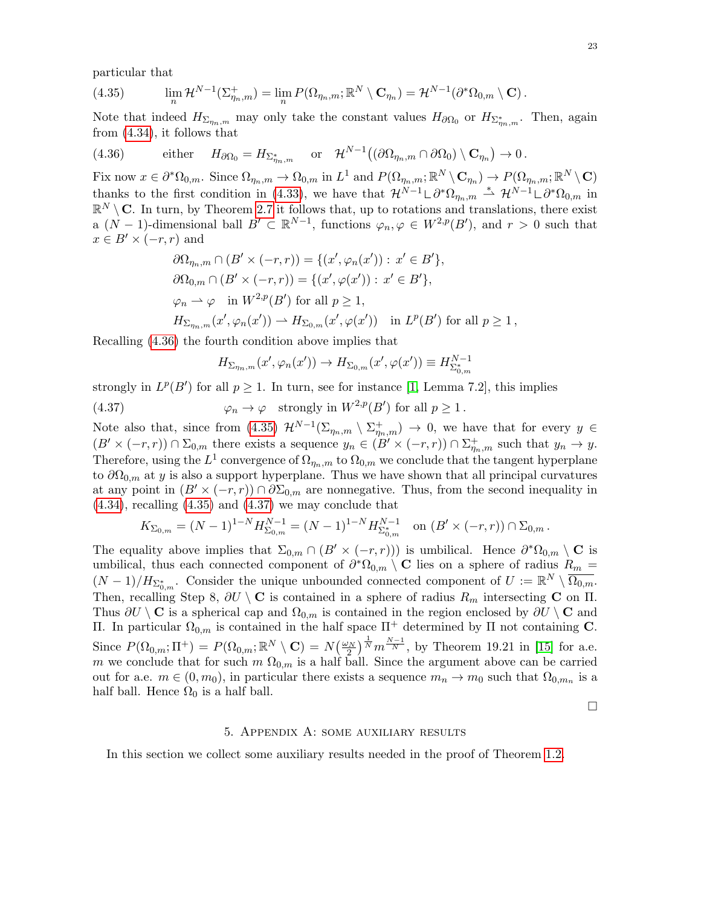particular that

<span id="page-22-2"></span>(4.35) 
$$
\lim_{n} \mathcal{H}^{N-1}(\Sigma_{\eta_n,m}^+) = \lim_{n} P(\Omega_{\eta_n,m}; \mathbb{R}^N \setminus \mathbf{C}_{\eta_n}) = \mathcal{H}^{N-1}(\partial^* \Omega_{0,m} \setminus \mathbf{C}).
$$

Note that indeed  $H_{\Sigma_{\eta_n,m}}$  may only take the constant values  $H_{\partial\Omega_0}$  or  $H_{\Sigma_{\eta_n,m}^*}$ . Then, again from [\(4.34\)](#page-21-2), it follows that

<span id="page-22-1"></span>(4.36) either 
$$
H_{\partial\Omega_0} = H_{\Sigma_{\eta_n,m}^*}
$$
 or  $\mathcal{H}^{N-1}((\partial\Omega_{\eta_n,m} \cap \partial\Omega_0) \setminus \mathbf{C}_{\eta_n}) \to 0$ .

Fix now  $x \in \partial^* \Omega_{0,m}$ . Since  $\Omega_{\eta_n,m} \to \Omega_{0,m}$  in  $L^1$  and  $P(\Omega_{\eta_n,m}; \mathbb{R}^N \setminus \mathbf{C}_{\eta_n}) \to P(\Omega_{\eta_n,m}; \mathbb{R}^N \setminus \mathbf{C})$ thanks to the first condition in [\(4.33\)](#page-21-3), we have that  $\mathcal{H}^{N-1} \Box \partial^* \Omega_{\eta_n,m} \stackrel{*}{\rightharpoonup} \mathcal{H}^{N-1} \Box \partial^* \Omega_{0,m}$  in  $\mathbb{R}^N \setminus \mathbf{C}$ . In turn, by Theorem [2.7](#page-6-4) it follows that, up to rotations and translations, there exist a  $(N-1)$ -dimensional ball  $B' \subset \mathbb{R}^{N-1}$ , functions  $\varphi_n, \varphi \in W^{2,p}(B')$ , and  $r > 0$  such that  $x \in B' \times (-r, r)$  and

$$
\partial\Omega_{\eta_n,m} \cap (B' \times (-r,r)) = \{(x', \varphi_n(x')) : x' \in B'\},\
$$
  
\n
$$
\partial\Omega_{0,m} \cap (B' \times (-r,r)) = \{(x', \varphi(x')) : x' \in B'\},\
$$
  
\n
$$
\varphi_n \rightharpoonup \varphi \quad \text{in } W^{2,p}(B') \text{ for all } p \ge 1,
$$
  
\n
$$
H_{\Sigma_{\eta_n,m}}(x', \varphi_n(x')) \rightharpoonup H_{\Sigma_{0,m}}(x', \varphi(x')) \quad \text{in } L^p(B') \text{ for all } p \ge 1,
$$

Recalling [\(4.36\)](#page-22-1) the fourth condition above implies that

<span id="page-22-3"></span>
$$
H_{\Sigma_{\eta_n,m}}(x',\varphi_n(x')) \to H_{\Sigma_{0,m}}(x',\varphi(x')) \equiv H^{N-1}_{\Sigma_{0,m}^*}
$$

strongly in  $L^p(B')$  for all  $p \geq 1$ . In turn, see for instance [\[1,](#page-29-18) Lemma 7.2], this implies

(4.37) 
$$
\varphi_n \to \varphi \quad \text{strongly in } W^{2,p}(B') \text{ for all } p \ge 1.
$$

Note also that, since from [\(4.35\)](#page-22-2)  $\mathcal{H}^{N-1}(\Sigma_{\eta_n,m} \setminus \Sigma_{\eta_n,m}^+) \to 0$ , we have that for every  $y \in$  $(B' \times (-r, r)) \cap \Sigma_{0,m}$  there exists a sequence  $y_n \in (\overline{B'} \times (-r, r)) \cap \Sigma_{\eta_n,m}^+$  such that  $y_n \to y$ . Therefore, using the  $L^1$  convergence of  $\Omega_{\eta_n,m}$  to  $\Omega_{0,m}$  we conclude that the tangent hyperplane to  $\partial\Omega_{0,m}$  at y is also a support hyperplane. Thus we have shown that all principal curvatures at any point in  $(B' \times (-r, r)) \cap \partial \Sigma_{0,m}$  are nonnegative. Thus, from the second inequality in  $(4.34)$ , recalling  $(4.35)$  and  $(4.37)$  we may conclude that

$$
K_{\Sigma_{0,m}} = (N-1)^{1-N} H_{\Sigma_{0,m}}^{N-1} = (N-1)^{1-N} H_{\Sigma_{0,m}^*}^{N-1} \text{ on } (B' \times (-r,r)) \cap \Sigma_{0,m}.
$$

The equality above implies that  $\Sigma_{0,m} \cap (B' \times (-r,r)))$  is umbilical. Hence  $\partial^* \Omega_{0,m} \setminus \mathbf{C}$  is umbilical, thus each connected component of  $\partial^* \Omega_{0,m} \setminus \mathbf{C}$  lies on a sphere of radius  $R_m =$  $(N-1)/H_{\Sigma_{0,m}^*}$ . Consider the unique unbounded connected component of  $U := \mathbb{R}^N \setminus \overline{\Omega_{0,m}}$ . Then, recalling Step 8,  $\partial U \setminus \mathbf{C}$  is contained in a sphere of radius  $R_m$  intersecting  $\mathbf{C}$  on  $\Pi$ . Thus  $\partial U \setminus \mathbf{C}$  is a spherical cap and  $\Omega_{0,m}$  is contained in the region enclosed by  $\partial U \setminus \mathbf{C}$  and Π. In particular  $\Omega_{0,m}$  is contained in the half space  $\Pi^+$  determined by Π not containing C. Since  $P(\Omega_{0,m};\Pi^+) = P(\Omega_{0,m};\mathbb{R}^N\setminus\mathbf{C}) = N(\frac{\omega_N}{2})^{\frac{1}{N}}m^{\frac{N-1}{N}},$  by Theorem 19.21 in [\[15\]](#page-29-8) for a.e. m we conclude that for such m  $\Omega_{0,m}$  is a half ball. Since the argument above can be carried out for a.e.  $m \in (0, m_0)$ , in particular there exists a sequence  $m_n \to m_0$  such that  $\Omega_{0,m_n}$  is a half ball. Hence  $\Omega_0$  is a half ball.

 $\Box$ 

### 5. Appendix A: some auxiliary results

<span id="page-22-0"></span>In this section we collect some auxiliary results needed in the proof of Theorem [1.2.](#page-0-2)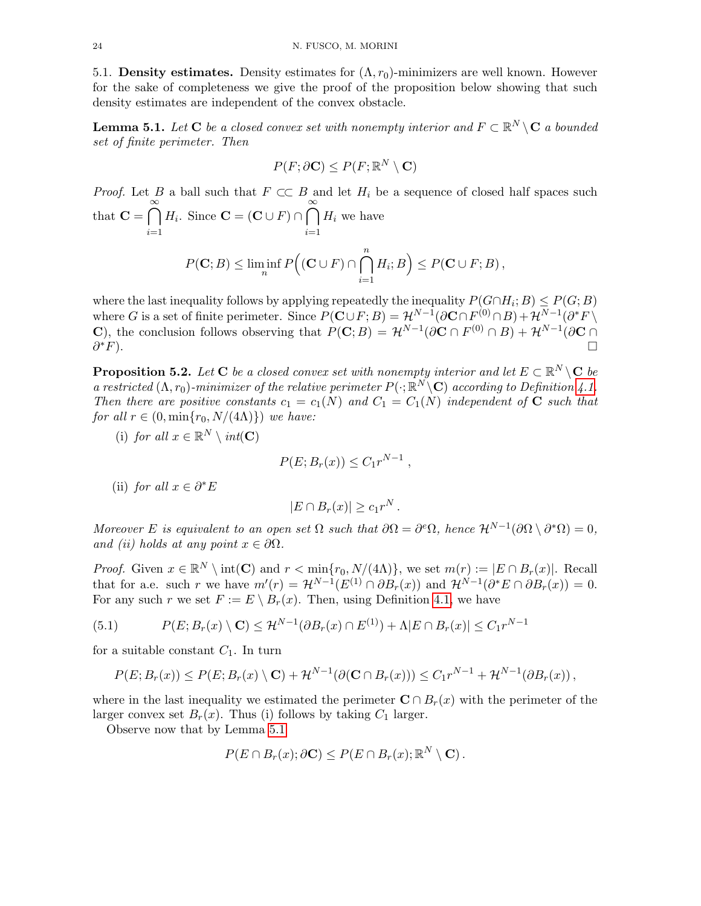5.1. Density estimates. Density estimates for  $(\Lambda, r_0)$ -minimizers are well known. However for the sake of completeness we give the proof of the proposition below showing that such density estimates are independent of the convex obstacle.

<span id="page-23-1"></span>**Lemma 5.1.** Let  $C$  be a closed convex set with nonempty interior and  $F \subset \mathbb{R}^N \setminus C$  a bounded set of finite perimeter. Then

$$
P(F; \partial \mathbf{C}) \le P(F; \mathbb{R}^N \setminus \mathbf{C})
$$

*Proof.* Let B a ball such that  $F \subset\subset B$  and let  $H_i$  be a sequence of closed half spaces such that  $\mathbf{C} = \bigcap_{n=1}^{\infty}$  $i=1$  $H_i$ . Since  $\mathbf{C} = (\mathbf{C} \cup F) \cap \bigcap_{i=1}^{\infty}$  $i=1$  $H_i$  we have  $P(\mathbf{C};B) \leq \liminf_{n} P((\mathbf{C} \cup F) \cap \bigcap_{n=1}^{n} P(n)$  $H_i; B\rangle \leq P(\mathbf{C} \cup F; B),$ 

where the last inequality follows by applying repeatedly the inequality  $P(G \cap H_i; B) \leq P(G; B)$ where G is a set of finite perimeter. Since  $P(\mathbf{C} \cup F; B) = \mathcal{H}^{N-1}(\partial \mathbf{C} \cap F^{(0)} \cap B) + \mathcal{H}^{N-1}(\partial^* F \setminus F)$ **C**), the conclusion follows observing that  $P(\mathbf{C};B) = \mathcal{H}^{N-1}(\partial \mathbf{C} \cap F^{(0)} \cap B) + \mathcal{H}^{N-1}(\partial \mathbf{C} \cap B)$  $\partial^* F$ ).  $*F$ ).

 $i=1$ 

<span id="page-23-0"></span>**Proposition 5.2.** Let  $C$  be a closed convex set with nonempty interior and let  $E \subset \mathbb{R}^N \setminus C$  be a restricted  $(\Lambda, r_0)$ -minimizer of the relative perimeter  $P(\cdot; \mathbb{R}^N \setminus \mathbf{C})$  according to Definition [4.1.](#page-14-0) Then there are positive constants  $c_1 = c_1(N)$  and  $C_1 = C_1(N)$  independent of **C** such that for all  $r \in (0, \min\{r_0, N/(4\Lambda)\})$  we have:

(i) for all  $x \in \mathbb{R}^N \setminus int(\mathbf{C})$ 

$$
P(E; B_r(x)) \leq C_1 r^{N-1} ,
$$

(ii) for all  $x \in \partial^* E$ 

 $|E \cap B_r(x)| \geq c_1 r^N$ .

Moreover E is equivalent to an open set  $\Omega$  such that  $\partial\Omega = \partial^e\Omega$ , hence  $\mathcal{H}^{N-1}(\partial\Omega \setminus \partial^*\Omega) = 0$ , and (ii) holds at any point  $x \in \partial\Omega$ .

*Proof.* Given  $x \in \mathbb{R}^N \setminus \text{int}(\mathbf{C})$  and  $r < \min\{r_0, N/(4\Lambda)\}\)$ , we set  $m(r) := |E \cap B_r(x)|$ . Recall that for a.e. such r we have  $m'(r) = \mathcal{H}^{N-1}(E^{(1)} \cap \partial B_r(x))$  and  $\mathcal{H}^{N-1}(\partial^* E \cap \partial B_r(x)) = 0$ . For any such r we set  $F := E \setminus B_r(x)$ . Then, using Definition [4.1,](#page-14-0) we have

<span id="page-23-2"></span>(5.1) 
$$
P(E; B_r(x) \setminus \mathbf{C}) \leq \mathcal{H}^{N-1}(\partial B_r(x) \cap E^{(1)}) + \Lambda |E \cap B_r(x)| \leq C_1 r^{N-1}
$$

for a suitable constant  $C_1$ . In turn

$$
P(E; B_r(x)) \le P(E; B_r(x) \setminus \mathbf{C}) + \mathcal{H}^{N-1}(\partial(\mathbf{C} \cap B_r(x))) \le C_1 r^{N-1} + \mathcal{H}^{N-1}(\partial B_r(x)),
$$

where in the last inequality we estimated the perimeter  $C \cap B_r(x)$  with the perimeter of the larger convex set  $B_r(x)$ . Thus (i) follows by taking  $C_1$  larger.

Observe now that by Lemma [5.1](#page-23-1)

$$
P(E \cap B_r(x); \partial \mathbf{C}) \leq P(E \cap B_r(x); \mathbb{R}^N \setminus \mathbf{C}).
$$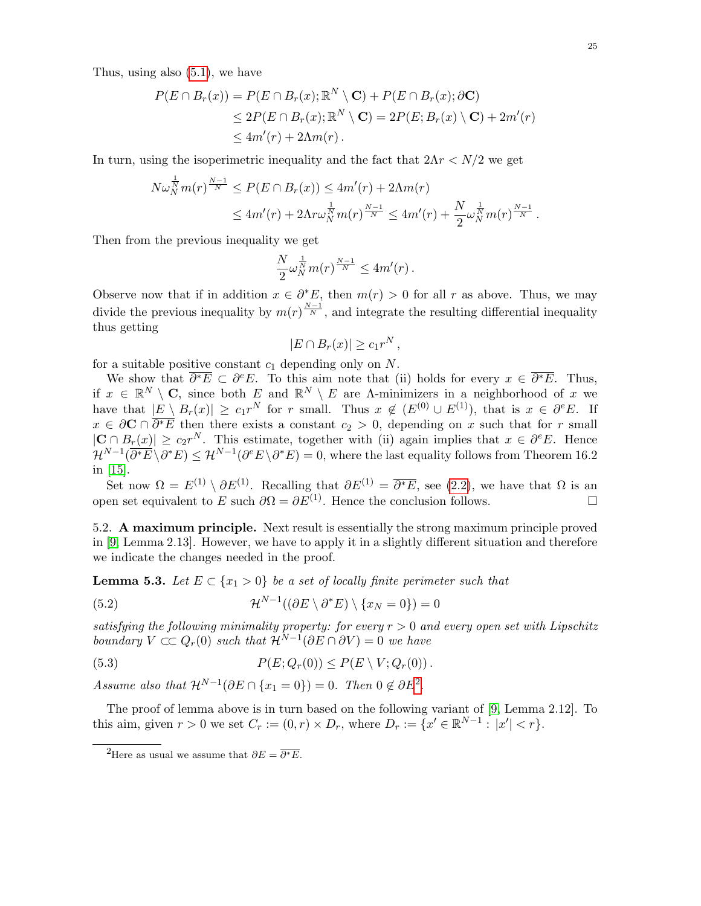Thus, using also [\(5.1\)](#page-23-2), we have

$$
P(E \cap B_r(x)) = P(E \cap B_r(x); \mathbb{R}^N \setminus \mathbf{C}) + P(E \cap B_r(x); \partial \mathbf{C})
$$
  
\n
$$
\leq 2P(E \cap B_r(x); \mathbb{R}^N \setminus \mathbf{C}) = 2P(E; B_r(x) \setminus \mathbf{C}) + 2m'(r)
$$
  
\n
$$
\leq 4m'(r) + 2\Lambda m(r).
$$

In turn, using the isoperimetric inequality and the fact that  $2\Lambda r < N/2$  we get

$$
N\omega_N^{\frac{1}{N}}m(r)^{\frac{N-1}{N}} \le P(E \cap B_r(x)) \le 4m'(r) + 2\Lambda m(r)
$$
  
\$\le 4m'(r) + 2\Lambda r\omega\_N^{\frac{1}{N}}m(r)^{\frac{N-1}{N}} \le 4m'(r) + \frac{N}{2}\omega\_N^{\frac{1}{N}}m(r)^{\frac{N-1}{N}}.\$

Then from the previous inequality we get

$$
\frac{N}{2}\omega_N^{\frac{1}{N}}m(r)^{\frac{N-1}{N}} \leq 4m'(r).
$$

Observe now that if in addition  $x \in \partial^* E$ , then  $m(r) > 0$  for all r as above. Thus, we may divide the previous inequality by  $m(r)^{\frac{N-1}{N}}$ , and integrate the resulting differential inequality thus getting

$$
|E \cap B_r(x)| \ge c_1 r^N,
$$

for a suitable positive constant  $c_1$  depending only on N.

We show that  $\overline{\partial^*E} \subset \partial^e E$ . To this aim note that (ii) holds for every  $x \in \overline{\partial^*E}$ . Thus, if  $x \in \mathbb{R}^N \setminus \mathbf{C}$ , since both E and  $\mathbb{R}^N \setminus E$  are A-minimizers in a neighborhood of x we have that  $|E \setminus B_r(x)| \ge c_1 r^N$  for r small. Thus  $x \notin (E^{(0)} \cup E^{(1)})$ , that is  $x \in \partial^e E$ . If  $x \in \partial \mathbf{C} \cap \overline{\partial^* E}$  then there exists a constant  $c_2 > 0$ , depending on x such that for r small  $|\mathbf{C} \cap B_r(x)| \ge c_2 r^N$ . This estimate, together with (ii) again implies that  $x \in \partial^e E$ . Hence  $\mathcal{H}^{N-1}(\overline{\partial^*E}\setminus \partial^*E)\leq \mathcal{H}^{N-1}(\partial^e E\setminus \partial^*E)=0,$  where the last equality follows from Theorem 16.2 in [\[15\]](#page-29-8).

Set now  $\Omega = E^{(1)} \setminus \partial E^{(1)}$ . Recalling that  $\partial E^{(1)} = \overline{\partial^* E}$ , see [\(2.2\)](#page-4-3), we have that  $\Omega$  is an open set equivalent to E such  $\partial \Omega = \partial E^{(1)}$ . Hence the conclusion follows.

5.2. A maximum principle. Next result is essentially the strong maximum principle proved in [\[9,](#page-29-6) Lemma 2.13]. However, we have to apply it in a slightly different situation and therefore we indicate the changes needed in the proof.

<span id="page-24-0"></span>**Lemma 5.3.** Let  $E \subset \{x_1 > 0\}$  be a set of locally finite perimeter such that

<span id="page-24-3"></span>(5.2) 
$$
\mathcal{H}^{N-1}((\partial E \setminus \partial^* E) \setminus \{x_N = 0\}) = 0
$$

satisfying the following minimality property: for every  $r > 0$  and every open set with Lipschitz boundary  $V \subset Q_r(0)$  such that  $\mathcal{H}^{N-1}(\partial E \cap \partial V) = 0$  we have

<span id="page-24-2"></span>
$$
(5.3) \t\t P(E; Qr(0)) \le P(E \setminus V; Qr(0)).
$$

Assume also that  $\mathcal{H}^{N-1}(\partial E \cap \{x_1 = 0\}) = 0$ . Then  $0 \notin \partial E^2$  $0 \notin \partial E^2$ .

The proof of lemma above is in turn based on the following variant of [\[9,](#page-29-6) Lemma 2.12]. To this aim, given  $r > 0$  we set  $C_r := (0, r) \times D_r$ , where  $D_r := \{x' \in \mathbb{R}^{N-1} : |x'| < r\}.$ 

<span id="page-24-1"></span><sup>&</sup>lt;sup>2</sup>Here as usual we assume that  $\partial E = \overline{\partial^* E}$ .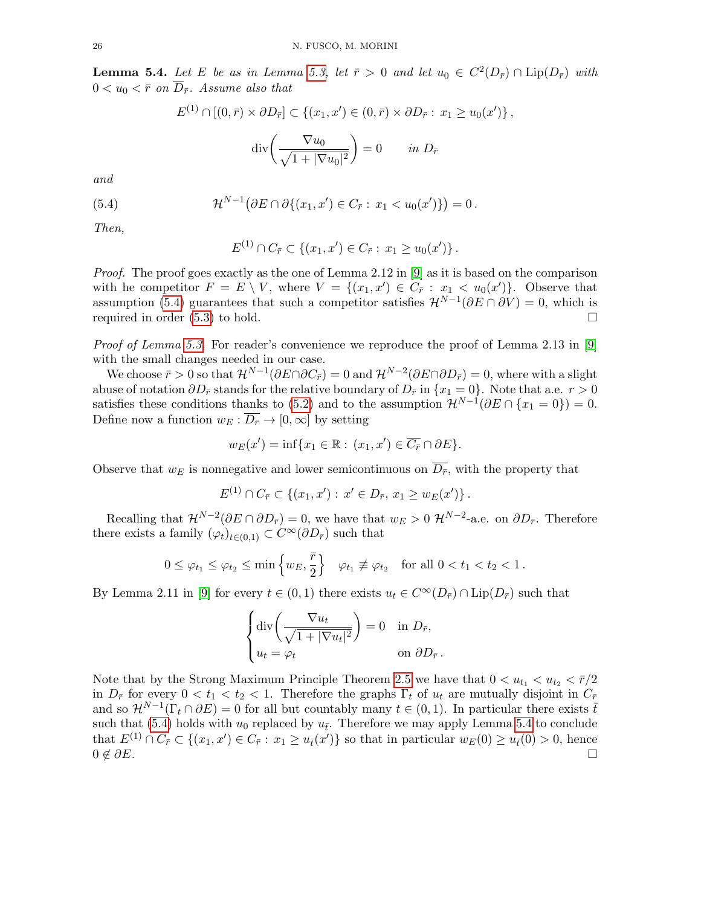<span id="page-25-1"></span>**Lemma 5.4.** Let E be as in Lemma [5.3,](#page-24-0) let  $\bar{r} > 0$  and let  $u_0 \in C^2(D_{\bar{r}}) \cap \text{Lip}(D_{\bar{r}})$  with  $0 < u_0 < \bar{r}$  on  $\overline{D}_{\bar{r}}$ . Assume also that

$$
E^{(1)} \cap [(0, \bar{r}) \times \partial D_{\bar{r}}] \subset \{(x_1, x') \in (0, \bar{r}) \times \partial D_{\bar{r}} : x_1 \ge u_0(x')\},\
$$

$$
div\left(\frac{\nabla u_0}{\sqrt{1 + |\nabla u_0|^2}}\right) = 0 \quad in \ D_{\bar{r}}
$$

and

(5.4) 
$$
\mathcal{H}^{N-1}(\partial E \cap \partial \{(x_1, x') \in C_{\bar{r}} : x_1 < u_0(x')\}) = 0.
$$

Then,

<span id="page-25-0"></span>
$$
E^{(1)} \cap C_{\bar{r}} \subset \{ (x_1, x') \in C_{\bar{r}} : x_1 \ge u_0(x') \}.
$$

*Proof.* The proof goes exactly as the one of Lemma 2.12 in [\[9\]](#page-29-6) as it is based on the comparison with he competitor  $F = E \setminus V$ , where  $V = \{(x_1, x') \in C_{\overline{r}} : x_1 < u_0(x')\}$ . Observe that assumption [\(5.4\)](#page-25-0) guarantees that such a competitor satisfies  $\mathcal{H}^{N-1}(\partial E \cap \partial V) = 0$ , which is required in order  $(5.3)$  to hold.

*Proof of Lemma [5.3.](#page-24-0)* For reader's convenience we reproduce the proof of Lemma 2.13 in [\[9\]](#page-29-6) with the small changes needed in our case.

We choose  $\bar{r} > 0$  so that  $\mathcal{H}^{N-1}(\partial E \cap \partial C_{\bar{r}}) = 0$  and  $\mathcal{H}^{N-2}(\partial E \cap \partial D_{\bar{r}}) = 0$ , where with a slight abuse of notation  $\partial D_{\bar{r}}$  stands for the relative boundary of  $D_{\bar{r}}$  in  $\{x_1 = 0\}$ . Note that a.e.  $r > 0$ satisfies these conditions thanks to [\(5.2\)](#page-24-3) and to the assumption  $\mathcal{H}^{N-1}(\partial E \cap \{x_1 = 0\}) = 0$ . Define now a function  $w_E : \overline{D_{\overline{r}}} \to [0, \infty]$  by setting

$$
w_E(x') = \inf\{x_1 \in \mathbb{R} : (x_1, x') \in \overline{C_{\overline{r}}} \cap \partial E\}.
$$

Observe that  $w_E$  is nonnegative and lower semicontinuous on  $\overline{D_{\bar{r}}},$  with the property that

$$
E^{(1)} \cap C_{\overline{r}} \subset \{ (x_1, x') : x' \in D_{\overline{r}}, x_1 \ge w_E(x') \}.
$$

Recalling that  $\mathcal{H}^{N-2}(\partial E \cap \partial D_{\bar{r}}) = 0$ , we have that  $w_E > 0 \mathcal{H}^{N-2}$ -a.e. on  $\partial D_{\bar{r}}$ . Therefore there exists a family  $(\varphi_t)_{t\in(0,1)} \subset C^{\infty}(\partial D_{\bar{r}})$  such that

$$
0 \leq \varphi_{t_1} \leq \varphi_{t_2} \leq \min\left\{w_E, \frac{\bar{r}}{2}\right\} \quad \varphi_{t_1} \not\equiv \varphi_{t_2} \quad \text{for all } 0 < t_1 < t_2 < 1 \,.
$$

By Lemma 2.11 in [\[9\]](#page-29-6) for every  $t \in (0,1)$  there exists  $u_t \in C^{\infty}(D_{\overline{r}}) \cap \text{Lip}(D_{\overline{r}})$  such that

$$
\begin{cases} \operatorname{div}\left(\frac{\nabla u_t}{\sqrt{1+|\nabla u_t|^2}}\right) = 0 & \text{in } D_{\bar{r}},\\ u_t = \varphi_t & \text{on } \partial D_{\bar{r}}. \end{cases}
$$

Note that by the Strong Maximum Principle Theorem [2.5](#page-5-1) we have that  $0 < u_{t_1} < u_{t_2} < \bar{r}/2$ in  $D_{\bar{r}}$  for every  $0 < t_1 < t_2 < 1$ . Therefore the graphs  $\Gamma_t$  of  $u_t$  are mutually disjoint in  $C_{\bar{r}}$ and so  $\mathcal{H}^{N-1}(\Gamma_t \cap \partial E) = 0$  for all but countably many  $t \in (0,1)$ . In particular there exists  $\bar{t}$ such that [\(5.4\)](#page-25-0) holds with  $u_0$  replaced by  $u_{\bar{t}}$ . Therefore we may apply Lemma [5.4](#page-25-1) to conclude that  $E^{(1)} \cap C_{\bar{r}} \subset \{(x_1, x') \in C_{\bar{r}} : x_1 \geq u_{\bar{t}}(x')\}$  so that in particular  $w_E(0) \geq u_{\bar{t}}(0) > 0$ , hence  $0 \notin \partial E$ .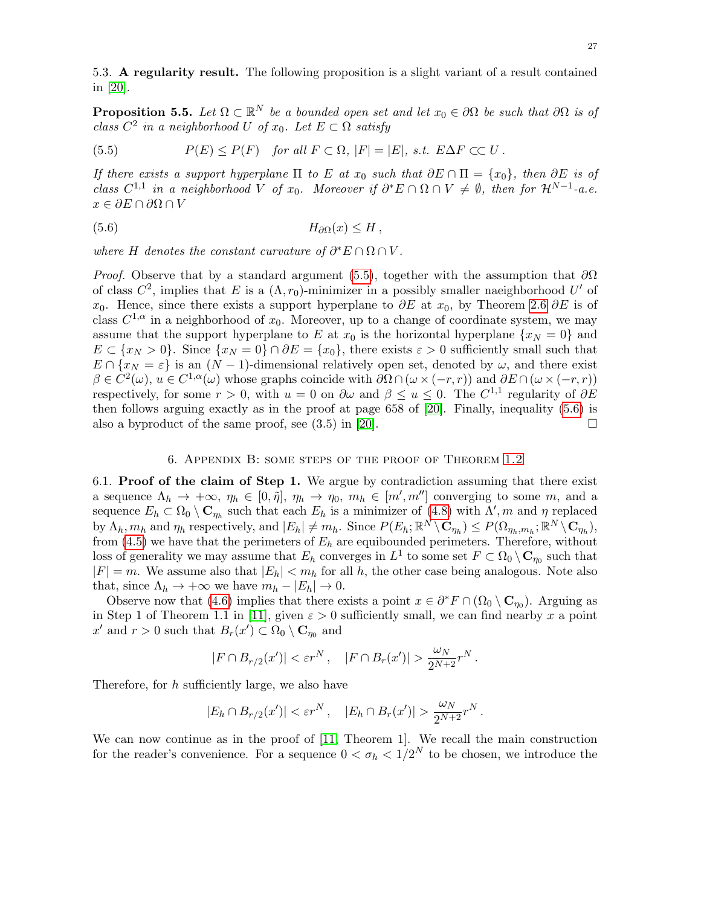5.3. A regularity result. The following proposition is a slight variant of a result contained in [\[20\]](#page-29-19).

<span id="page-26-1"></span>**Proposition 5.5.** Let  $\Omega \subset \mathbb{R}^N$  be a bounded open set and let  $x_0 \in \partial \Omega$  be such that  $\partial \Omega$  is of class  $C^2$  in a neighborhood U of  $x_0$ . Let  $E \subset \Omega$  satisfy

<span id="page-26-2"></span>(5.5) 
$$
P(E) \le P(F) \quad \text{for all } F \subset \Omega, |F| = |E|, \text{ s.t. } E\Delta F \subset\subset U.
$$

If there exists a support hyperplane  $\Pi$  to E at  $x_0$  such that  $\partial E \cap \Pi = \{x_0\}$ , then  $\partial E$  is of class  $C^{1,1}$  in a neighborhood V of  $x_0$ . Moreover if  $\partial^* E \cap \Omega \cap V \neq \emptyset$ , then for  $\mathcal{H}^{N-1}$ -a.e.  $x \in \partial E \cap \partial \Omega \cap V$ 

<span id="page-26-3"></span>(5.6) H∂Ω(x) ≤ H ,

where H denotes the constant curvature of  $\partial^* E \cap \Omega \cap V$ .

*Proof.* Observe that by a standard argument [\(5.5\)](#page-26-2), together with the assumption that  $\partial\Omega$ of class  $C^2$ , implies that E is a  $(\Lambda, r_0)$ -minimizer in a possibly smaller naeighborhood U' of x<sub>0</sub>. Hence, since there exists a support hyperplane to  $\partial E$  at x<sub>0</sub>, by Theorem [2.6](#page-5-0)  $\partial E$  is of class  $C^{1,\alpha}$  in a neighborhood of  $x_0$ . Moreover, up to a change of coordinate system, we may assume that the support hyperplane to E at  $x_0$  is the horizontal hyperplane  $\{x_N = 0\}$  and  $E \subset \{x_N > 0\}$ . Since  $\{x_N = 0\} \cap \partial E = \{x_0\}$ , there exists  $\varepsilon > 0$  sufficiently small such that  $E \cap \{x_N = \varepsilon\}$  is an  $(N-1)$ -dimensional relatively open set, denoted by  $\omega$ , and there exist  $\beta \in C^2(\omega), u \in C^{1,\alpha}(\omega)$  whose graphs coincide with  $\partial \Omega \cap (\omega \times (-r,r))$  and  $\partial E \cap (\omega \times (-r,r))$ respectively, for some  $r > 0$ , with  $u = 0$  on  $\partial \omega$  and  $\beta \le u \le 0$ . The  $C^{1,1}$  regularity of  $\partial E$ then follows arguing exactly as in the proof at page 658 of [\[20\]](#page-29-19). Finally, inequality [\(5.6\)](#page-26-3) is also a byproduct of the same proof, see  $(3.5)$  in [\[20\]](#page-29-19).

## 6. Appendix B: some steps of the proof of Theorem [1.2](#page-0-2)

<span id="page-26-0"></span>6.1. Proof of the claim of Step 1. We argue by contradiction assuming that there exist a sequence  $\Lambda_h \to +\infty$ ,  $\eta_h \in [0, \tilde{\eta}], \eta_h \to \eta_0, m_h \in [m', m'']$  converging to some m, and a sequence  $E_h \subset \Omega_0 \setminus \mathbf{C}_{\eta_h}$  such that each  $E_h$  is a minimizer of [\(4.8\)](#page-15-5) with  $\Lambda', m$  and  $\eta$  replaced by  $\Lambda_h, m_h$  and  $\eta_h$  respectively, and  $|E_h| \neq m_h$ . Since  $P(E_h; \mathbb{R}^N \setminus \mathbf{C}_{\eta_h}) \leq P(\Omega_{\eta_h, m_h}; \mathbb{R}^N \setminus \mathbf{C}_{\eta_h}),$ from  $(4.5)$  we have that the perimeters of  $E_h$  are equibounded perimeters. Therefore, without loss of generality we may assume that  $E_h$  converges in  $L^1$  to some set  $F \subset \Omega_0 \setminus \mathbf{C}_{\eta_0}$  such that  $|F| = m$ . We assume also that  $|E_h| < m_h$  for all h, the other case being analogous. Note also that, since  $\Lambda_h \to +\infty$  we have  $m_h - |E_h| \to 0$ .

Observe now that [\(4.6\)](#page-15-0) implies that there exists a point  $x \in \partial^* F \cap (\Omega_0 \setminus \mathbf{C}_{\eta_0})$ . Arguing as in Step 1 of Theorem 1.1 in [\[11\]](#page-29-20), given  $\varepsilon > 0$  sufficiently small, we can find nearby x a point  $x'$  and  $r > 0$  such that  $B_r(x') \subset \Omega_0 \setminus \mathbf{C}_{\eta_0}$  and

$$
|F \cap B_{r/2}(x')| < \varepsilon r^N \,, \quad |F \cap B_r(x')| > \frac{\omega_N}{2^{N+2}} r^N \,.
$$

Therefore, for  $h$  sufficiently large, we also have

$$
|E_h \cap B_{r/2}(x')| < \varepsilon r^N \,, \quad |E_h \cap B_r(x')| > \frac{\omega_N}{2^{N+2}} r^N \,.
$$

We can now continue as in the proof of [\[11,](#page-29-20) Theorem 1]. We recall the main construction for the reader's convenience. For a sequence  $0 < \sigma_h < 1/2^N$  to be chosen, we introduce the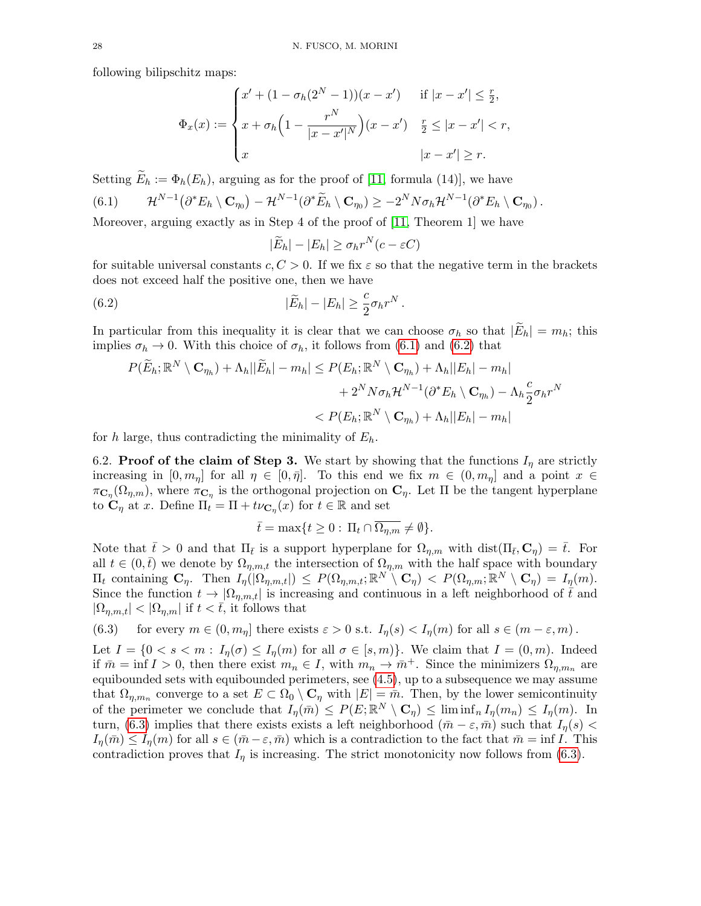following bilipschitz maps:

$$
\Phi_x(x) := \begin{cases} x' + (1 - \sigma_h(2^N - 1))(x - x') & \text{if } |x - x'| \le \frac{r}{2}, \\ x + \sigma_h\left(1 - \frac{r^N}{|x - x'|^N}\right)(x - x') & \frac{r}{2} \le |x - x'| < r, \\ x & |x - x'| \ge r. \end{cases}
$$

<span id="page-27-0"></span>Setting  $\widetilde{E}_h := \Phi_h(E_h)$ , arguing as for the proof of [\[11,](#page-29-20) formula (14)], we have (6.1)  $\mathcal{H}^{N-1}(\partial^* E_h \setminus \mathbf{C}_{\eta_0}) - \mathcal{H}^{N-1}(\partial^* \widetilde{E}_h \setminus \mathbf{C}_{\eta_0}) \geq -2^N N \sigma_h \mathcal{H}^{N-1}(\partial^* E_h \setminus \mathbf{C}_{\eta_0}).$ 

Moreover, arguing exactly as in Step 4 of the proof of [\[11,](#page-29-20) Theorem 1] we have

<span id="page-27-1"></span>
$$
|\widetilde{E}_h| - |E_h| \ge \sigma_h r^N (c - \varepsilon C)
$$

for suitable universal constants  $c, C > 0$ . If we fix  $\varepsilon$  so that the negative term in the brackets does not exceed half the positive one, then we have

(6.2) 
$$
|\widetilde{E}_h| - |E_h| \geq \frac{c}{2} \sigma_h r^N.
$$

In particular from this inequality it is clear that we can choose  $\sigma_h$  so that  $|E_h| = m_h$ ; this implies  $\sigma_h \to 0$ . With this choice of  $\sigma_h$ , it follows from [\(6.1\)](#page-27-0) and [\(6.2\)](#page-27-1) that

$$
P(\widetilde{E}_h; \mathbb{R}^N \setminus \mathbf{C}_{\eta_h}) + \Lambda_h ||\widetilde{E}_h| - m_h| \le P(E_h; \mathbb{R}^N \setminus \mathbf{C}_{\eta_h}) + \Lambda_h ||E_h| - m_h| + 2^N N \sigma_h \mathcal{H}^{N-1} (\partial^* E_h \setminus \mathbf{C}_{\eta_h}) - \Lambda_h \frac{c}{2} \sigma_h r^N < P(E_h; \mathbb{R}^N \setminus \mathbf{C}_{\eta_h}) + \Lambda_h ||E_h| - m_h|
$$

for h large, thus contradicting the minimality of  $E_h$ .

6.2. Proof of the claim of Step 3. We start by showing that the functions  $I_{\eta}$  are strictly increasing in  $[0, m_{\eta}]$  for all  $\eta \in [0, \bar{\eta}]$ . To this end we fix  $m \in (0, m_{\eta}]$  and a point  $x \in$  $\pi_{\mathbf{C}_\eta}(\Omega_{\eta,m})$ , where  $\pi_{\mathbf{C}_\eta}$  is the orthogonal projection on  $\mathbf{C}_\eta$ . Let  $\Pi$  be the tangent hyperplane to  $\mathbf{C}_{\eta}$  at x. Define  $\Pi_t = \Pi + t\nu_{\mathbf{C}_{\eta}}(x)$  for  $t \in \mathbb{R}$  and set

$$
\bar{t} = \max\{t \ge 0 : \Pi_t \cap \overline{\Omega_{\eta,m}} \neq \emptyset\}.
$$

Note that  $\bar{t} > 0$  and that  $\Pi_{\bar{t}}$  is a support hyperplane for  $\Omega_{\eta,m}$  with dist( $\Pi_{\bar{t}}, \mathbf{C}_{\eta}$ ) =  $\bar{t}$ . For all  $t \in (0,\bar{t})$  we denote by  $\Omega_{\eta,m,t}$  the intersection of  $\Omega_{\eta,m}$  with the half space with boundary  $\Pi_t$  containing  $\mathbf{C}_\eta$ . Then  $I_\eta(|\Omega_{\eta,m,t}|) \leq P(\Omega_{\eta,m,t}; \mathbb{R}^N \setminus \mathbf{C}_\eta) < P(\Omega_{\eta,m}; \mathbb{R}^N \setminus \mathbf{C}_\eta) = I_\eta(m)$ . Since the function  $t \to |\Omega_{\eta,m,t}|$  is increasing and continuous in a left neighborhood of  $\bar{t}$  and  $|\Omega_{\eta,m,t}| < |\Omega_{\eta,m}|$  if  $t < t$ , it follows that

<span id="page-27-2"></span>(6.3) for every  $m \in (0, m_n]$  there exists  $\varepsilon > 0$  s.t.  $I_n(s) < I_n(m)$  for all  $s \in (m - \varepsilon, m)$ .

Let  $I = \{0 < s < m: I_n(\sigma) \leq I_n(m) \text{ for all } \sigma \in [s, m]\}.$  We claim that  $I = (0, m)$ . Indeed if  $\bar{m} = \inf I > 0$ , then there exist  $m_n \in I$ , with  $m_n \to \bar{m}^+$ . Since the minimizers  $\Omega_{\eta,m_n}$  are equibounded sets with equibounded perimeters, see [\(4.5\)](#page-15-4), up to a subsequence we may assume that  $\Omega_{\eta,m_n}$  converge to a set  $E \subset \Omega_0 \setminus \mathbf{C}_\eta$  with  $|E| = \bar{m}$ . Then, by the lower semicontinuity of the perimeter we conclude that  $I_{\eta}(\bar{m}) \leq P(E; \mathbb{R}^{N} \setminus \mathbf{C}_{\eta}) \leq \liminf_{n} I_{\eta}(m_{n}) \leq I_{\eta}(m)$ . In turn, [\(6.3\)](#page-27-2) implies that there exists exists a left neighborhood  $(\bar{m} - \varepsilon, \bar{m})$  such that  $I_n(s)$  $I_n(\bar{m}) \leq I_n(m)$  for all  $s \in (\bar{m}-\varepsilon, \bar{m})$  which is a contradiction to the fact that  $\bar{m} = \inf I$ . This contradiction proves that  $I_n$  is increasing. The strict monotonicity now follows from [\(6.3\)](#page-27-2).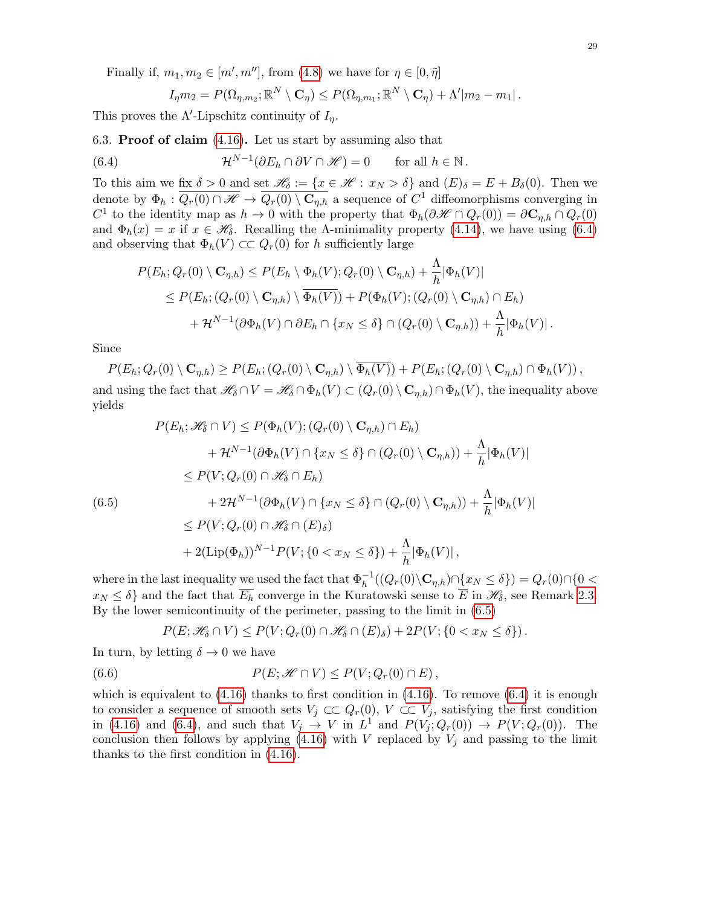Finally if,  $m_1, m_2 \in [m', m'']$ , from [\(4.8\)](#page-15-5) we have for  $\eta \in [0, \tilde{\eta}]$ 

<span id="page-28-0"></span>
$$
I_{\eta}m_2 = P(\Omega_{\eta,m_2}; \mathbb{R}^N \setminus \mathbf{C}_{\eta}) \leq P(\Omega_{\eta,m_1}; \mathbb{R}^N \setminus \mathbf{C}_{\eta}) + \Lambda'|m_2 - m_1|.
$$

This proves the  $\Lambda'$ -Lipschitz continuity of  $I_{\eta}$ .

6.3. Proof of claim [\(4.16\)](#page-17-1). Let us start by assuming also that

(6.4) 
$$
\mathcal{H}^{N-1}(\partial E_h \cap \partial V \cap \mathscr{H}) = 0 \quad \text{for all } h \in \mathbb{N}.
$$

To this aim we fix  $\delta > 0$  and set  $\mathscr{H}_{\delta} := \{x \in \mathscr{H} : x_N > \delta\}$  and  $(E)_{\delta} = E + B_{\delta}(0)$ . Then we denote by  $\Phi_h: \overline{Q_r(0) \cap \mathscr{H}} \to \overline{Q_r(0) \setminus \mathbf{C}_{\eta,h}}$  a sequence of  $C^1$  diffeomorphisms converging in C<sup>1</sup> to the identity map as  $h \to 0$  with the property that  $\Phi_h(\partial \mathscr{H} \cap Q_r(0)) = \partial \mathbf{C}_{\eta,h} \cap Q_r(0)$ and  $\Phi_h(x) = x$  if  $x \in \mathcal{H}_\delta$ . Recalling the A-minimality property [\(4.14\)](#page-17-3), we have using [\(6.4\)](#page-28-0) and observing that  $\Phi_h(V) \subset C$   $Q_r(0)$  for h sufficiently large

$$
P(E_h; Q_r(0) \setminus \mathbf{C}_{\eta,h}) \le P(E_h \setminus \Phi_h(V); Q_r(0) \setminus \mathbf{C}_{\eta,h}) + \frac{\Lambda}{h} |\Phi_h(V)|
$$
  
\n
$$
\le P(E_h; (Q_r(0) \setminus \mathbf{C}_{\eta,h}) \setminus \overline{\Phi_h(V)}) + P(\Phi_h(V); (Q_r(0) \setminus \mathbf{C}_{\eta,h}) \cap E_h)
$$
  
\n
$$
+ \mathcal{H}^{N-1}(\partial \Phi_h(V) \cap \partial E_h \cap \{x_N \le \delta\} \cap (Q_r(0) \setminus \mathbf{C}_{\eta,h})) + \frac{\Lambda}{h} |\Phi_h(V)|.
$$

Since

 $P(E_h; Q_r(0) \setminus \mathbf{C}_{n,h}) \ge P(E_h; (Q_r(0) \setminus \mathbf{C}_{n,h}) \setminus \overline{\Phi_h(V)}) + P(E_h; (Q_r(0) \setminus \mathbf{C}_{n,h}) \cap \Phi_h(V)),$ and using the fact that  $\mathscr{H}_{\delta} \cap V = \mathscr{H}_{\delta} \cap \Phi_h(V) \subset (Q_r(0) \setminus \mathbf{C}_{n,h}) \cap \Phi_h(V)$ , the inequality above yields

<span id="page-28-1"></span>
$$
P(E_h; \mathcal{H}_\delta \cap V) \le P(\Phi_h(V); (Q_r(0) \setminus \mathbf{C}_{\eta,h}) \cap E_h)
$$
  
+  $\mathcal{H}^{N-1}(\partial \Phi_h(V) \cap \{x_N \le \delta\} \cap (Q_r(0) \setminus \mathbf{C}_{\eta,h})) + \frac{\Lambda}{h} |\Phi_h(V)|$   
 $\le P(V; Q_r(0) \cap \mathcal{H}_\delta \cap E_h)$   
+  $2\mathcal{H}^{N-1}(\partial \Phi_h(V) \cap \{x_N \le \delta\} \cap (Q_r(0) \setminus \mathbf{C}_{\eta,h})) + \frac{\Lambda}{h} |\Phi_h(V)|$   
 $\le P(V; Q_r(0) \cap \mathcal{H}_\delta \cap (E)_\delta)$   
+  $2(\text{Lip}(\Phi_h))^{N-1} P(V; \{0 < x_N \le \delta\}) + \frac{\Lambda}{h} |\Phi_h(V)|,$ 

where in the last inequality we used the fact that  $\Phi_h^{-1}((Q_r(0)\setminus \mathbf{C}_{\eta,h}) \cap \{x_N \leq \delta\}) = Q_r(0) \cap \{0 <$  $x_N \leq \delta$  and the fact that  $\overline{E_h}$  converge in the Kuratowski sense to  $\overline{E}$  in  $\mathscr{H}_{\delta}$ , see Remark [2.3.](#page-5-2) By the lower semicontinuity of the perimeter, passing to the limit in [\(6.5\)](#page-28-1)

$$
P(E; \mathscr{H}_\delta \cap V) \leq P(V; Q_r(0) \cap \mathscr{H}_\delta \cap (E)_\delta) + 2P(V; \{0 < x_N \leq \delta\}).
$$

In turn, by letting  $\delta \to 0$  we have

(6.6) 
$$
P(E; \mathscr{H} \cap V) \leq P(V; Q_r(0) \cap E),
$$

which is equivalent to  $(4.16)$  thanks to first condition in  $(4.16)$ . To remove  $(6.4)$  it is enough to consider a sequence of smooth sets  $V_j \subset\subset Q_r(0), V \subset\subset V_j$ , satisfying the first condition in [\(4.16\)](#page-17-1) and [\(6.4\)](#page-28-0), and such that  $V_j \to V$  in  $L^1$  and  $P(V_j; Q_r(0)) \to P(V; Q_r(0))$ . The conclusion then follows by applying  $(4.16)$  with V replaced by  $V_i$  and passing to the limit thanks to the first condition in [\(4.16\)](#page-17-1).